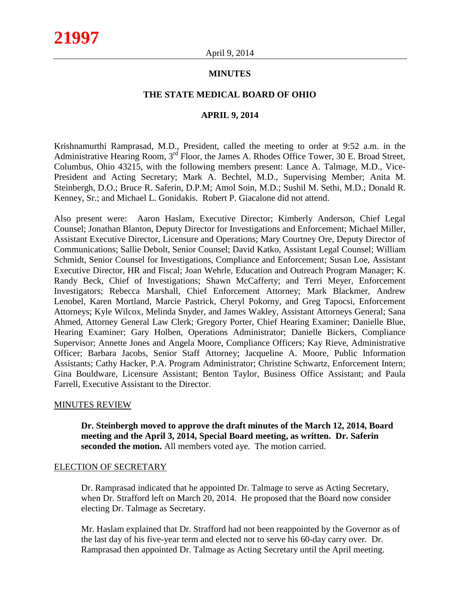## **MINUTES**

#### **THE STATE MEDICAL BOARD OF OHIO**

#### **APRIL 9, 2014**

Krishnamurthi Ramprasad, M.D., President, called the meeting to order at 9:52 a.m. in the Administrative Hearing Room, 3<sup>rd</sup> Floor, the James A. Rhodes Office Tower, 30 E. Broad Street, Columbus, Ohio 43215, with the following members present: Lance A. Talmage, M.D., Vice-President and Acting Secretary; Mark A. Bechtel, M.D., Supervising Member; Anita M. Steinbergh, D.O.; Bruce R. Saferin, D.P.M; Amol Soin, M.D.; Sushil M. Sethi, M.D.; Donald R. Kenney, Sr.; and Michael L. Gonidakis. Robert P. Giacalone did not attend.

Also present were: Aaron Haslam, Executive Director; Kimberly Anderson, Chief Legal Counsel; Jonathan Blanton, Deputy Director for Investigations and Enforcement; Michael Miller, Assistant Executive Director, Licensure and Operations; Mary Courtney Ore, Deputy Director of Communications; Sallie Debolt, Senior Counsel; David Katko, Assistant Legal Counsel; William Schmidt, Senior Counsel for Investigations, Compliance and Enforcement; Susan Loe, Assistant Executive Director, HR and Fiscal; Joan Wehrle, Education and Outreach Program Manager; K. Randy Beck, Chief of Investigations; Shawn McCafferty; and Terri Meyer, Enforcement Investigators; Rebecca Marshall, Chief Enforcement Attorney; Mark Blackmer, Andrew Lenobel, Karen Mortland, Marcie Pastrick, Cheryl Pokorny, and Greg Tapocsi, Enforcement Attorneys; Kyle Wilcox, Melinda Snyder, and James Wakley, Assistant Attorneys General; Sana Ahmed, Attorney General Law Clerk; Gregory Porter, Chief Hearing Examiner; Danielle Blue, Hearing Examiner; Gary Holben, Operations Administrator; Danielle Bickers, Compliance Supervisor; Annette Jones and Angela Moore, Compliance Officers; Kay Rieve, Administrative Officer; Barbara Jacobs, Senior Staff Attorney; Jacqueline A. Moore, Public Information Assistants; Cathy Hacker, P.A. Program Administrator; Christine Schwartz, Enforcement Intern; Gina Bouldware, Licensure Assistant; Benton Taylor, Business Office Assistant; and Paula Farrell, Executive Assistant to the Director.

#### MINUTES REVIEW

**Dr. Steinbergh moved to approve the draft minutes of the March 12, 2014, Board meeting and the April 3, 2014, Special Board meeting, as written. Dr. Saferin seconded the motion.** All members voted aye. The motion carried.

#### ELECTION OF SECRETARY

Dr. Ramprasad indicated that he appointed Dr. Talmage to serve as Acting Secretary, when Dr. Strafford left on March 20, 2014. He proposed that the Board now consider electing Dr. Talmage as Secretary.

Mr. Haslam explained that Dr. Strafford had not been reappointed by the Governor as of the last day of his five-year term and elected not to serve his 60-day carry over. Dr. Ramprasad then appointed Dr. Talmage as Acting Secretary until the April meeting.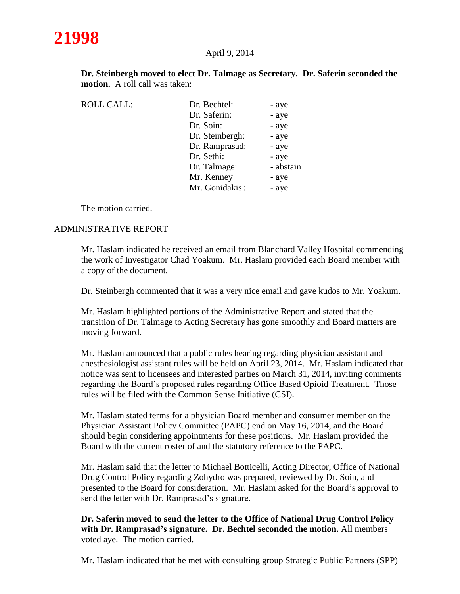| Dr. Steinbergh moved to elect Dr. Talmage as Secretary. Dr. Saferin seconded the |  |
|----------------------------------------------------------------------------------|--|
| <b>motion.</b> A roll call was taken:                                            |  |

| <b>ROLL CALL:</b> | Dr. Bechtel:    | - aye     |
|-------------------|-----------------|-----------|
|                   | Dr. Saferin:    | - aye     |
|                   | Dr. Soin:       | - aye     |
|                   | Dr. Steinbergh: | - aye     |
|                   | Dr. Ramprasad:  | - aye     |
|                   | Dr. Sethi:      | - aye     |
|                   | Dr. Talmage:    | - abstain |
|                   | Mr. Kenney      | - aye     |
|                   | Mr. Gonidakis:  | - aye     |
|                   |                 |           |

The motion carried.

# ADMINISTRATIVE REPORT

Mr. Haslam indicated he received an email from Blanchard Valley Hospital commending the work of Investigator Chad Yoakum. Mr. Haslam provided each Board member with a copy of the document.

Dr. Steinbergh commented that it was a very nice email and gave kudos to Mr. Yoakum.

Mr. Haslam highlighted portions of the Administrative Report and stated that the transition of Dr. Talmage to Acting Secretary has gone smoothly and Board matters are moving forward.

Mr. Haslam announced that a public rules hearing regarding physician assistant and anesthesiologist assistant rules will be held on April 23, 2014. Mr. Haslam indicated that notice was sent to licensees and interested parties on March 31, 2014, inviting comments regarding the Board's proposed rules regarding Office Based Opioid Treatment. Those rules will be filed with the Common Sense Initiative (CSI).

Mr. Haslam stated terms for a physician Board member and consumer member on the Physician Assistant Policy Committee (PAPC) end on May 16, 2014, and the Board should begin considering appointments for these positions. Mr. Haslam provided the Board with the current roster of and the statutory reference to the PAPC.

Mr. Haslam said that the letter to Michael Botticelli, Acting Director, Office of National Drug Control Policy regarding Zohydro was prepared, reviewed by Dr. Soin, and presented to the Board for consideration. Mr. Haslam asked for the Board's approval to send the letter with Dr. Ramprasad's signature.

**Dr. Saferin moved to send the letter to the Office of National Drug Control Policy with Dr. Ramprasad's signature. Dr. Bechtel seconded the motion.** All members voted aye. The motion carried.

Mr. Haslam indicated that he met with consulting group Strategic Public Partners (SPP)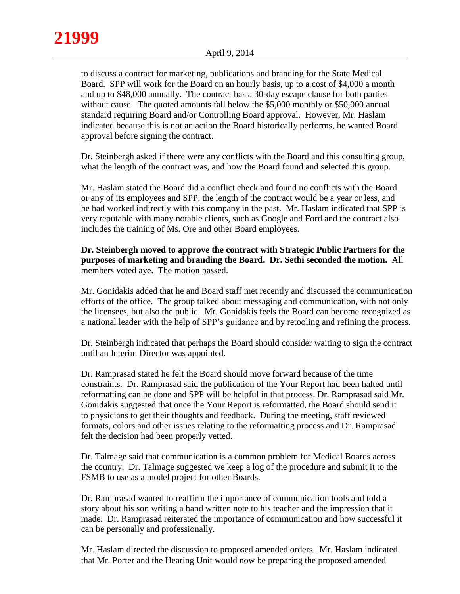to discuss a contract for marketing, publications and branding for the State Medical Board. SPP will work for the Board on an hourly basis, up to a cost of \$4,000 a month and up to \$48,000 annually. The contract has a 30-day escape clause for both parties without cause. The quoted amounts fall below the \$5,000 monthly or \$50,000 annual standard requiring Board and/or Controlling Board approval. However, Mr. Haslam indicated because this is not an action the Board historically performs, he wanted Board approval before signing the contract.

Dr. Steinbergh asked if there were any conflicts with the Board and this consulting group, what the length of the contract was, and how the Board found and selected this group.

Mr. Haslam stated the Board did a conflict check and found no conflicts with the Board or any of its employees and SPP, the length of the contract would be a year or less, and he had worked indirectly with this company in the past. Mr. Haslam indicated that SPP is very reputable with many notable clients, such as Google and Ford and the contract also includes the training of Ms. Ore and other Board employees.

**Dr. Steinbergh moved to approve the contract with Strategic Public Partners for the purposes of marketing and branding the Board. Dr. Sethi seconded the motion.** All members voted aye. The motion passed.

Mr. Gonidakis added that he and Board staff met recently and discussed the communication efforts of the office. The group talked about messaging and communication, with not only the licensees, but also the public. Mr. Gonidakis feels the Board can become recognized as a national leader with the help of SPP's guidance and by retooling and refining the process.

Dr. Steinbergh indicated that perhaps the Board should consider waiting to sign the contract until an Interim Director was appointed.

Dr. Ramprasad stated he felt the Board should move forward because of the time constraints. Dr. Ramprasad said the publication of the Your Report had been halted until reformatting can be done and SPP will be helpful in that process. Dr. Ramprasad said Mr. Gonidakis suggested that once the Your Report is reformatted, the Board should send it to physicians to get their thoughts and feedback. During the meeting, staff reviewed formats, colors and other issues relating to the reformatting process and Dr. Ramprasad felt the decision had been properly vetted.

Dr. Talmage said that communication is a common problem for Medical Boards across the country. Dr. Talmage suggested we keep a log of the procedure and submit it to the FSMB to use as a model project for other Boards.

Dr. Ramprasad wanted to reaffirm the importance of communication tools and told a story about his son writing a hand written note to his teacher and the impression that it made. Dr. Ramprasad reiterated the importance of communication and how successful it can be personally and professionally.

Mr. Haslam directed the discussion to proposed amended orders. Mr. Haslam indicated that Mr. Porter and the Hearing Unit would now be preparing the proposed amended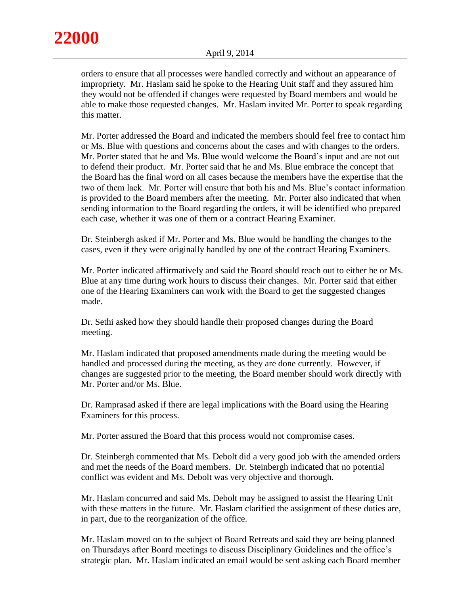

orders to ensure that all processes were handled correctly and without an appearance of impropriety. Mr. Haslam said he spoke to the Hearing Unit staff and they assured him they would not be offended if changes were requested by Board members and would be able to make those requested changes. Mr. Haslam invited Mr. Porter to speak regarding this matter.

Mr. Porter addressed the Board and indicated the members should feel free to contact him or Ms. Blue with questions and concerns about the cases and with changes to the orders. Mr. Porter stated that he and Ms. Blue would welcome the Board's input and are not out to defend their product. Mr. Porter said that he and Ms. Blue embrace the concept that the Board has the final word on all cases because the members have the expertise that the two of them lack. Mr. Porter will ensure that both his and Ms. Blue's contact information is provided to the Board members after the meeting. Mr. Porter also indicated that when sending information to the Board regarding the orders, it will be identified who prepared each case, whether it was one of them or a contract Hearing Examiner.

Dr. Steinbergh asked if Mr. Porter and Ms. Blue would be handling the changes to the cases, even if they were originally handled by one of the contract Hearing Examiners.

Mr. Porter indicated affirmatively and said the Board should reach out to either he or Ms. Blue at any time during work hours to discuss their changes. Mr. Porter said that either one of the Hearing Examiners can work with the Board to get the suggested changes made.

Dr. Sethi asked how they should handle their proposed changes during the Board meeting.

Mr. Haslam indicated that proposed amendments made during the meeting would be handled and processed during the meeting, as they are done currently. However, if changes are suggested prior to the meeting, the Board member should work directly with Mr. Porter and/or Ms. Blue.

Dr. Ramprasad asked if there are legal implications with the Board using the Hearing Examiners for this process.

Mr. Porter assured the Board that this process would not compromise cases.

Dr. Steinbergh commented that Ms. Debolt did a very good job with the amended orders and met the needs of the Board members. Dr. Steinbergh indicated that no potential conflict was evident and Ms. Debolt was very objective and thorough.

Mr. Haslam concurred and said Ms. Debolt may be assigned to assist the Hearing Unit with these matters in the future. Mr. Haslam clarified the assignment of these duties are, in part, due to the reorganization of the office.

Mr. Haslam moved on to the subject of Board Retreats and said they are being planned on Thursdays after Board meetings to discuss Disciplinary Guidelines and the office's strategic plan. Mr. Haslam indicated an email would be sent asking each Board member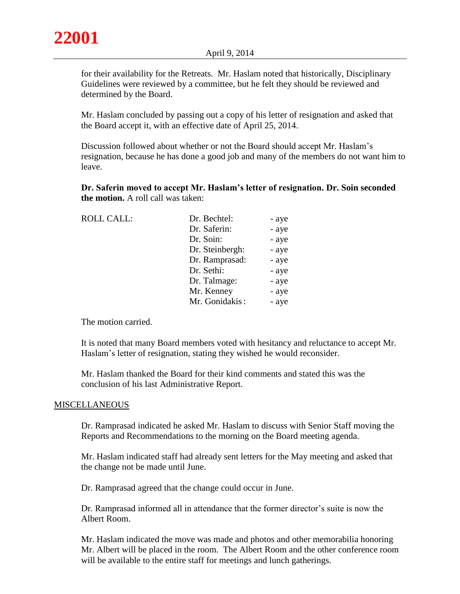for their availability for the Retreats. Mr. Haslam noted that historically, Disciplinary Guidelines were reviewed by a committee, but he felt they should be reviewed and determined by the Board.

Mr. Haslam concluded by passing out a copy of his letter of resignation and asked that the Board accept it, with an effective date of April 25, 2014.

Discussion followed about whether or not the Board should accept Mr. Haslam's resignation, because he has done a good job and many of the members do not want him to leave.

**Dr. Saferin moved to accept Mr. Haslam's letter of resignation. Dr. Soin seconded the motion.** A roll call was taken:

| <b>ROLL CALL:</b> | Dr. Bechtel:    | - aye |
|-------------------|-----------------|-------|
|                   | Dr. Saferin:    | - aye |
|                   | Dr. Soin:       | - aye |
|                   | Dr. Steinbergh: | - aye |
|                   | Dr. Ramprasad:  | - aye |
|                   | Dr. Sethi:      | - aye |
|                   | Dr. Talmage:    | - aye |
|                   | Mr. Kenney      | - aye |
|                   | Mr. Gonidakis:  | - aye |
|                   |                 |       |

The motion carried.

It is noted that many Board members voted with hesitancy and reluctance to accept Mr. Haslam's letter of resignation, stating they wished he would reconsider.

Mr. Haslam thanked the Board for their kind comments and stated this was the conclusion of his last Administrative Report.

## **MISCELLANEOUS**

Dr. Ramprasad indicated he asked Mr. Haslam to discuss with Senior Staff moving the Reports and Recommendations to the morning on the Board meeting agenda.

Mr. Haslam indicated staff had already sent letters for the May meeting and asked that the change not be made until June.

Dr. Ramprasad agreed that the change could occur in June.

Dr. Ramprasad informed all in attendance that the former director's suite is now the Albert Room.

Mr. Haslam indicated the move was made and photos and other memorabilia honoring Mr. Albert will be placed in the room. The Albert Room and the other conference room will be available to the entire staff for meetings and lunch gatherings.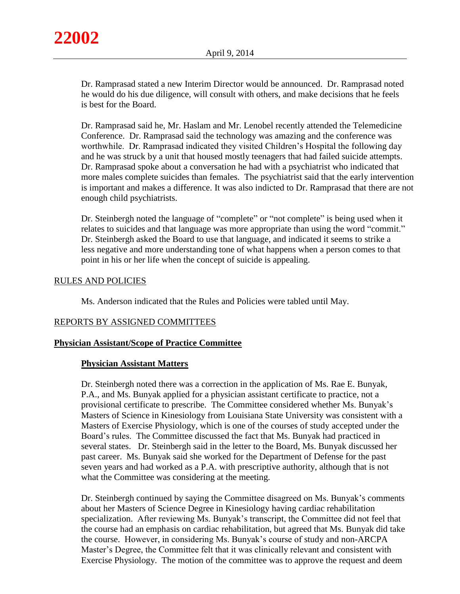Dr. Ramprasad stated a new Interim Director would be announced. Dr. Ramprasad noted he would do his due diligence, will consult with others, and make decisions that he feels is best for the Board.

Dr. Ramprasad said he, Mr. Haslam and Mr. Lenobel recently attended the Telemedicine Conference. Dr. Ramprasad said the technology was amazing and the conference was worthwhile. Dr. Ramprasad indicated they visited Children's Hospital the following day and he was struck by a unit that housed mostly teenagers that had failed suicide attempts. Dr. Ramprasad spoke about a conversation he had with a psychiatrist who indicated that more males complete suicides than females. The psychiatrist said that the early intervention is important and makes a difference. It was also indicted to Dr. Ramprasad that there are not enough child psychiatrists.

Dr. Steinbergh noted the language of "complete" or "not complete" is being used when it relates to suicides and that language was more appropriate than using the word "commit." Dr. Steinbergh asked the Board to use that language, and indicated it seems to strike a less negative and more understanding tone of what happens when a person comes to that point in his or her life when the concept of suicide is appealing.

# RULES AND POLICIES

Ms. Anderson indicated that the Rules and Policies were tabled until May.

# REPORTS BY ASSIGNED COMMITTEES

## **Physician Assistant/Scope of Practice Committee**

## **Physician Assistant Matters**

Dr. Steinbergh noted there was a correction in the application of Ms. Rae E. Bunyak, P.A., and Ms. Bunyak applied for a physician assistant certificate to practice, not a provisional certificate to prescribe. The Committee considered whether Ms. Bunyak's Masters of Science in Kinesiology from Louisiana State University was consistent with a Masters of Exercise Physiology, which is one of the courses of study accepted under the Board's rules. The Committee discussed the fact that Ms. Bunyak had practiced in several states. Dr. Steinbergh said in the letter to the Board, Ms. Bunyak discussed her past career. Ms. Bunyak said she worked for the Department of Defense for the past seven years and had worked as a P.A. with prescriptive authority, although that is not what the Committee was considering at the meeting.

Dr. Steinbergh continued by saying the Committee disagreed on Ms. Bunyak's comments about her Masters of Science Degree in Kinesiology having cardiac rehabilitation specialization. After reviewing Ms. Bunyak's transcript, the Committee did not feel that the course had an emphasis on cardiac rehabilitation, but agreed that Ms. Bunyak did take the course. However, in considering Ms. Bunyak's course of study and non-ARCPA Master's Degree, the Committee felt that it was clinically relevant and consistent with Exercise Physiology. The motion of the committee was to approve the request and deem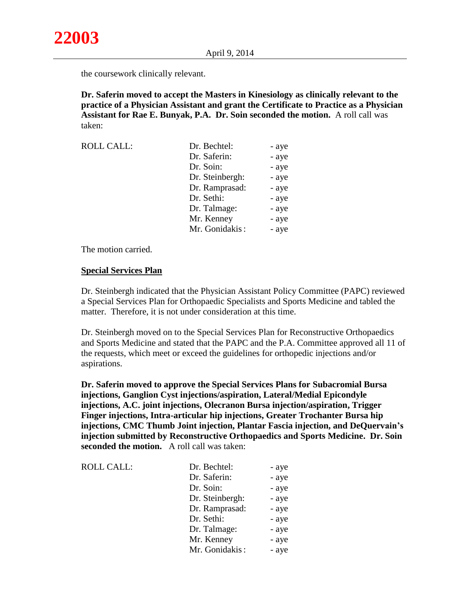the coursework clinically relevant.

**Dr. Saferin moved to accept the Masters in Kinesiology as clinically relevant to the practice of a Physician Assistant and grant the Certificate to Practice as a Physician Assistant for Rae E. Bunyak, P.A. Dr. Soin seconded the motion.** A roll call was taken:

| <b>ROLL CALL:</b> | Dr. Bechtel:    | - aye |
|-------------------|-----------------|-------|
|                   | Dr. Saferin:    | - aye |
|                   | Dr. Soin:       | - aye |
|                   | Dr. Steinbergh: | - aye |
|                   | Dr. Ramprasad:  | - aye |
|                   | Dr. Sethi:      | - aye |
|                   | Dr. Talmage:    | - aye |
|                   | Mr. Kenney      | - aye |
|                   | Mr. Gonidakis:  | - aye |

The motion carried.

## **Special Services Plan**

Dr. Steinbergh indicated that the Physician Assistant Policy Committee (PAPC) reviewed a Special Services Plan for Orthopaedic Specialists and Sports Medicine and tabled the matter. Therefore, it is not under consideration at this time.

Dr. Steinbergh moved on to the Special Services Plan for Reconstructive Orthopaedics and Sports Medicine and stated that the PAPC and the P.A. Committee approved all 11 of the requests, which meet or exceed the guidelines for orthopedic injections and/or aspirations.

**Dr. Saferin moved to approve the Special Services Plans for Subacromial Bursa injections, Ganglion Cyst injections/aspiration, Lateral/Medial Epicondyle injections, A.C. joint injections, Olecranon Bursa injection/aspiration, Trigger Finger injections, Intra-articular hip injections, Greater Trochanter Bursa hip injections, CMC Thumb Joint injection, Plantar Fascia injection, and DeQuervain's injection submitted by Reconstructive Orthopaedics and Sports Medicine. Dr. Soin seconded the motion.** A roll call was taken:

| Dr. Bechtel:    | - aye |
|-----------------|-------|
| Dr. Saferin:    | - aye |
| Dr. Soin:       | - aye |
| Dr. Steinbergh: | - aye |
| Dr. Ramprasad:  | - aye |
| Dr. Sethi:      | - aye |
| Dr. Talmage:    | - aye |
| Mr. Kenney      | - aye |
| Mr. Gonidakis:  | - aye |
|                 |       |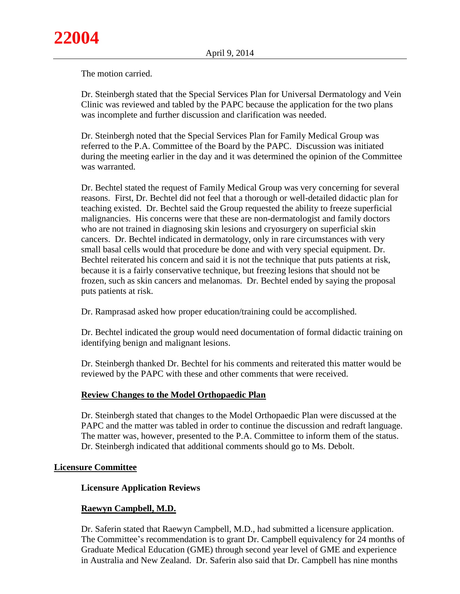The motion carried.

Dr. Steinbergh stated that the Special Services Plan for Universal Dermatology and Vein Clinic was reviewed and tabled by the PAPC because the application for the two plans was incomplete and further discussion and clarification was needed.

Dr. Steinbergh noted that the Special Services Plan for Family Medical Group was referred to the P.A. Committee of the Board by the PAPC. Discussion was initiated during the meeting earlier in the day and it was determined the opinion of the Committee was warranted.

Dr. Bechtel stated the request of Family Medical Group was very concerning for several reasons. First, Dr. Bechtel did not feel that a thorough or well-detailed didactic plan for teaching existed. Dr. Bechtel said the Group requested the ability to freeze superficial malignancies. His concerns were that these are non-dermatologist and family doctors who are not trained in diagnosing skin lesions and cryosurgery on superficial skin cancers. Dr. Bechtel indicated in dermatology, only in rare circumstances with very small basal cells would that procedure be done and with very special equipment. Dr. Bechtel reiterated his concern and said it is not the technique that puts patients at risk, because it is a fairly conservative technique, but freezing lesions that should not be frozen, such as skin cancers and melanomas. Dr. Bechtel ended by saying the proposal puts patients at risk.

Dr. Ramprasad asked how proper education/training could be accomplished.

Dr. Bechtel indicated the group would need documentation of formal didactic training on identifying benign and malignant lesions.

Dr. Steinbergh thanked Dr. Bechtel for his comments and reiterated this matter would be reviewed by the PAPC with these and other comments that were received.

# **Review Changes to the Model Orthopaedic Plan**

Dr. Steinbergh stated that changes to the Model Orthopaedic Plan were discussed at the PAPC and the matter was tabled in order to continue the discussion and redraft language. The matter was, however, presented to the P.A. Committee to inform them of the status. Dr. Steinbergh indicated that additional comments should go to Ms. Debolt.

# **Licensure Committee**

# **Licensure Application Reviews**

# **Raewyn Campbell, M.D.**

Dr. Saferin stated that Raewyn Campbell, M.D., had submitted a licensure application. The Committee's recommendation is to grant Dr. Campbell equivalency for 24 months of Graduate Medical Education (GME) through second year level of GME and experience in Australia and New Zealand. Dr. Saferin also said that Dr. Campbell has nine months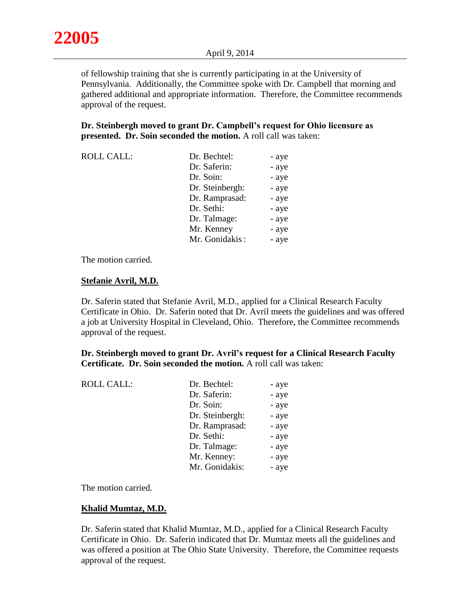of fellowship training that she is currently participating in at the University of Pennsylvania. Additionally, the Committee spoke with Dr. Campbell that morning and gathered additional and appropriate information. Therefore, the Committee recommends approval of the request.

**Dr. Steinbergh moved to grant Dr. Campbell's request for Ohio licensure as presented. Dr. Soin seconded the motion.** A roll call was taken:

| <b>ROLL CALL:</b> | Dr. Bechtel:    | - aye |
|-------------------|-----------------|-------|
|                   | Dr. Saferin:    | - aye |
|                   | Dr. Soin:       | - aye |
|                   | Dr. Steinbergh: | - aye |
|                   | Dr. Ramprasad:  | - aye |
|                   | Dr. Sethi:      | - aye |
|                   | Dr. Talmage:    | - aye |
|                   | Mr. Kenney      | - aye |
|                   | Mr. Gonidakis:  | - aye |

The motion carried.

#### **Stefanie Avril, M.D.**

Dr. Saferin stated that Stefanie Avril, M.D., applied for a Clinical Research Faculty Certificate in Ohio. Dr. Saferin noted that Dr. Avril meets the guidelines and was offered a job at University Hospital in Cleveland, Ohio. Therefore, the Committee recommends approval of the request.

**Dr. Steinbergh moved to grant Dr. Avril's request for a Clinical Research Faculty Certificate. Dr. Soin seconded the motion.** A roll call was taken:

| <b>ROLL CALL:</b> | Dr. Bechtel:    | - aye |
|-------------------|-----------------|-------|
|                   | Dr. Saferin:    | - aye |
|                   | Dr. Soin:       | - aye |
|                   | Dr. Steinbergh: | - aye |
|                   | Dr. Ramprasad:  | - aye |
|                   | Dr. Sethi:      | - aye |
|                   | Dr. Talmage:    | - aye |
|                   | Mr. Kenney:     | - aye |
|                   | Mr. Gonidakis:  | - aye |
|                   |                 |       |

The motion carried.

## **Khalid Mumtaz, M.D.**

Dr. Saferin stated that Khalid Mumtaz, M.D., applied for a Clinical Research Faculty Certificate in Ohio. Dr. Saferin indicated that Dr. Mumtaz meets all the guidelines and was offered a position at The Ohio State University. Therefore, the Committee requests approval of the request.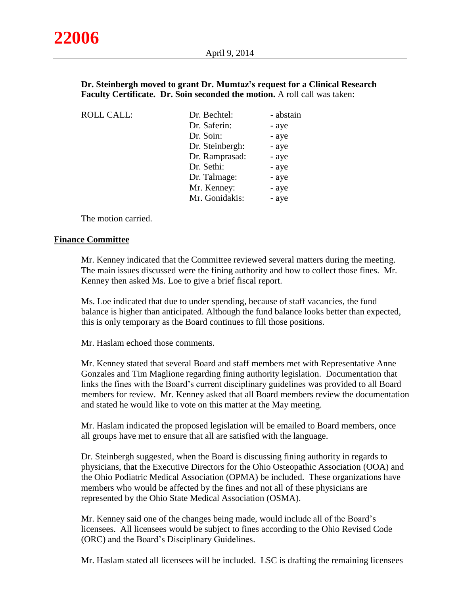## **Dr. Steinbergh moved to grant Dr. Mumtaz's request for a Clinical Research Faculty Certificate. Dr. Soin seconded the motion.** A roll call was taken:

| <b>ROLL CALL:</b> | Dr. Bechtel:    | - abstain |
|-------------------|-----------------|-----------|
|                   | Dr. Saferin:    | - aye     |
|                   | Dr. Soin:       | - aye     |
|                   | Dr. Steinbergh: | - aye     |
|                   | Dr. Ramprasad:  | - aye     |
|                   | Dr. Sethi:      | - aye     |
|                   | Dr. Talmage:    | - aye     |
|                   | Mr. Kenney:     | - aye     |
|                   | Mr. Gonidakis:  | - aye     |
|                   |                 |           |

The motion carried.

# **Finance Committee**

Mr. Kenney indicated that the Committee reviewed several matters during the meeting. The main issues discussed were the fining authority and how to collect those fines. Mr. Kenney then asked Ms. Loe to give a brief fiscal report.

Ms. Loe indicated that due to under spending, because of staff vacancies, the fund balance is higher than anticipated. Although the fund balance looks better than expected, this is only temporary as the Board continues to fill those positions.

Mr. Haslam echoed those comments.

Mr. Kenney stated that several Board and staff members met with Representative Anne Gonzales and Tim Maglione regarding fining authority legislation. Documentation that links the fines with the Board's current disciplinary guidelines was provided to all Board members for review. Mr. Kenney asked that all Board members review the documentation and stated he would like to vote on this matter at the May meeting.

Mr. Haslam indicated the proposed legislation will be emailed to Board members, once all groups have met to ensure that all are satisfied with the language.

Dr. Steinbergh suggested, when the Board is discussing fining authority in regards to physicians, that the Executive Directors for the Ohio Osteopathic Association (OOA) and the Ohio Podiatric Medical Association (OPMA) be included. These organizations have members who would be affected by the fines and not all of these physicians are represented by the Ohio State Medical Association (OSMA).

Mr. Kenney said one of the changes being made, would include all of the Board's licensees. All licensees would be subject to fines according to the Ohio Revised Code (ORC) and the Board's Disciplinary Guidelines.

Mr. Haslam stated all licensees will be included. LSC is drafting the remaining licensees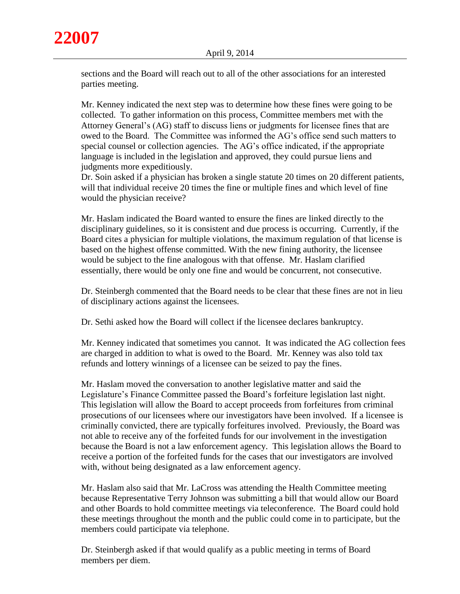

sections and the Board will reach out to all of the other associations for an interested parties meeting.

Mr. Kenney indicated the next step was to determine how these fines were going to be collected. To gather information on this process, Committee members met with the Attorney General's (AG) staff to discuss liens or judgments for licensee fines that are owed to the Board. The Committee was informed the AG's office send such matters to special counsel or collection agencies. The AG's office indicated, if the appropriate language is included in the legislation and approved, they could pursue liens and judgments more expeditiously.

Dr. Soin asked if a physician has broken a single statute 20 times on 20 different patients, will that individual receive 20 times the fine or multiple fines and which level of fine would the physician receive?

Mr. Haslam indicated the Board wanted to ensure the fines are linked directly to the disciplinary guidelines, so it is consistent and due process is occurring. Currently, if the Board cites a physician for multiple violations, the maximum regulation of that license is based on the highest offense committed. With the new fining authority, the licensee would be subject to the fine analogous with that offense. Mr. Haslam clarified essentially, there would be only one fine and would be concurrent, not consecutive.

Dr. Steinbergh commented that the Board needs to be clear that these fines are not in lieu of disciplinary actions against the licensees.

Dr. Sethi asked how the Board will collect if the licensee declares bankruptcy.

Mr. Kenney indicated that sometimes you cannot. It was indicated the AG collection fees are charged in addition to what is owed to the Board. Mr. Kenney was also told tax refunds and lottery winnings of a licensee can be seized to pay the fines.

Mr. Haslam moved the conversation to another legislative matter and said the Legislature's Finance Committee passed the Board's forfeiture legislation last night. This legislation will allow the Board to accept proceeds from forfeitures from criminal prosecutions of our licensees where our investigators have been involved. If a licensee is criminally convicted, there are typically forfeitures involved. Previously, the Board was not able to receive any of the forfeited funds for our involvement in the investigation because the Board is not a law enforcement agency. This legislation allows the Board to receive a portion of the forfeited funds for the cases that our investigators are involved with, without being designated as a law enforcement agency.

Mr. Haslam also said that Mr. LaCross was attending the Health Committee meeting because Representative Terry Johnson was submitting a bill that would allow our Board and other Boards to hold committee meetings via teleconference. The Board could hold these meetings throughout the month and the public could come in to participate, but the members could participate via telephone.

Dr. Steinbergh asked if that would qualify as a public meeting in terms of Board members per diem.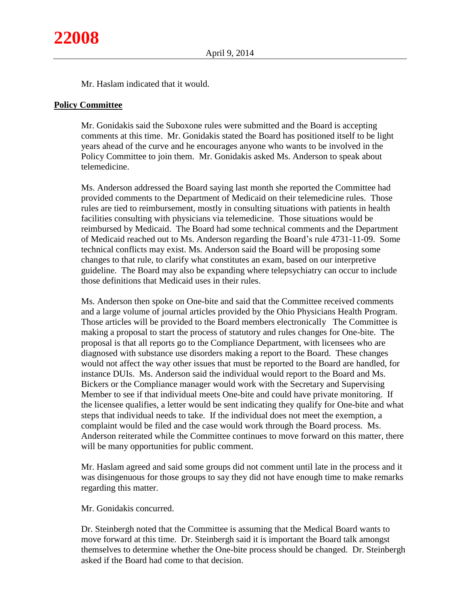Mr. Haslam indicated that it would.

#### **Policy Committee**

Mr. Gonidakis said the Suboxone rules were submitted and the Board is accepting comments at this time. Mr. Gonidakis stated the Board has positioned itself to be light years ahead of the curve and he encourages anyone who wants to be involved in the Policy Committee to join them. Mr. Gonidakis asked Ms. Anderson to speak about telemedicine.

Ms. Anderson addressed the Board saying last month she reported the Committee had provided comments to the Department of Medicaid on their telemedicine rules. Those rules are tied to reimbursement, mostly in consulting situations with patients in health facilities consulting with physicians via telemedicine. Those situations would be reimbursed by Medicaid. The Board had some technical comments and the Department of Medicaid reached out to Ms. Anderson regarding the Board's rule 4731-11-09. Some technical conflicts may exist. Ms. Anderson said the Board will be proposing some changes to that rule, to clarify what constitutes an exam, based on our interpretive guideline. The Board may also be expanding where telepsychiatry can occur to include those definitions that Medicaid uses in their rules.

Ms. Anderson then spoke on One-bite and said that the Committee received comments and a large volume of journal articles provided by the Ohio Physicians Health Program. Those articles will be provided to the Board members electronically The Committee is making a proposal to start the process of statutory and rules changes for One-bite. The proposal is that all reports go to the Compliance Department, with licensees who are diagnosed with substance use disorders making a report to the Board. These changes would not affect the way other issues that must be reported to the Board are handled, for instance DUIs. Ms. Anderson said the individual would report to the Board and Ms. Bickers or the Compliance manager would work with the Secretary and Supervising Member to see if that individual meets One-bite and could have private monitoring. If the licensee qualifies, a letter would be sent indicating they qualify for One-bite and what steps that individual needs to take. If the individual does not meet the exemption, a complaint would be filed and the case would work through the Board process. Ms. Anderson reiterated while the Committee continues to move forward on this matter, there will be many opportunities for public comment.

Mr. Haslam agreed and said some groups did not comment until late in the process and it was disingenuous for those groups to say they did not have enough time to make remarks regarding this matter.

Mr. Gonidakis concurred.

Dr. Steinbergh noted that the Committee is assuming that the Medical Board wants to move forward at this time. Dr. Steinbergh said it is important the Board talk amongst themselves to determine whether the One-bite process should be changed. Dr. Steinbergh asked if the Board had come to that decision.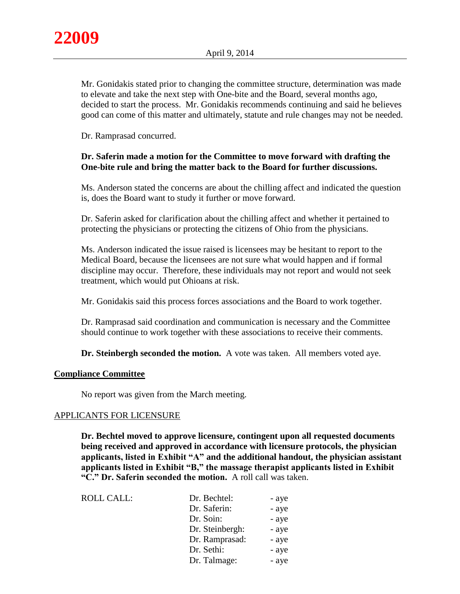Mr. Gonidakis stated prior to changing the committee structure, determination was made to elevate and take the next step with One-bite and the Board, several months ago, decided to start the process. Mr. Gonidakis recommends continuing and said he believes good can come of this matter and ultimately, statute and rule changes may not be needed.

Dr. Ramprasad concurred.

## **Dr. Saferin made a motion for the Committee to move forward with drafting the One-bite rule and bring the matter back to the Board for further discussions.**

Ms. Anderson stated the concerns are about the chilling affect and indicated the question is, does the Board want to study it further or move forward.

Dr. Saferin asked for clarification about the chilling affect and whether it pertained to protecting the physicians or protecting the citizens of Ohio from the physicians.

Ms. Anderson indicated the issue raised is licensees may be hesitant to report to the Medical Board, because the licensees are not sure what would happen and if formal discipline may occur. Therefore, these individuals may not report and would not seek treatment, which would put Ohioans at risk.

Mr. Gonidakis said this process forces associations and the Board to work together.

Dr. Ramprasad said coordination and communication is necessary and the Committee should continue to work together with these associations to receive their comments.

**Dr. Steinbergh seconded the motion.** A vote was taken. All members voted aye.

## **Compliance Committee**

No report was given from the March meeting.

## APPLICANTS FOR LICENSURE

**Dr. Bechtel moved to approve licensure, contingent upon all requested documents being received and approved in accordance with licensure protocols, the physician applicants, listed in Exhibit "A" and the additional handout, the physician assistant applicants listed in Exhibit "B," the massage therapist applicants listed in Exhibit "C." Dr. Saferin seconded the motion.** A roll call was taken.

| <b>ROLL CALL:</b> | Dr. Bechtel:    | - aye |
|-------------------|-----------------|-------|
|                   | Dr. Saferin:    | - aye |
|                   | Dr. Soin:       | - aye |
|                   | Dr. Steinbergh: | - aye |
|                   | Dr. Ramprasad:  | - aye |
|                   | Dr. Sethi:      | - aye |
|                   | Dr. Talmage:    | - aye |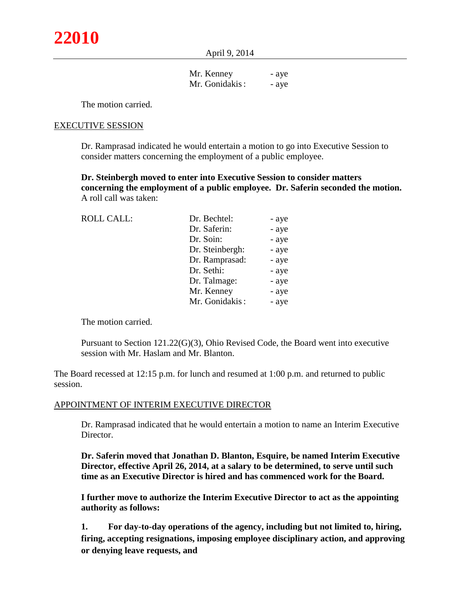April 9, 2014

| Mr. Kenney     | - aye |
|----------------|-------|
| Mr. Gonidakis: | - aye |

The motion carried.

#### EXECUTIVE SESSION

Dr. Ramprasad indicated he would entertain a motion to go into Executive Session to consider matters concerning the employment of a public employee.

**Dr. Steinbergh moved to enter into Executive Session to consider matters concerning the employment of a public employee. Dr. Saferin seconded the motion.** A roll call was taken:

| <b>ROLL CALL:</b> | Dr. Bechtel:    | - aye |
|-------------------|-----------------|-------|
|                   | Dr. Saferin:    | - aye |
|                   | Dr. Soin:       | - aye |
|                   | Dr. Steinbergh: | - aye |
|                   | Dr. Ramprasad:  | - aye |
|                   | Dr. Sethi:      | - aye |
|                   | Dr. Talmage:    | - aye |
|                   | Mr. Kenney      | - aye |
|                   | Mr. Gonidakis:  | - aye |
|                   |                 |       |

The motion carried.

Pursuant to Section 121.22(G)(3), Ohio Revised Code, the Board went into executive session with Mr. Haslam and Mr. Blanton.

The Board recessed at 12:15 p.m. for lunch and resumed at 1:00 p.m. and returned to public session.

#### APPOINTMENT OF INTERIM EXECUTIVE DIRECTOR

Dr. Ramprasad indicated that he would entertain a motion to name an Interim Executive Director.

**Dr. Saferin moved that Jonathan D. Blanton, Esquire, be named Interim Executive Director, effective April 26, 2014, at a salary to be determined, to serve until such time as an Executive Director is hired and has commenced work for the Board.** 

**I further move to authorize the Interim Executive Director to act as the appointing authority as follows:**

**1. For day-to-day operations of the agency, including but not limited to, hiring, firing, accepting resignations, imposing employee disciplinary action, and approving or denying leave requests, and**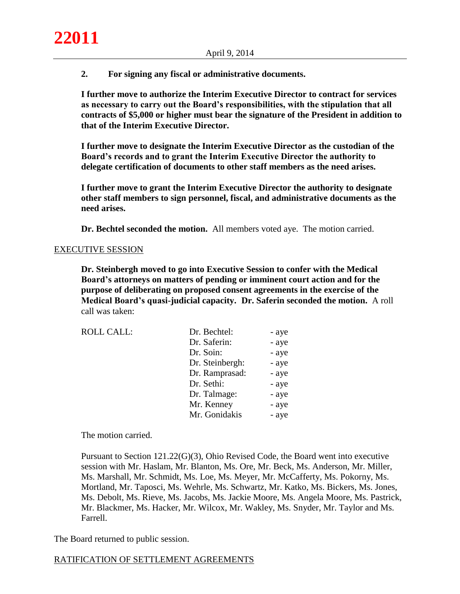**2. For signing any fiscal or administrative documents.**

**I further move to authorize the Interim Executive Director to contract for services as necessary to carry out the Board's responsibilities, with the stipulation that all contracts of \$5,000 or higher must bear the signature of the President in addition to that of the Interim Executive Director.**

**I further move to designate the Interim Executive Director as the custodian of the Board's records and to grant the Interim Executive Director the authority to delegate certification of documents to other staff members as the need arises.**

**I further move to grant the Interim Executive Director the authority to designate other staff members to sign personnel, fiscal, and administrative documents as the need arises.**

**Dr. Bechtel seconded the motion.** All members voted aye. The motion carried.

#### EXECUTIVE SESSION

**Dr. Steinbergh moved to go into Executive Session to confer with the Medical Board's attorneys on matters of pending or imminent court action and for the purpose of deliberating on proposed consent agreements in the exercise of the Medical Board's quasi-judicial capacity. Dr. Saferin seconded the motion.** A roll call was taken:

| <b>ROLL CALL:</b> | Dr. Bechtel:    | - aye |
|-------------------|-----------------|-------|
|                   | Dr. Saferin:    | - aye |
|                   | Dr. Soin:       | - aye |
|                   | Dr. Steinbergh: | - aye |
|                   | Dr. Ramprasad:  | - aye |
|                   | Dr. Sethi:      | - aye |
|                   | Dr. Talmage:    | - aye |
|                   | Mr. Kenney      | - aye |
|                   | Mr. Gonidakis   | - aye |

The motion carried.

Pursuant to Section 121.22(G)(3), Ohio Revised Code, the Board went into executive session with Mr. Haslam, Mr. Blanton, Ms. Ore, Mr. Beck, Ms. Anderson, Mr. Miller, Ms. Marshall, Mr. Schmidt, Ms. Loe, Ms. Meyer, Mr. McCafferty, Ms. Pokorny, Ms. Mortland, Mr. Taposci, Ms. Wehrle, Ms. Schwartz, Mr. Katko, Ms. Bickers, Ms. Jones, Ms. Debolt, Ms. Rieve, Ms. Jacobs, Ms. Jackie Moore, Ms. Angela Moore, Ms. Pastrick, Mr. Blackmer, Ms. Hacker, Mr. Wilcox, Mr. Wakley, Ms. Snyder, Mr. Taylor and Ms. Farrell.

The Board returned to public session.

# RATIFICATION OF SETTLEMENT AGREEMENTS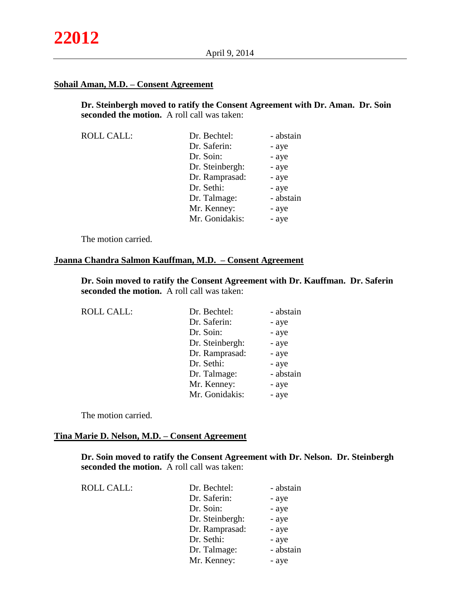## **Sohail Aman, M.D. – Consent Agreement**

**Dr. Steinbergh moved to ratify the Consent Agreement with Dr. Aman. Dr. Soin seconded the motion.** A roll call was taken:

| <b>ROLL CALL:</b> | Dr. Bechtel:    | - abstain |
|-------------------|-----------------|-----------|
|                   | Dr. Saferin:    | - aye     |
|                   | Dr. Soin:       | - aye     |
|                   | Dr. Steinbergh: | - aye     |
|                   | Dr. Ramprasad:  | - aye     |
|                   | Dr. Sethi:      | - aye     |
|                   | Dr. Talmage:    | - abstain |
|                   | Mr. Kenney:     | - aye     |
|                   | Mr. Gonidakis:  | - aye     |

The motion carried.

# **Joanna Chandra Salmon Kauffman, M.D. – Consent Agreement**

**Dr. Soin moved to ratify the Consent Agreement with Dr. Kauffman. Dr. Saferin seconded the motion.** A roll call was taken:

| <b>ROLL CALL:</b> | Dr. Bechtel:    | - abstain |
|-------------------|-----------------|-----------|
|                   | Dr. Saferin:    | - aye     |
|                   | Dr. Soin:       | - aye     |
|                   | Dr. Steinbergh: | - aye     |
|                   | Dr. Ramprasad:  | - aye     |
|                   | Dr. Sethi:      | - aye     |
|                   | Dr. Talmage:    | - abstain |
|                   | Mr. Kenney:     | - aye     |
|                   | Mr. Gonidakis:  | - aye     |
|                   |                 |           |

The motion carried.

#### **Tina Marie D. Nelson, M.D. – Consent Agreement**

**Dr. Soin moved to ratify the Consent Agreement with Dr. Nelson. Dr. Steinbergh seconded the motion.** A roll call was taken:

| <b>ROLL CALL:</b> | Dr. Bechtel:    | - abstain |
|-------------------|-----------------|-----------|
|                   | Dr. Saferin:    | - aye     |
|                   | Dr. Soin:       | - aye     |
|                   | Dr. Steinbergh: | - aye     |
|                   | Dr. Ramprasad:  | - aye     |
|                   | Dr. Sethi:      | - aye     |
|                   | Dr. Talmage:    | - abstain |
|                   | Mr. Kenney:     | - aye     |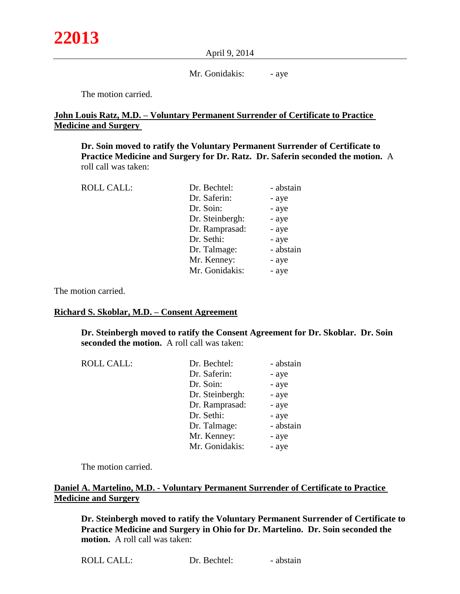#### April 9, 2014

#### Mr. Gonidakis: - aye

The motion carried.

# **John Louis Ratz, M.D. – Voluntary Permanent Surrender of Certificate to Practice Medicine and Surgery**

**Dr. Soin moved to ratify the Voluntary Permanent Surrender of Certificate to Practice Medicine and Surgery for Dr. Ratz. Dr. Saferin seconded the motion.** A roll call was taken:

| <b>ROLL CALL:</b> | Dr. Bechtel:    | - abstain |
|-------------------|-----------------|-----------|
|                   | Dr. Saferin:    | - aye     |
|                   | Dr. Soin:       | - aye     |
|                   | Dr. Steinbergh: | - aye     |
|                   | Dr. Ramprasad:  | - aye     |
|                   | Dr. Sethi:      | - aye     |
|                   | Dr. Talmage:    | - abstain |
|                   | Mr. Kenney:     | - aye     |
|                   | Mr. Gonidakis:  | - aye     |
|                   |                 |           |

The motion carried.

#### **Richard S. Skoblar, M.D. – Consent Agreement**

**Dr. Steinbergh moved to ratify the Consent Agreement for Dr. Skoblar. Dr. Soin seconded the motion.** A roll call was taken:

| <b>ROLL CALL:</b> | Dr. Bechtel:    | - abstain |
|-------------------|-----------------|-----------|
|                   | Dr. Saferin:    | - aye     |
|                   | Dr. Soin:       | - aye     |
|                   | Dr. Steinbergh: | - aye     |
|                   | Dr. Ramprasad:  | - aye     |
|                   | Dr. Sethi:      | - aye     |
|                   | Dr. Talmage:    | - abstain |
|                   | Mr. Kenney:     | - aye     |
|                   | Mr. Gonidakis:  | - aye     |

The motion carried.

# **Daniel A. Martelino, M.D. - Voluntary Permanent Surrender of Certificate to Practice Medicine and Surgery**

**Dr. Steinbergh moved to ratify the Voluntary Permanent Surrender of Certificate to Practice Medicine and Surgery in Ohio for Dr. Martelino. Dr. Soin seconded the motion.** A roll call was taken:

| <b>ROLL CALL:</b> | Dr. Bechtel: | - abstain |
|-------------------|--------------|-----------|
|-------------------|--------------|-----------|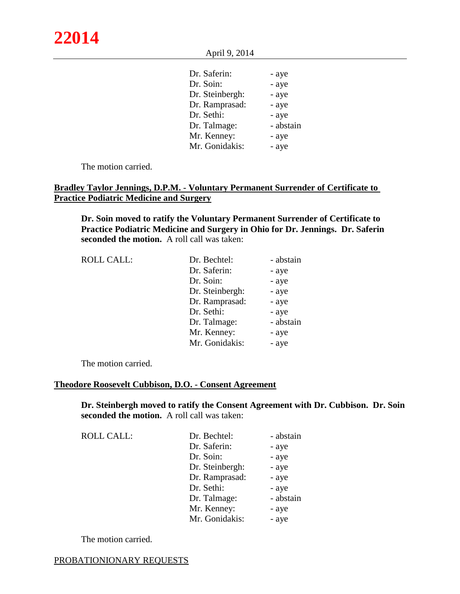April 9, 2014

| Dr. Saferin:    | - aye     |
|-----------------|-----------|
| Dr. Soin:       | - aye     |
| Dr. Steinbergh: | - aye     |
| Dr. Ramprasad:  | - aye     |
| Dr. Sethi:      | - aye     |
| Dr. Talmage:    | - abstain |
| Mr. Kenney:     | - aye     |
| Mr. Gonidakis:  | - aye     |
|                 |           |

The motion carried.

# **Bradley Taylor Jennings, D.P.M. - Voluntary Permanent Surrender of Certificate to Practice Podiatric Medicine and Surgery**

**Dr. Soin moved to ratify the Voluntary Permanent Surrender of Certificate to Practice Podiatric Medicine and Surgery in Ohio for Dr. Jennings. Dr. Saferin seconded the motion.** A roll call was taken:

| <b>ROLL CALL:</b> | Dr. Bechtel:    | - abstain |
|-------------------|-----------------|-----------|
|                   | Dr. Saferin:    | - aye     |
|                   | Dr. Soin:       | - aye     |
|                   | Dr. Steinbergh: | - aye     |
|                   | Dr. Ramprasad:  | - aye     |
|                   | Dr. Sethi:      | - aye     |
|                   | Dr. Talmage:    | - abstain |
|                   | Mr. Kenney:     | - aye     |
|                   | Mr. Gonidakis:  | - aye     |

The motion carried.

#### **Theodore Roosevelt Cubbison, D.O. - Consent Agreement**

**Dr. Steinbergh moved to ratify the Consent Agreement with Dr. Cubbison. Dr. Soin seconded the motion.** A roll call was taken:

| <b>ROLL CALL:</b> | Dr. Bechtel:    | - abstain |
|-------------------|-----------------|-----------|
|                   | Dr. Saferin:    | - aye     |
|                   | Dr. Soin:       | - aye     |
|                   | Dr. Steinbergh: | - aye     |
|                   | Dr. Ramprasad:  | - aye     |
|                   | Dr. Sethi:      | - aye     |
|                   | Dr. Talmage:    | - abstain |
|                   | Mr. Kenney:     | - aye     |
|                   | Mr. Gonidakis:  | - aye     |

The motion carried.

#### PROBATIONIONARY REQUESTS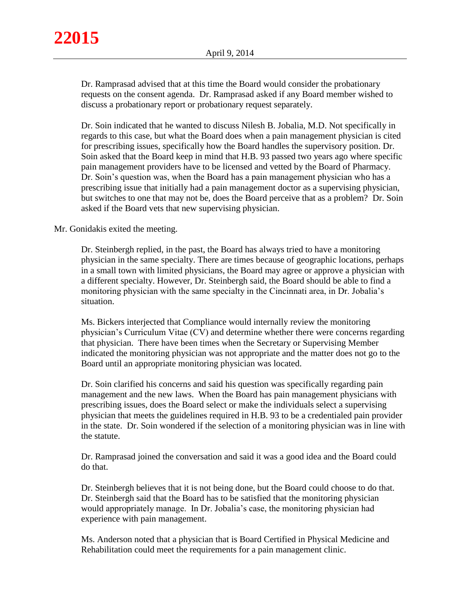Dr. Ramprasad advised that at this time the Board would consider the probationary requests on the consent agenda. Dr. Ramprasad asked if any Board member wished to discuss a probationary report or probationary request separately.

Dr. Soin indicated that he wanted to discuss Nilesh B. Jobalia, M.D. Not specifically in regards to this case, but what the Board does when a pain management physician is cited for prescribing issues, specifically how the Board handles the supervisory position. Dr. Soin asked that the Board keep in mind that H.B. 93 passed two years ago where specific pain management providers have to be licensed and vetted by the Board of Pharmacy. Dr. Soin's question was, when the Board has a pain management physician who has a prescribing issue that initially had a pain management doctor as a supervising physician, but switches to one that may not be, does the Board perceive that as a problem? Dr. Soin asked if the Board vets that new supervising physician.

## Mr. Gonidakis exited the meeting.

Dr. Steinbergh replied, in the past, the Board has always tried to have a monitoring physician in the same specialty. There are times because of geographic locations, perhaps in a small town with limited physicians, the Board may agree or approve a physician with a different specialty. However, Dr. Steinbergh said, the Board should be able to find a monitoring physician with the same specialty in the Cincinnati area, in Dr. Jobalia's situation.

Ms. Bickers interjected that Compliance would internally review the monitoring physician's Curriculum Vitae (CV) and determine whether there were concerns regarding that physician. There have been times when the Secretary or Supervising Member indicated the monitoring physician was not appropriate and the matter does not go to the Board until an appropriate monitoring physician was located.

Dr. Soin clarified his concerns and said his question was specifically regarding pain management and the new laws. When the Board has pain management physicians with prescribing issues, does the Board select or make the individuals select a supervising physician that meets the guidelines required in H.B. 93 to be a credentialed pain provider in the state. Dr. Soin wondered if the selection of a monitoring physician was in line with the statute.

Dr. Ramprasad joined the conversation and said it was a good idea and the Board could do that.

Dr. Steinbergh believes that it is not being done, but the Board could choose to do that. Dr. Steinbergh said that the Board has to be satisfied that the monitoring physician would appropriately manage. In Dr. Jobalia's case, the monitoring physician had experience with pain management.

Ms. Anderson noted that a physician that is Board Certified in Physical Medicine and Rehabilitation could meet the requirements for a pain management clinic.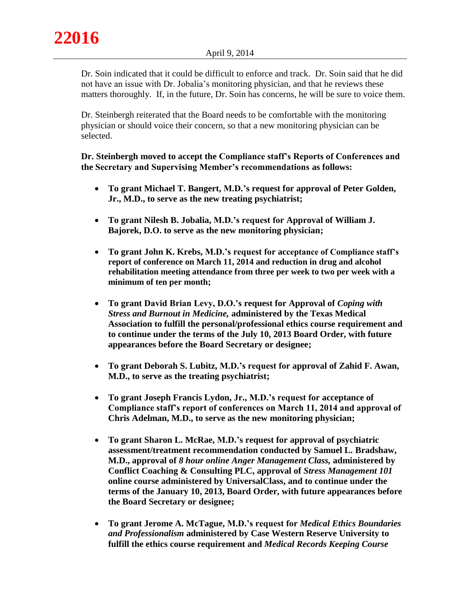Dr. Soin indicated that it could be difficult to enforce and track. Dr. Soin said that he did not have an issue with Dr. Jobalia's monitoring physician, and that he reviews these matters thoroughly. If, in the future, Dr. Soin has concerns, he will be sure to voice them.

Dr. Steinbergh reiterated that the Board needs to be comfortable with the monitoring physician or should voice their concern, so that a new monitoring physician can be selected.

**Dr. Steinbergh moved to accept the Compliance staff's Reports of Conferences and the Secretary and Supervising Member's recommendations as follows:** 

- **To grant Michael T. Bangert, M.D.'s request for approval of Peter Golden, Jr., M.D., to serve as the new treating psychiatrist;**
- **To grant Nilesh B. Jobalia, M.D.'s request for Approval of William J. Bajorek, D.O. to serve as the new monitoring physician;**
- **To grant John K. Krebs, M.D.'s request for acceptance of Compliance staff's report of conference on March 11, 2014 and reduction in drug and alcohol rehabilitation meeting attendance from three per week to two per week with a minimum of ten per month;**
- **To grant David Brian Levy, D.O.'s request for Approval of** *Coping with Stress and Burnout in Medicine,* **administered by the Texas Medical Association to fulfill the personal/professional ethics course requirement and to continue under the terms of the July 10, 2013 Board Order, with future appearances before the Board Secretary or designee;**
- **To grant Deborah S. Lubitz, M.D.'s request for approval of Zahid F. Awan, M.D., to serve as the treating psychiatrist;**
- **To grant Joseph Francis Lydon, Jr., M.D.'s request for acceptance of Compliance staff's report of conferences on March 11, 2014 and approval of Chris Adelman, M.D., to serve as the new monitoring physician;**
- **To grant Sharon L. McRae, M.D.'s request for approval of psychiatric assessment/treatment recommendation conducted by Samuel L. Bradshaw, M.D., approval of** *8 hour online Anger Management Class,* **administered by Conflict Coaching & Consulting PLC, approval of** *Stress Management 101*  **online course administered by UniversalClass, and to continue under the terms of the January 10, 2013, Board Order, with future appearances before the Board Secretary or designee;**
- **To grant Jerome A. McTague, M.D.'s request for** *Medical Ethics Boundaries and Professionalism* **administered by Case Western Reserve University to fulfill the ethics course requirement and** *Medical Records Keeping Course*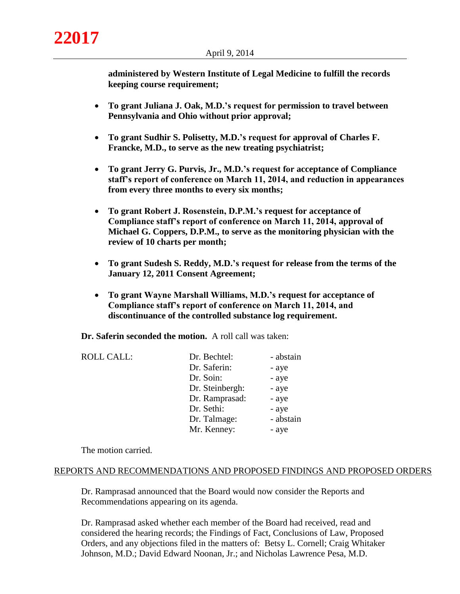**administered by Western Institute of Legal Medicine to fulfill the records keeping course requirement;**

- **To grant Juliana J. Oak, M.D.'s request for permission to travel between Pennsylvania and Ohio without prior approval;**
- **To grant Sudhir S. Polisetty, M.D.'s request for approval of Charles F. Francke, M.D., to serve as the new treating psychiatrist;**
- **To grant Jerry G. Purvis, Jr., M.D.'s request for acceptance of Compliance staff's report of conference on March 11, 2014, and reduction in appearances from every three months to every six months;**
- **To grant Robert J. Rosenstein, D.P.M.'s request for acceptance of Compliance staff's report of conference on March 11, 2014, approval of Michael G. Coppers, D.P.M., to serve as the monitoring physician with the review of 10 charts per month;**
- **To grant Sudesh S. Reddy, M.D.'s request for release from the terms of the January 12, 2011 Consent Agreement;**
- **To grant Wayne Marshall Williams, M.D.'s request for acceptance of Compliance staff's report of conference on March 11, 2014, and discontinuance of the controlled substance log requirement.**

**Dr. Saferin seconded the motion.** A roll call was taken:

| <b>ROLL CALL:</b> | Dr. Bechtel:    | - abstain |
|-------------------|-----------------|-----------|
|                   | Dr. Saferin:    | - aye     |
|                   | Dr. Soin:       | - aye     |
|                   | Dr. Steinbergh: | - aye     |
|                   | Dr. Ramprasad:  | - aye     |
|                   | Dr. Sethi:      | - aye     |
|                   | Dr. Talmage:    | - abstain |
|                   | Mr. Kenney:     | - aye     |

The motion carried.

#### REPORTS AND RECOMMENDATIONS AND PROPOSED FINDINGS AND PROPOSED ORDERS

Dr. Ramprasad announced that the Board would now consider the Reports and Recommendations appearing on its agenda.

Dr. Ramprasad asked whether each member of the Board had received, read and considered the hearing records; the Findings of Fact, Conclusions of Law, Proposed Orders, and any objections filed in the matters of: Betsy L. Cornell; Craig Whitaker Johnson, M.D.; David Edward Noonan, Jr.; and Nicholas Lawrence Pesa, M.D.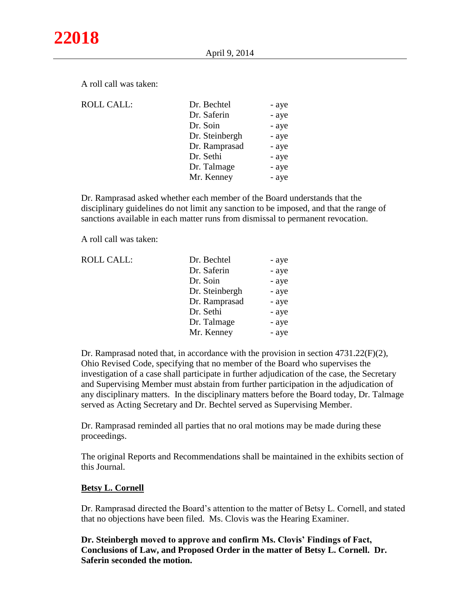A roll call was taken:

| <b>ROLL CALL:</b> | Dr. Bechtel    | - aye |
|-------------------|----------------|-------|
|                   | Dr. Saferin    | - aye |
|                   | Dr. Soin       | - aye |
|                   | Dr. Steinbergh | - aye |
|                   | Dr. Ramprasad  | - aye |
|                   | Dr. Sethi      | - aye |
|                   | Dr. Talmage    | - aye |
|                   | Mr. Kenney     | - aye |
|                   |                |       |

Dr. Ramprasad asked whether each member of the Board understands that the disciplinary guidelines do not limit any sanction to be imposed, and that the range of sanctions available in each matter runs from dismissal to permanent revocation.

A roll call was taken:

| <b>ROLL CALL:</b> | Dr. Bechtel    | - aye |
|-------------------|----------------|-------|
|                   | Dr. Saferin    | - aye |
|                   | Dr. Soin       | - aye |
|                   | Dr. Steinbergh | - aye |
|                   | Dr. Ramprasad  | - aye |
|                   | Dr. Sethi      | - aye |
|                   | Dr. Talmage    | - aye |
|                   | Mr. Kenney     | - aye |
|                   |                |       |

Dr. Ramprasad noted that, in accordance with the provision in section 4731.22(F)(2), Ohio Revised Code, specifying that no member of the Board who supervises the investigation of a case shall participate in further adjudication of the case, the Secretary and Supervising Member must abstain from further participation in the adjudication of any disciplinary matters. In the disciplinary matters before the Board today, Dr. Talmage served as Acting Secretary and Dr. Bechtel served as Supervising Member.

Dr. Ramprasad reminded all parties that no oral motions may be made during these proceedings.

The original Reports and Recommendations shall be maintained in the exhibits section of this Journal.

## **Betsy L. Cornell**

Dr. Ramprasad directed the Board's attention to the matter of Betsy L. Cornell, and stated that no objections have been filed. Ms. Clovis was the Hearing Examiner.

**Dr. Steinbergh moved to approve and confirm Ms. Clovis' Findings of Fact, Conclusions of Law, and Proposed Order in the matter of Betsy L. Cornell. Dr. Saferin seconded the motion.**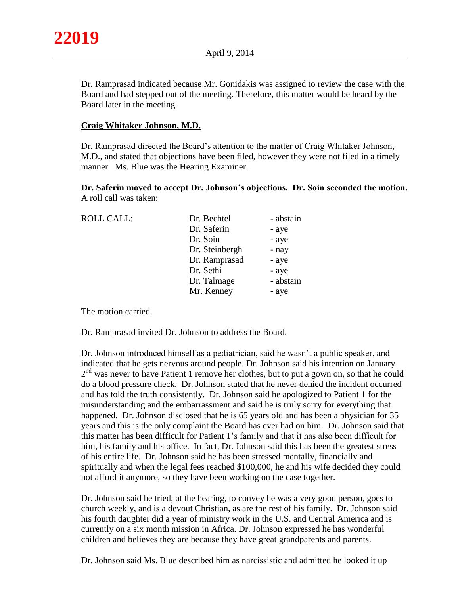Dr. Ramprasad indicated because Mr. Gonidakis was assigned to review the case with the Board and had stepped out of the meeting. Therefore, this matter would be heard by the Board later in the meeting.

# **Craig Whitaker Johnson, M.D.**

Dr. Ramprasad directed the Board's attention to the matter of Craig Whitaker Johnson, M.D., and stated that objections have been filed, however they were not filed in a timely manner. Ms. Blue was the Hearing Examiner.

**Dr. Saferin moved to accept Dr. Johnson's objections. Dr. Soin seconded the motion.**  A roll call was taken:

| <b>ROLL CALL:</b> | Dr. Bechtel    | - abstain |
|-------------------|----------------|-----------|
|                   | Dr. Saferin    | - aye     |
|                   | Dr. Soin       | - aye     |
|                   | Dr. Steinbergh | - nay     |
|                   | Dr. Ramprasad  | - aye     |
|                   | Dr. Sethi      | - aye     |
|                   | Dr. Talmage    | - abstain |
|                   | Mr. Kenney     | - aye     |
|                   |                |           |

The motion carried.

Dr. Ramprasad invited Dr. Johnson to address the Board.

Dr. Johnson introduced himself as a pediatrician, said he wasn't a public speaker, and indicated that he gets nervous around people. Dr. Johnson said his intention on January 2<sup>nd</sup> was never to have Patient 1 remove her clothes, but to put a gown on, so that he could do a blood pressure check. Dr. Johnson stated that he never denied the incident occurred and has told the truth consistently. Dr. Johnson said he apologized to Patient 1 for the misunderstanding and the embarrassment and said he is truly sorry for everything that happened. Dr. Johnson disclosed that he is 65 years old and has been a physician for 35 years and this is the only complaint the Board has ever had on him. Dr. Johnson said that this matter has been difficult for Patient 1's family and that it has also been difficult for him, his family and his office. In fact, Dr. Johnson said this has been the greatest stress of his entire life. Dr. Johnson said he has been stressed mentally, financially and spiritually and when the legal fees reached \$100,000, he and his wife decided they could not afford it anymore, so they have been working on the case together.

Dr. Johnson said he tried, at the hearing, to convey he was a very good person, goes to church weekly, and is a devout Christian, as are the rest of his family. Dr. Johnson said his fourth daughter did a year of ministry work in the U.S. and Central America and is currently on a six month mission in Africa. Dr. Johnson expressed he has wonderful children and believes they are because they have great grandparents and parents.

Dr. Johnson said Ms. Blue described him as narcissistic and admitted he looked it up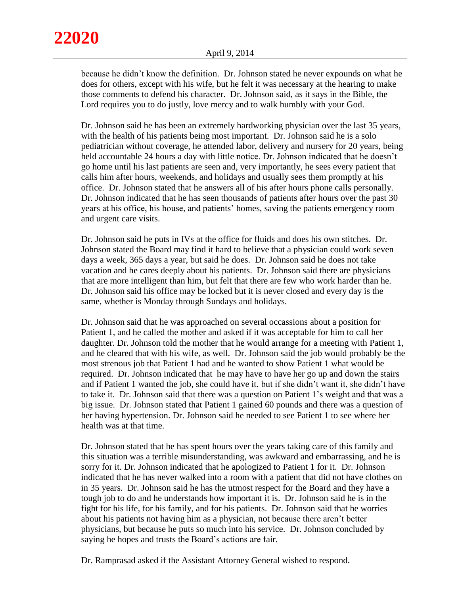because he didn't know the definition. Dr. Johnson stated he never expounds on what he does for others, except with his wife, but he felt it was necessary at the hearing to make those comments to defend his character. Dr. Johnson said, as it says in the Bible, the Lord requires you to do justly, love mercy and to walk humbly with your God.

Dr. Johnson said he has been an extremely hardworking physician over the last 35 years, with the health of his patients being most important. Dr. Johnson said he is a solo pediatrician without coverage, he attended labor, delivery and nursery for 20 years, being held accountable 24 hours a day with little notice. Dr. Johnson indicated that he doesn't go home until his last patients are seen and, very importantly, he sees every patient that calls him after hours, weekends, and holidays and usually sees them promptly at his office. Dr. Johnson stated that he answers all of his after hours phone calls personally. Dr. Johnson indicated that he has seen thousands of patients after hours over the past 30 years at his office, his house, and patients' homes, saving the patients emergency room and urgent care visits.

Dr. Johnson said he puts in IVs at the office for fluids and does his own stitches. Dr. Johnson stated the Board may find it hard to believe that a physician could work seven days a week, 365 days a year, but said he does. Dr. Johnson said he does not take vacation and he cares deeply about his patients. Dr. Johnson said there are physicians that are more intelligent than him, but felt that there are few who work harder than he. Dr. Johnson said his office may be locked but it is never closed and every day is the same, whether is Monday through Sundays and holidays.

Dr. Johnson said that he was approached on several occassions about a position for Patient 1, and he called the mother and asked if it was acceptable for him to call her daughter. Dr. Johnson told the mother that he would arrange for a meeting with Patient 1, and he cleared that with his wife, as well. Dr. Johnson said the job would probably be the most strenous job that Patient 1 had and he wanted to show Patient 1 what would be required. Dr. Johnson indicated that he may have to have her go up and down the stairs and if Patient 1 wanted the job, she could have it, but if she didn't want it, she didn't have to take it. Dr. Johnson said that there was a question on Patient 1's weight and that was a big issue. Dr. Johnson stated that Patient 1 gained 60 pounds and there was a question of her having hypertension. Dr. Johnson said he needed to see Patient 1 to see where her health was at that time.

Dr. Johnson stated that he has spent hours over the years taking care of this family and this situation was a terrible misunderstanding, was awkward and embarrassing, and he is sorry for it. Dr. Johnson indicated that he apologized to Patient 1 for it. Dr. Johnson indicated that he has never walked into a room with a patient that did not have clothes on in 35 years. Dr. Johnson said he has the utmost respect for the Board and they have a tough job to do and he understands how important it is. Dr. Johnson said he is in the fight for his life, for his family, and for his patients. Dr. Johnson said that he worries about his patients not having him as a physician, not because there aren't better physicians, but because he puts so much into his service. Dr. Johnson concluded by saying he hopes and trusts the Board's actions are fair.

Dr. Ramprasad asked if the Assistant Attorney General wished to respond.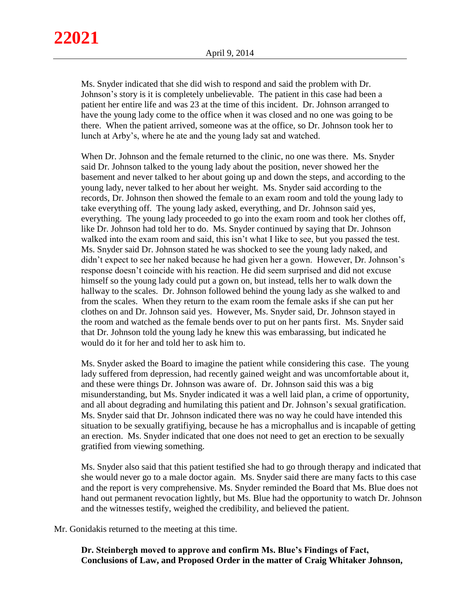Ms. Snyder indicated that she did wish to respond and said the problem with Dr. Johnson's story is it is completely unbelievable. The patient in this case had been a patient her entire life and was 23 at the time of this incident. Dr. Johnson arranged to have the young lady come to the office when it was closed and no one was going to be there. When the patient arrived, someone was at the office, so Dr. Johnson took her to lunch at Arby's, where he ate and the young lady sat and watched.

When Dr. Johnson and the female returned to the clinic, no one was there. Ms. Snyder said Dr. Johnson talked to the young lady about the position, never showed her the basement and never talked to her about going up and down the steps, and according to the young lady, never talked to her about her weight. Ms. Snyder said according to the records, Dr. Johnson then showed the female to an exam room and told the young lady to take everything off. The young lady asked, everything, and Dr. Johnson said yes, everything. The young lady proceeded to go into the exam room and took her clothes off, like Dr. Johnson had told her to do. Ms. Snyder continued by saying that Dr. Johnson walked into the exam room and said, this isn't what I like to see, but you passed the test. Ms. Snyder said Dr. Johnson stated he was shocked to see the young lady naked, and didn't expect to see her naked because he had given her a gown. However, Dr. Johnson's response doesn't coincide with his reaction. He did seem surprised and did not excuse himself so the young lady could put a gown on, but instead, tells her to walk down the hallway to the scales. Dr. Johnson followed behind the young lady as she walked to and from the scales. When they return to the exam room the female asks if she can put her clothes on and Dr. Johnson said yes. However, Ms. Snyder said, Dr. Johnson stayed in the room and watched as the female bends over to put on her pants first. Ms. Snyder said that Dr. Johnson told the young lady he knew this was embarassing, but indicated he would do it for her and told her to ask him to.

Ms. Snyder asked the Board to imagine the patient while considering this case. The young lady suffered from depression, had recently gained weight and was uncomfortable about it, and these were things Dr. Johnson was aware of. Dr. Johnson said this was a big misunderstanding, but Ms. Snyder indicated it was a well laid plan, a crime of opportunity, and all about degrading and humilating this patient and Dr. Johnson's sexual gratification. Ms. Snyder said that Dr. Johnson indicated there was no way he could have intended this situation to be sexually gratifiying, because he has a microphallus and is incapable of getting an erection. Ms. Snyder indicated that one does not need to get an erection to be sexually gratified from viewing something.

Ms. Snyder also said that this patient testified she had to go through therapy and indicated that she would never go to a male doctor again. Ms. Snyder said there are many facts to this case and the report is very comprehensive. Ms. Snyder reminded the Board that Ms. Blue does not hand out permanent revocation lightly, but Ms. Blue had the opportunity to watch Dr. Johnson and the witnesses testify, weighed the credibility, and believed the patient.

Mr. Gonidakis returned to the meeting at this time.

**Dr. Steinbergh moved to approve and confirm Ms. Blue's Findings of Fact, Conclusions of Law, and Proposed Order in the matter of Craig Whitaker Johnson,**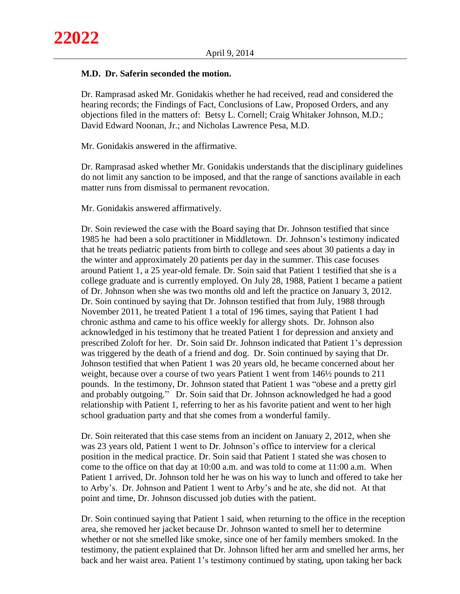# **M.D. Dr. Saferin seconded the motion.**

Dr. Ramprasad asked Mr. Gonidakis whether he had received, read and considered the hearing records; the Findings of Fact, Conclusions of Law, Proposed Orders, and any objections filed in the matters of: Betsy L. Cornell; Craig Whitaker Johnson, M.D.; David Edward Noonan, Jr.; and Nicholas Lawrence Pesa, M.D.

Mr. Gonidakis answered in the affirmative.

Dr. Ramprasad asked whether Mr. Gonidakis understands that the disciplinary guidelines do not limit any sanction to be imposed, and that the range of sanctions available in each matter runs from dismissal to permanent revocation.

Mr. Gonidakis answered affirmatively.

Dr. Soin reviewed the case with the Board saying that Dr. Johnson testified that since 1985 he had been a solo practitioner in Middletown. Dr. Johnson's testimony indicated that he treats pediatric patients from birth to college and sees about 30 patients a day in the winter and approximately 20 patients per day in the summer. This case focuses around Patient 1, a 25 year-old female. Dr. Soin said that Patient 1 testified that she is a college graduate and is currently employed. On July 28, 1988, Patient 1 became a patient of Dr. Johnson when she was two months old and left the practice on January 3, 2012. Dr. Soin continued by saying that Dr. Johnson testified that from July, 1988 through November 2011, he treated Patient 1 a total of 196 times, saying that Patient 1 had chronic asthma and came to his office weekly for allergy shots. Dr. Johnson also acknowledged in his testimony that he treated Patient 1 for depression and anxiety and prescribed Zoloft for her. Dr. Soin said Dr. Johnson indicated that Patient 1's depression was triggered by the death of a friend and dog. Dr. Soin continued by saying that Dr. Johnson testified that when Patient 1 was 20 years old, he became concerned about her weight, because over a course of two years Patient 1 went from 146½ pounds to 211 pounds. In the testimony, Dr. Johnson stated that Patient 1 was "obese and a pretty girl and probably outgoing." Dr. Soin said that Dr. Johnson acknowledged he had a good relationship with Patient 1, referring to her as his favorite patient and went to her high school graduation party and that she comes from a wonderful family.

Dr. Soin reiterated that this case stems from an incident on January 2, 2012, when she was 23 years old, Patient 1 went to Dr. Johnson's office to interview for a clerical position in the medical practice. Dr. Soin said that Patient 1 stated she was chosen to come to the office on that day at 10:00 a.m. and was told to come at 11:00 a.m. When Patient 1 arrived, Dr. Johnson told her he was on his way to lunch and offered to take her to Arby's. Dr. Johnson and Patient 1 went to Arby's and he ate, she did not. At that point and time, Dr. Johnson discussed job duties with the patient.

Dr. Soin continued saying that Patient 1 said, when returning to the office in the reception area, she removed her jacket because Dr. Johnson wanted to smell her to determine whether or not she smelled like smoke, since one of her family members smoked. In the testimony, the patient explained that Dr. Johnson lifted her arm and smelled her arms, her back and her waist area. Patient 1's testimony continued by stating, upon taking her back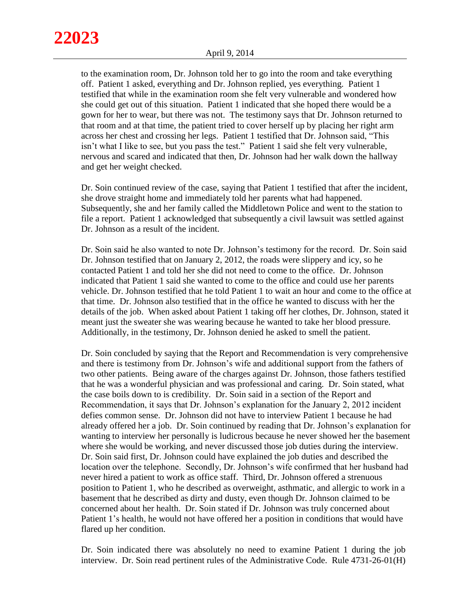to the examination room, Dr. Johnson told her to go into the room and take everything off. Patient 1 asked, everything and Dr. Johnson replied, yes everything. Patient 1 testified that while in the examination room she felt very vulnerable and wondered how she could get out of this situation. Patient 1 indicated that she hoped there would be a gown for her to wear, but there was not. The testimony says that Dr. Johnson returned to that room and at that time, the patient tried to cover herself up by placing her right arm across her chest and crossing her legs. Patient 1 testified that Dr. Johnson said, "This isn't what I like to see, but you pass the test." Patient 1 said she felt very vulnerable, nervous and scared and indicated that then, Dr. Johnson had her walk down the hallway and get her weight checked.

Dr. Soin continued review of the case, saying that Patient 1 testified that after the incident, she drove straight home and immediately told her parents what had happened. Subsequently, she and her family called the Middletown Police and went to the station to file a report. Patient 1 acknowledged that subsequently a civil lawsuit was settled against Dr. Johnson as a result of the incident.

Dr. Soin said he also wanted to note Dr. Johnson's testimony for the record. Dr. Soin said Dr. Johnson testified that on January 2, 2012, the roads were slippery and icy, so he contacted Patient 1 and told her she did not need to come to the office. Dr. Johnson indicated that Patient 1 said she wanted to come to the office and could use her parents vehicle. Dr. Johnson testified that he told Patient 1 to wait an hour and come to the office at that time. Dr. Johnson also testified that in the office he wanted to discuss with her the details of the job. When asked about Patient 1 taking off her clothes, Dr. Johnson, stated it meant just the sweater she was wearing because he wanted to take her blood pressure. Additionally, in the testimony, Dr. Johnson denied he asked to smell the patient.

Dr. Soin concluded by saying that the Report and Recommendation is very comprehensive and there is testimony from Dr. Johnson's wife and additional support from the fathers of two other patients. Being aware of the charges against Dr. Johnson, those fathers testified that he was a wonderful physician and was professional and caring. Dr. Soin stated, what the case boils down to is credibility. Dr. Soin said in a section of the Report and Recommendation, it says that Dr. Johnson's explanation for the January 2, 2012 incident defies common sense. Dr. Johnson did not have to interview Patient 1 because he had already offered her a job. Dr. Soin continued by reading that Dr. Johnson's explanation for wanting to interview her personally is ludicrous because he never showed her the basement where she would be working, and never discussed those job duties during the interview. Dr. Soin said first, Dr. Johnson could have explained the job duties and described the location over the telephone. Secondly, Dr. Johnson's wife confirmed that her husband had never hired a patient to work as office staff. Third, Dr. Johnson offered a strenuous position to Patient 1, who he described as overweight, asthmatic, and allergic to work in a basement that he described as dirty and dusty, even though Dr. Johnson claimed to be concerned about her health. Dr. Soin stated if Dr. Johnson was truly concerned about Patient 1's health, he would not have offered her a position in conditions that would have flared up her condition.

Dr. Soin indicated there was absolutely no need to examine Patient 1 during the job interview. Dr. Soin read pertinent rules of the Administrative Code. Rule 4731-26-01(H)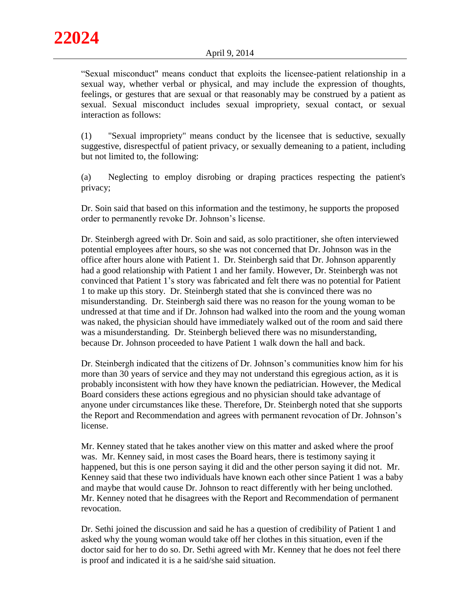"Sexual misconduct" means conduct that exploits the licensee-patient relationship in a sexual way, whether verbal or physical, and may include the expression of thoughts, feelings, or gestures that are sexual or that reasonably may be construed by a patient as sexual. Sexual misconduct includes sexual impropriety, sexual contact, or sexual interaction as follows:

(1) "Sexual impropriety" means conduct by the licensee that is seductive, sexually suggestive, disrespectful of patient privacy, or sexually demeaning to a patient, including but not limited to, the following:

(a) Neglecting to employ disrobing or draping practices respecting the patient's privacy;

Dr. Soin said that based on this information and the testimony, he supports the proposed order to permanently revoke Dr. Johnson's license.

Dr. Steinbergh agreed with Dr. Soin and said, as solo practitioner, she often interviewed potential employees after hours, so she was not concerned that Dr. Johnson was in the office after hours alone with Patient 1. Dr. Steinbergh said that Dr. Johnson apparently had a good relationship with Patient 1 and her family. However, Dr. Steinbergh was not convinced that Patient 1's story was fabricated and felt there was no potential for Patient 1 to make up this story. Dr. Steinbergh stated that she is convinced there was no misunderstanding. Dr. Steinbergh said there was no reason for the young woman to be undressed at that time and if Dr. Johnson had walked into the room and the young woman was naked, the physician should have immediately walked out of the room and said there was a misunderstanding. Dr. Steinbergh believed there was no misunderstanding, because Dr. Johnson proceeded to have Patient 1 walk down the hall and back.

Dr. Steinbergh indicated that the citizens of Dr. Johnson's communities know him for his more than 30 years of service and they may not understand this egregious action, as it is probably inconsistent with how they have known the pediatrician. However, the Medical Board considers these actions egregious and no physician should take advantage of anyone under circumstances like these. Therefore, Dr. Steinbergh noted that she supports the Report and Recommendation and agrees with permanent revocation of Dr. Johnson's license.

Mr. Kenney stated that he takes another view on this matter and asked where the proof was. Mr. Kenney said, in most cases the Board hears, there is testimony saying it happened, but this is one person saying it did and the other person saying it did not. Mr. Kenney said that these two individuals have known each other since Patient 1 was a baby and maybe that would cause Dr. Johnson to react differently with her being unclothed. Mr. Kenney noted that he disagrees with the Report and Recommendation of permanent revocation.

Dr. Sethi joined the discussion and said he has a question of credibility of Patient 1 and asked why the young woman would take off her clothes in this situation, even if the doctor said for her to do so. Dr. Sethi agreed with Mr. Kenney that he does not feel there is proof and indicated it is a he said/she said situation.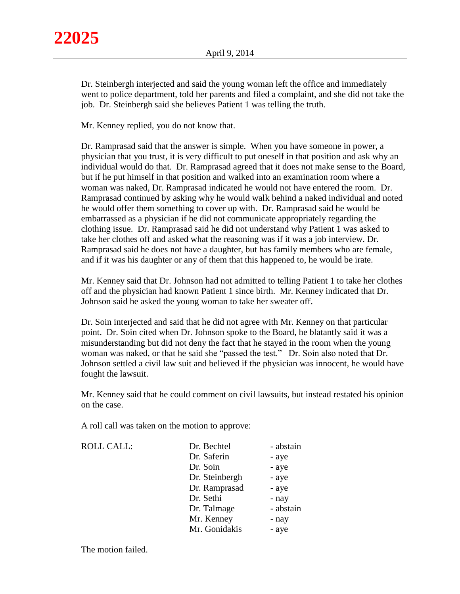Dr. Steinbergh interjected and said the young woman left the office and immediately went to police department, told her parents and filed a complaint, and she did not take the job. Dr. Steinbergh said she believes Patient 1 was telling the truth.

Mr. Kenney replied, you do not know that.

Dr. Ramprasad said that the answer is simple. When you have someone in power, a physician that you trust, it is very difficult to put oneself in that position and ask why an individual would do that. Dr. Ramprasad agreed that it does not make sense to the Board, but if he put himself in that position and walked into an examination room where a woman was naked, Dr. Ramprasad indicated he would not have entered the room. Dr. Ramprasad continued by asking why he would walk behind a naked individual and noted he would offer them something to cover up with. Dr. Ramprasad said he would be embarrassed as a physician if he did not communicate appropriately regarding the clothing issue. Dr. Ramprasad said he did not understand why Patient 1 was asked to take her clothes off and asked what the reasoning was if it was a job interview. Dr. Ramprasad said he does not have a daughter, but has family members who are female, and if it was his daughter or any of them that this happened to, he would be irate.

Mr. Kenney said that Dr. Johnson had not admitted to telling Patient 1 to take her clothes off and the physician had known Patient 1 since birth. Mr. Kenney indicated that Dr. Johnson said he asked the young woman to take her sweater off.

Dr. Soin interjected and said that he did not agree with Mr. Kenney on that particular point. Dr. Soin cited when Dr. Johnson spoke to the Board, he blatantly said it was a misunderstanding but did not deny the fact that he stayed in the room when the young woman was naked, or that he said she "passed the test." Dr. Soin also noted that Dr. Johnson settled a civil law suit and believed if the physician was innocent, he would have fought the lawsuit.

Mr. Kenney said that he could comment on civil lawsuits, but instead restated his opinion on the case.

A roll call was taken on the motion to approve:

ROLL CALL:  $\qquad \qquad \Box$ 

| Dr. Bechtel    | - abstain |
|----------------|-----------|
| Dr. Saferin    | - aye     |
| Dr. Soin       | - aye     |
| Dr. Steinbergh | - aye     |
| Dr. Ramprasad  | - aye     |
| Dr. Sethi      | - nay     |
| Dr. Talmage    | - abstain |
| Mr. Kenney     | - nay     |
| Mr. Gonidakis  | - aye     |
|                |           |

The motion failed.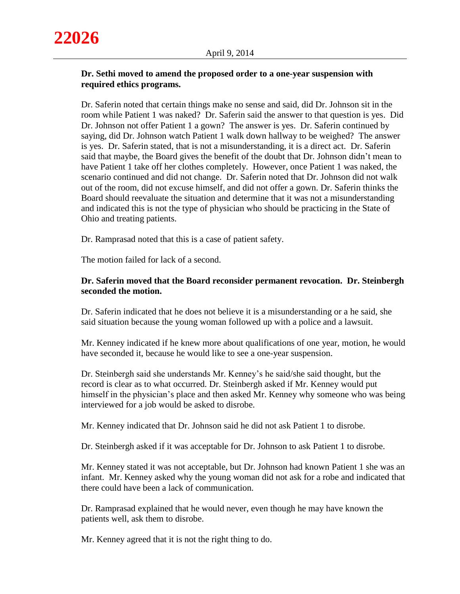# **Dr. Sethi moved to amend the proposed order to a one-year suspension with required ethics programs.**

Dr. Saferin noted that certain things make no sense and said, did Dr. Johnson sit in the room while Patient 1 was naked? Dr. Saferin said the answer to that question is yes. Did Dr. Johnson not offer Patient 1 a gown? The answer is yes. Dr. Saferin continued by saying, did Dr. Johnson watch Patient 1 walk down hallway to be weighed? The answer is yes. Dr. Saferin stated, that is not a misunderstanding, it is a direct act. Dr. Saferin said that maybe, the Board gives the benefit of the doubt that Dr. Johnson didn't mean to have Patient 1 take off her clothes completely. However, once Patient 1 was naked, the scenario continued and did not change. Dr. Saferin noted that Dr. Johnson did not walk out of the room, did not excuse himself, and did not offer a gown. Dr. Saferin thinks the Board should reevaluate the situation and determine that it was not a misunderstanding and indicated this is not the type of physician who should be practicing in the State of Ohio and treating patients.

Dr. Ramprasad noted that this is a case of patient safety.

The motion failed for lack of a second.

# **Dr. Saferin moved that the Board reconsider permanent revocation. Dr. Steinbergh seconded the motion.**

Dr. Saferin indicated that he does not believe it is a misunderstanding or a he said, she said situation because the young woman followed up with a police and a lawsuit.

Mr. Kenney indicated if he knew more about qualifications of one year, motion, he would have seconded it, because he would like to see a one-year suspension.

Dr. Steinbergh said she understands Mr. Kenney's he said/she said thought, but the record is clear as to what occurred. Dr. Steinbergh asked if Mr. Kenney would put himself in the physician's place and then asked Mr. Kenney why someone who was being interviewed for a job would be asked to disrobe.

Mr. Kenney indicated that Dr. Johnson said he did not ask Patient 1 to disrobe.

Dr. Steinbergh asked if it was acceptable for Dr. Johnson to ask Patient 1 to disrobe.

Mr. Kenney stated it was not acceptable, but Dr. Johnson had known Patient 1 she was an infant. Mr. Kenney asked why the young woman did not ask for a robe and indicated that there could have been a lack of communication.

Dr. Ramprasad explained that he would never, even though he may have known the patients well, ask them to disrobe.

Mr. Kenney agreed that it is not the right thing to do.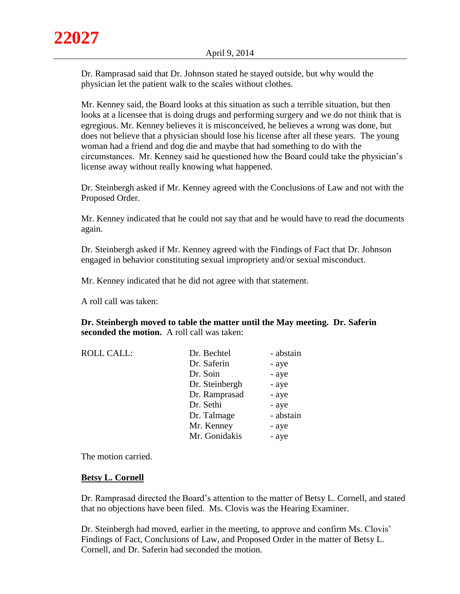Dr. Ramprasad said that Dr. Johnson stated he stayed outside, but why would the physician let the patient walk to the scales without clothes.

Mr. Kenney said, the Board looks at this situation as such a terrible situation, but then looks at a licensee that is doing drugs and performing surgery and we do not think that is egregious. Mr. Kenney believes it is misconceived, he believes a wrong was done, but does not believe that a physician should lose his license after all these years. The young woman had a friend and dog die and maybe that had something to do with the circumstances. Mr. Kenney said he questioned how the Board could take the physician's license away without really knowing what happened.

Dr. Steinbergh asked if Mr. Kenney agreed with the Conclusions of Law and not with the Proposed Order.

Mr. Kenney indicated that he could not say that and he would have to read the documents again.

Dr. Steinbergh asked if Mr. Kenney agreed with the Findings of Fact that Dr. Johnson engaged in behavior constituting sexual impropriety and/or sexual misconduct.

Mr. Kenney indicated that he did not agree with that statement.

A roll call was taken:

**Dr. Steinbergh moved to table the matter until the May meeting. Dr. Saferin seconded the motion.** A roll call was taken:

| <b>ROLL CALL:</b> | Dr. Bechtel    | - abstain |
|-------------------|----------------|-----------|
|                   | Dr. Saferin    | - aye     |
|                   | Dr. Soin       | - aye     |
|                   | Dr. Steinbergh | - aye     |
|                   | Dr. Ramprasad  | - aye     |
|                   | Dr. Sethi      | - aye     |
|                   | Dr. Talmage    | - abstain |
|                   | Mr. Kenney     | - aye     |
|                   | Mr. Gonidakis  | - aye     |

The motion carried.

#### **Betsy L. Cornell**

Dr. Ramprasad directed the Board's attention to the matter of Betsy L. Cornell, and stated that no objections have been filed. Ms. Clovis was the Hearing Examiner.

Dr. Steinbergh had moved, earlier in the meeting, to approve and confirm Ms. Clovis' Findings of Fact, Conclusions of Law, and Proposed Order in the matter of Betsy L. Cornell, and Dr. Saferin had seconded the motion.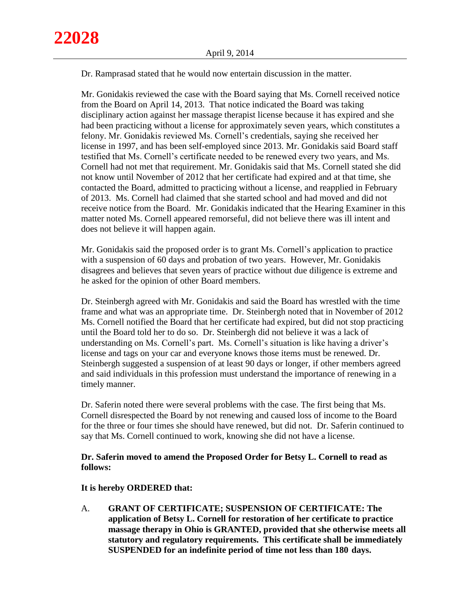Dr. Ramprasad stated that he would now entertain discussion in the matter.

Mr. Gonidakis reviewed the case with the Board saying that Ms. Cornell received notice from the Board on April 14, 2013. That notice indicated the Board was taking disciplinary action against her massage therapist license because it has expired and she had been practicing without a license for approximately seven years, which constitutes a felony. Mr. Gonidakis reviewed Ms. Cornell's credentials, saying she received her license in 1997, and has been self-employed since 2013. Mr. Gonidakis said Board staff testified that Ms. Cornell's certificate needed to be renewed every two years, and Ms. Cornell had not met that requirement. Mr. Gonidakis said that Ms. Cornell stated she did not know until November of 2012 that her certificate had expired and at that time, she contacted the Board, admitted to practicing without a license, and reapplied in February of 2013. Ms. Cornell had claimed that she started school and had moved and did not receive notice from the Board. Mr. Gonidakis indicated that the Hearing Examiner in this matter noted Ms. Cornell appeared remorseful, did not believe there was ill intent and does not believe it will happen again.

Mr. Gonidakis said the proposed order is to grant Ms. Cornell's application to practice with a suspension of 60 days and probation of two years. However, Mr. Gonidakis disagrees and believes that seven years of practice without due diligence is extreme and he asked for the opinion of other Board members.

Dr. Steinbergh agreed with Mr. Gonidakis and said the Board has wrestled with the time frame and what was an appropriate time. Dr. Steinbergh noted that in November of 2012 Ms. Cornell notified the Board that her certificate had expired, but did not stop practicing until the Board told her to do so. Dr. Steinbergh did not believe it was a lack of understanding on Ms. Cornell's part. Ms. Cornell's situation is like having a driver's license and tags on your car and everyone knows those items must be renewed. Dr. Steinbergh suggested a suspension of at least 90 days or longer, if other members agreed and said individuals in this profession must understand the importance of renewing in a timely manner.

Dr. Saferin noted there were several problems with the case. The first being that Ms. Cornell disrespected the Board by not renewing and caused loss of income to the Board for the three or four times she should have renewed, but did not. Dr. Saferin continued to say that Ms. Cornell continued to work, knowing she did not have a license.

# **Dr. Saferin moved to amend the Proposed Order for Betsy L. Cornell to read as follows:**

## **It is hereby ORDERED that:**

A. **GRANT OF CERTIFICATE; SUSPENSION OF CERTIFICATE: The application of Betsy L. Cornell for restoration of her certificate to practice massage therapy in Ohio is GRANTED, provided that she otherwise meets all statutory and regulatory requirements. This certificate shall be immediately SUSPENDED for an indefinite period of time not less than 180 days.**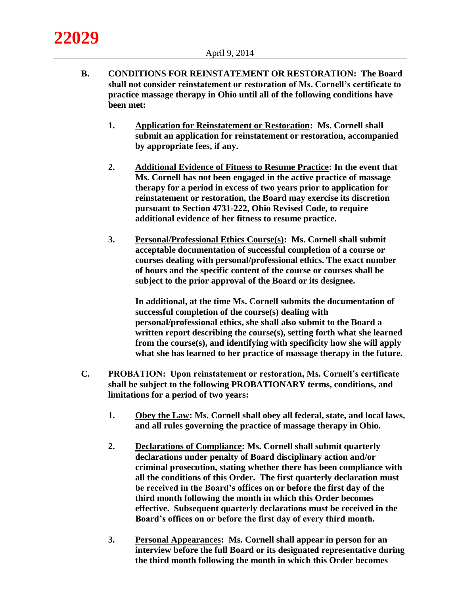- **B. CONDITIONS FOR REINSTATEMENT OR RESTORATION: The Board shall not consider reinstatement or restoration of Ms. Cornell's certificate to practice massage therapy in Ohio until all of the following conditions have been met:**
	- **1. Application for Reinstatement or Restoration: Ms. Cornell shall submit an application for reinstatement or restoration, accompanied by appropriate fees, if any.**
	- **2. Additional Evidence of Fitness to Resume Practice: In the event that Ms. Cornell has not been engaged in the active practice of massage therapy for a period in excess of two years prior to application for reinstatement or restoration, the Board may exercise its discretion pursuant to Section 4731-222, Ohio Revised Code, to require additional evidence of her fitness to resume practice.**
	- **3. Personal/Professional Ethics Course(s): Ms. Cornell shall submit acceptable documentation of successful completion of a course or courses dealing with personal/professional ethics. The exact number of hours and the specific content of the course or courses shall be subject to the prior approval of the Board or its designee.**

**In additional, at the time Ms. Cornell submits the documentation of successful completion of the course(s) dealing with personal/professional ethics, she shall also submit to the Board a written report describing the course(s), setting forth what she learned from the course(s), and identifying with specificity how she will apply what she has learned to her practice of massage therapy in the future.**

- **C. PROBATION: Upon reinstatement or restoration, Ms. Cornell's certificate shall be subject to the following PROBATIONARY terms, conditions, and limitations for a period of two years:**
	- **1. Obey the Law: Ms. Cornell shall obey all federal, state, and local laws, and all rules governing the practice of massage therapy in Ohio.**
	- **2. Declarations of Compliance: Ms. Cornell shall submit quarterly declarations under penalty of Board disciplinary action and/or criminal prosecution, stating whether there has been compliance with all the conditions of this Order. The first quarterly declaration must be received in the Board's offices on or before the first day of the third month following the month in which this Order becomes effective. Subsequent quarterly declarations must be received in the Board's offices on or before the first day of every third month.**
	- **3. Personal Appearances: Ms. Cornell shall appear in person for an interview before the full Board or its designated representative during the third month following the month in which this Order becomes**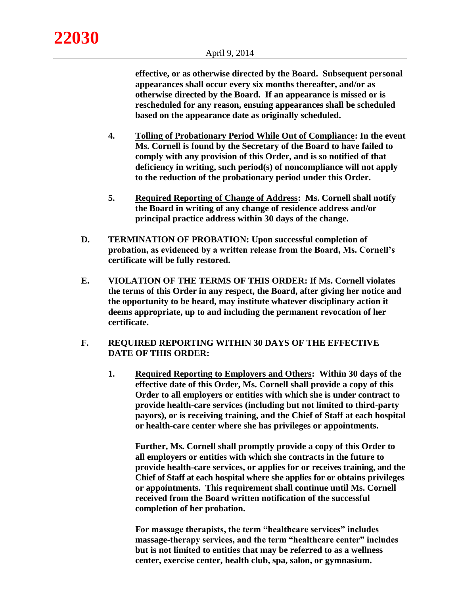**effective, or as otherwise directed by the Board. Subsequent personal appearances shall occur every six months thereafter, and/or as otherwise directed by the Board. If an appearance is missed or is rescheduled for any reason, ensuing appearances shall be scheduled based on the appearance date as originally scheduled.** 

- **4. Tolling of Probationary Period While Out of Compliance: In the event Ms. Cornell is found by the Secretary of the Board to have failed to comply with any provision of this Order, and is so notified of that deficiency in writing, such period(s) of noncompliance will not apply to the reduction of the probationary period under this Order.**
- **5. Required Reporting of Change of Address: Ms. Cornell shall notify the Board in writing of any change of residence address and/or principal practice address within 30 days of the change.**
- **D. TERMINATION OF PROBATION: Upon successful completion of probation, as evidenced by a written release from the Board, Ms. Cornell's certificate will be fully restored.**
- **E. VIOLATION OF THE TERMS OF THIS ORDER: If Ms. Cornell violates the terms of this Order in any respect, the Board, after giving her notice and the opportunity to be heard, may institute whatever disciplinary action it deems appropriate, up to and including the permanent revocation of her certificate.**

# **F. REQUIRED REPORTING WITHIN 30 DAYS OF THE EFFECTIVE DATE OF THIS ORDER:**

**1. Required Reporting to Employers and Others: Within 30 days of the effective date of this Order, Ms. Cornell shall provide a copy of this Order to all employers or entities with which she is under contract to provide health-care services (including but not limited to third-party payors), or is receiving training, and the Chief of Staff at each hospital or health-care center where she has privileges or appointments.**

**Further, Ms. Cornell shall promptly provide a copy of this Order to all employers or entities with which she contracts in the future to provide health-care services, or applies for or receives training, and the Chief of Staff at each hospital where she applies for or obtains privileges or appointments. This requirement shall continue until Ms. Cornell received from the Board written notification of the successful completion of her probation.** 

**For massage therapists, the term "healthcare services" includes massage-therapy services, and the term "healthcare center" includes but is not limited to entities that may be referred to as a wellness center, exercise center, health club, spa, salon, or gymnasium.**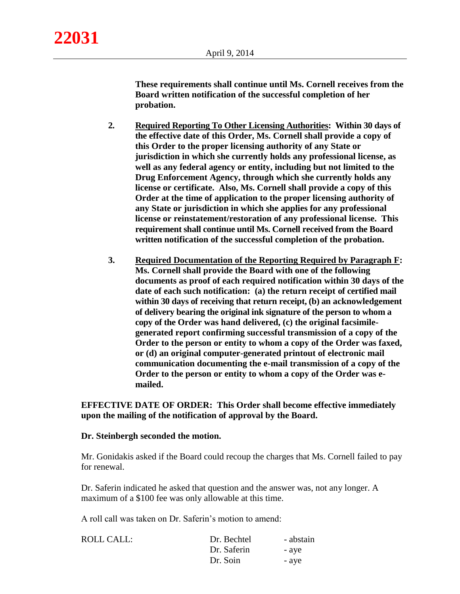**These requirements shall continue until Ms. Cornell receives from the Board written notification of the successful completion of her probation.**

- **2. Required Reporting To Other Licensing Authorities: Within 30 days of the effective date of this Order, Ms. Cornell shall provide a copy of this Order to the proper licensing authority of any State or jurisdiction in which she currently holds any professional license, as well as any federal agency or entity, including but not limited to the Drug Enforcement Agency, through which she currently holds any license or certificate. Also, Ms. Cornell shall provide a copy of this Order at the time of application to the proper licensing authority of any State or jurisdiction in which she applies for any professional license or reinstatement/restoration of any professional license. This requirement shall continue until Ms. Cornell received from the Board written notification of the successful completion of the probation.**
- **3. Required Documentation of the Reporting Required by Paragraph F: Ms. Cornell shall provide the Board with one of the following documents as proof of each required notification within 30 days of the date of each such notification: (a) the return receipt of certified mail within 30 days of receiving that return receipt, (b) an acknowledgement of delivery bearing the original ink signature of the person to whom a copy of the Order was hand delivered, (c) the original facsimilegenerated report confirming successful transmission of a copy of the Order to the person or entity to whom a copy of the Order was faxed, or (d) an original computer-generated printout of electronic mail communication documenting the e-mail transmission of a copy of the Order to the person or entity to whom a copy of the Order was emailed.**

**EFFECTIVE DATE OF ORDER: This Order shall become effective immediately upon the mailing of the notification of approval by the Board.**

## **Dr. Steinbergh seconded the motion.**

Mr. Gonidakis asked if the Board could recoup the charges that Ms. Cornell failed to pay for renewal.

Dr. Saferin indicated he asked that question and the answer was, not any longer. A maximum of a \$100 fee was only allowable at this time.

A roll call was taken on Dr. Saferin's motion to amend:

| ROLL CALL: | Dr. Bechtel | - abstain |
|------------|-------------|-----------|
|            | Dr. Saferin | - ave     |
|            | Dr. Soin    | - ave     |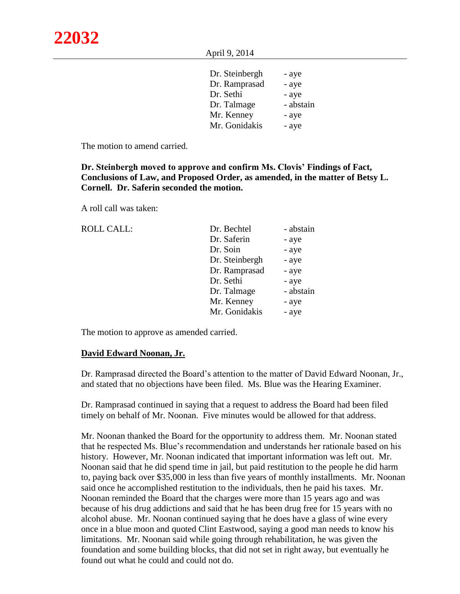April 9, 2014

| Dr. Steinbergh | - aye     |
|----------------|-----------|
| Dr. Ramprasad  | - aye     |
| Dr. Sethi      | - aye     |
| Dr. Talmage    | - abstain |
| Mr. Kenney     | - aye     |
| Mr. Gonidakis  | - aye     |

The motion to amend carried.

**Dr. Steinbergh moved to approve and confirm Ms. Clovis' Findings of Fact, Conclusions of Law, and Proposed Order, as amended, in the matter of Betsy L. Cornell. Dr. Saferin seconded the motion.** 

A roll call was taken:

| <b>ROLL CALL:</b> | Dr. Bechtel    | - abstain |
|-------------------|----------------|-----------|
|                   | Dr. Saferin    | - aye     |
|                   | Dr. Soin       | - aye     |
|                   | Dr. Steinbergh | - aye     |
|                   | Dr. Ramprasad  | - aye     |
|                   | Dr. Sethi      | - aye     |
|                   | Dr. Talmage    | - abstain |
|                   | Mr. Kenney     | - aye     |
|                   | Mr. Gonidakis  | - aye     |
|                   |                |           |

The motion to approve as amended carried.

#### **David Edward Noonan, Jr.**

Dr. Ramprasad directed the Board's attention to the matter of David Edward Noonan, Jr., and stated that no objections have been filed. Ms. Blue was the Hearing Examiner.

Dr. Ramprasad continued in saying that a request to address the Board had been filed timely on behalf of Mr. Noonan. Five minutes would be allowed for that address.

Mr. Noonan thanked the Board for the opportunity to address them. Mr. Noonan stated that he respected Ms. Blue's recommendation and understands her rationale based on his history. However, Mr. Noonan indicated that important information was left out. Mr. Noonan said that he did spend time in jail, but paid restitution to the people he did harm to, paying back over \$35,000 in less than five years of monthly installments. Mr. Noonan said once he accomplished restitution to the individuals, then he paid his taxes. Mr. Noonan reminded the Board that the charges were more than 15 years ago and was because of his drug addictions and said that he has been drug free for 15 years with no alcohol abuse. Mr. Noonan continued saying that he does have a glass of wine every once in a blue moon and quoted Clint Eastwood, saying a good man needs to know his limitations. Mr. Noonan said while going through rehabilitation, he was given the foundation and some building blocks, that did not set in right away, but eventually he found out what he could and could not do.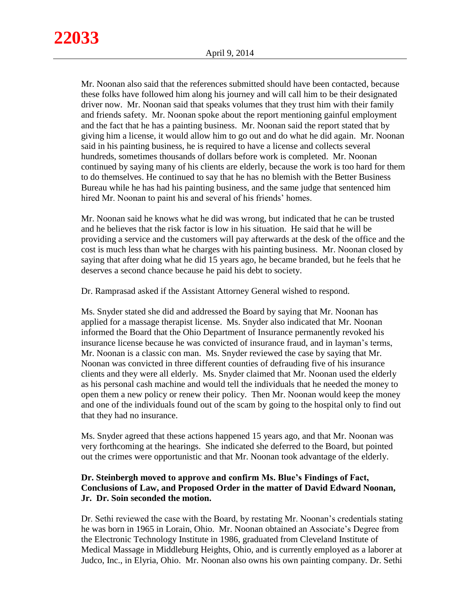Mr. Noonan also said that the references submitted should have been contacted, because these folks have followed him along his journey and will call him to be their designated driver now. Mr. Noonan said that speaks volumes that they trust him with their family and friends safety. Mr. Noonan spoke about the report mentioning gainful employment and the fact that he has a painting business. Mr. Noonan said the report stated that by giving him a license, it would allow him to go out and do what he did again. Mr. Noonan said in his painting business, he is required to have a license and collects several hundreds, sometimes thousands of dollars before work is completed. Mr. Noonan continued by saying many of his clients are elderly, because the work is too hard for them to do themselves. He continued to say that he has no blemish with the Better Business Bureau while he has had his painting business, and the same judge that sentenced him hired Mr. Noonan to paint his and several of his friends' homes.

Mr. Noonan said he knows what he did was wrong, but indicated that he can be trusted and he believes that the risk factor is low in his situation. He said that he will be providing a service and the customers will pay afterwards at the desk of the office and the cost is much less than what he charges with his painting business. Mr. Noonan closed by saying that after doing what he did 15 years ago, he became branded, but he feels that he deserves a second chance because he paid his debt to society.

Dr. Ramprasad asked if the Assistant Attorney General wished to respond.

Ms. Snyder stated she did and addressed the Board by saying that Mr. Noonan has applied for a massage therapist license. Ms. Snyder also indicated that Mr. Noonan informed the Board that the Ohio Department of Insurance permanently revoked his insurance license because he was convicted of insurance fraud, and in layman's terms, Mr. Noonan is a classic con man. Ms. Snyder reviewed the case by saying that Mr. Noonan was convicted in three different counties of defrauding five of his insurance clients and they were all elderly. Ms. Snyder claimed that Mr. Noonan used the elderly as his personal cash machine and would tell the individuals that he needed the money to open them a new policy or renew their policy. Then Mr. Noonan would keep the money and one of the individuals found out of the scam by going to the hospital only to find out that they had no insurance.

Ms. Snyder agreed that these actions happened 15 years ago, and that Mr. Noonan was very forthcoming at the hearings. She indicated she deferred to the Board, but pointed out the crimes were opportunistic and that Mr. Noonan took advantage of the elderly.

# **Dr. Steinbergh moved to approve and confirm Ms. Blue's Findings of Fact, Conclusions of Law, and Proposed Order in the matter of David Edward Noonan, Jr. Dr. Soin seconded the motion.**

Dr. Sethi reviewed the case with the Board, by restating Mr. Noonan's credentials stating he was born in 1965 in Lorain, Ohio. Mr. Noonan obtained an Associate's Degree from the Electronic Technology Institute in 1986, graduated from Cleveland Institute of Medical Massage in Middleburg Heights, Ohio, and is currently employed as a laborer at Judco, Inc., in Elyria, Ohio. Mr. Noonan also owns his own painting company. Dr. Sethi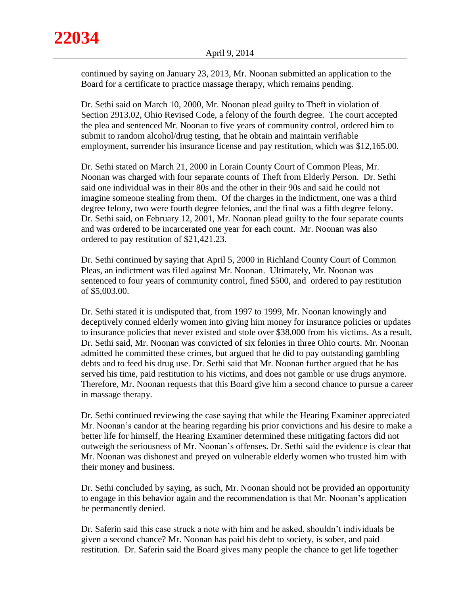continued by saying on January 23, 2013, Mr. Noonan submitted an application to the Board for a certificate to practice massage therapy, which remains pending.

Dr. Sethi said on March 10, 2000, Mr. Noonan plead guilty to Theft in violation of Section 2913.02, Ohio Revised Code, a felony of the fourth degree. The court accepted the plea and sentenced Mr. Noonan to five years of community control, ordered him to submit to random alcohol/drug testing, that he obtain and maintain verifiable employment, surrender his insurance license and pay restitution, which was \$12,165.00.

Dr. Sethi stated on March 21, 2000 in Lorain County Court of Common Pleas, Mr. Noonan was charged with four separate counts of Theft from Elderly Person. Dr. Sethi said one individual was in their 80s and the other in their 90s and said he could not imagine someone stealing from them. Of the charges in the indictment, one was a third degree felony, two were fourth degree felonies, and the final was a fifth degree felony. Dr. Sethi said, on February 12, 2001, Mr. Noonan plead guilty to the four separate counts and was ordered to be incarcerated one year for each count. Mr. Noonan was also ordered to pay restitution of \$21,421.23.

Dr. Sethi continued by saying that April 5, 2000 in Richland County Court of Common Pleas, an indictment was filed against Mr. Noonan. Ultimately, Mr. Noonan was sentenced to four years of community control, fined \$500, and ordered to pay restitution of \$5,003.00.

Dr. Sethi stated it is undisputed that, from 1997 to 1999, Mr. Noonan knowingly and deceptively conned elderly women into giving him money for insurance policies or updates to insurance policies that never existed and stole over \$38,000 from his victims. As a result, Dr. Sethi said, Mr. Noonan was convicted of six felonies in three Ohio courts. Mr. Noonan admitted he committed these crimes, but argued that he did to pay outstanding gambling debts and to feed his drug use. Dr. Sethi said that Mr. Noonan further argued that he has served his time, paid restitution to his victims, and does not gamble or use drugs anymore. Therefore, Mr. Noonan requests that this Board give him a second chance to pursue a career in massage therapy.

Dr. Sethi continued reviewing the case saying that while the Hearing Examiner appreciated Mr. Noonan's candor at the hearing regarding his prior convictions and his desire to make a better life for himself, the Hearing Examiner determined these mitigating factors did not outweigh the seriousness of Mr. Noonan's offenses. Dr. Sethi said the evidence is clear that Mr. Noonan was dishonest and preyed on vulnerable elderly women who trusted him with their money and business.

Dr. Sethi concluded by saying, as such, Mr. Noonan should not be provided an opportunity to engage in this behavior again and the recommendation is that Mr. Noonan's application be permanently denied.

Dr. Saferin said this case struck a note with him and he asked, shouldn't individuals be given a second chance? Mr. Noonan has paid his debt to society, is sober, and paid restitution. Dr. Saferin said the Board gives many people the chance to get life together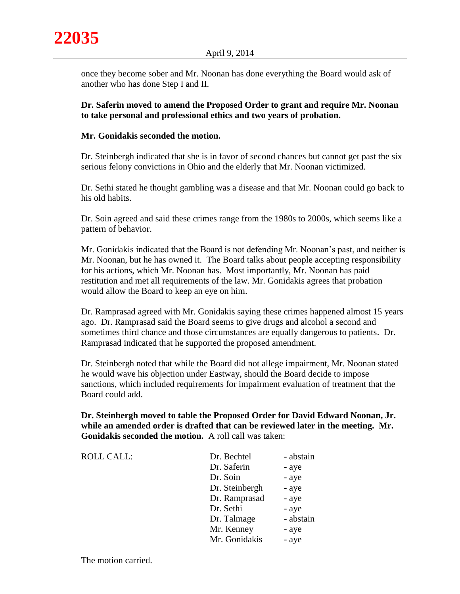once they become sober and Mr. Noonan has done everything the Board would ask of another who has done Step I and II.

**Dr. Saferin moved to amend the Proposed Order to grant and require Mr. Noonan to take personal and professional ethics and two years of probation.** 

# **Mr. Gonidakis seconded the motion.**

Dr. Steinbergh indicated that she is in favor of second chances but cannot get past the six serious felony convictions in Ohio and the elderly that Mr. Noonan victimized.

Dr. Sethi stated he thought gambling was a disease and that Mr. Noonan could go back to his old habits.

Dr. Soin agreed and said these crimes range from the 1980s to 2000s, which seems like a pattern of behavior.

Mr. Gonidakis indicated that the Board is not defending Mr. Noonan's past, and neither is Mr. Noonan, but he has owned it. The Board talks about people accepting responsibility for his actions, which Mr. Noonan has. Most importantly, Mr. Noonan has paid restitution and met all requirements of the law. Mr. Gonidakis agrees that probation would allow the Board to keep an eye on him.

Dr. Ramprasad agreed with Mr. Gonidakis saying these crimes happened almost 15 years ago. Dr. Ramprasad said the Board seems to give drugs and alcohol a second and sometimes third chance and those circumstances are equally dangerous to patients. Dr. Ramprasad indicated that he supported the proposed amendment.

Dr. Steinbergh noted that while the Board did not allege impairment, Mr. Noonan stated he would wave his objection under Eastway, should the Board decide to impose sanctions, which included requirements for impairment evaluation of treatment that the Board could add.

**Dr. Steinbergh moved to table the Proposed Order for David Edward Noonan, Jr. while an amended order is drafted that can be reviewed later in the meeting. Mr. Gonidakis seconded the motion.** A roll call was taken:

| <b>ROLL CALL:</b> | Dr. Bechtel    | - abstain |
|-------------------|----------------|-----------|
|                   | Dr. Saferin    | - aye     |
|                   | Dr. Soin       | - aye     |
|                   | Dr. Steinbergh | - aye     |
|                   | Dr. Ramprasad  | - aye     |
|                   | Dr. Sethi      | - aye     |
|                   | Dr. Talmage    | - abstain |
|                   | Mr. Kenney     | - aye     |
|                   | Mr. Gonidakis  | - aye     |
|                   |                |           |

The motion carried.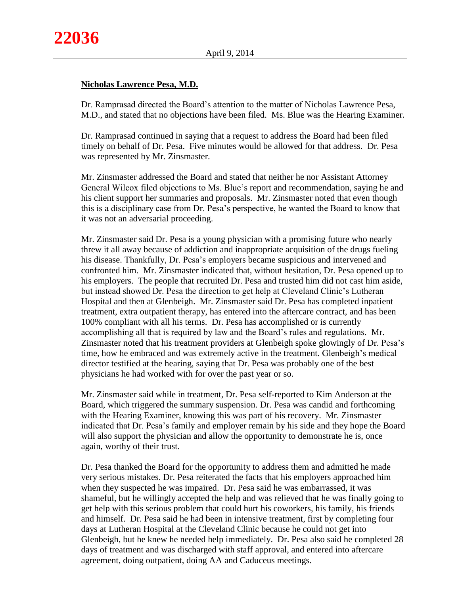# **Nicholas Lawrence Pesa, M.D.**

Dr. Ramprasad directed the Board's attention to the matter of Nicholas Lawrence Pesa, M.D., and stated that no objections have been filed. Ms. Blue was the Hearing Examiner.

Dr. Ramprasad continued in saying that a request to address the Board had been filed timely on behalf of Dr. Pesa. Five minutes would be allowed for that address. Dr. Pesa was represented by Mr. Zinsmaster.

Mr. Zinsmaster addressed the Board and stated that neither he nor Assistant Attorney General Wilcox filed objections to Ms. Blue's report and recommendation, saying he and his client support her summaries and proposals. Mr. Zinsmaster noted that even though this is a disciplinary case from Dr. Pesa's perspective, he wanted the Board to know that it was not an adversarial proceeding.

Mr. Zinsmaster said Dr. Pesa is a young physician with a promising future who nearly threw it all away because of addiction and inappropriate acquisition of the drugs fueling his disease. Thankfully, Dr. Pesa's employers became suspicious and intervened and confronted him. Mr. Zinsmaster indicated that, without hesitation, Dr. Pesa opened up to his employers. The people that recruited Dr. Pesa and trusted him did not cast him aside, but instead showed Dr. Pesa the direction to get help at Cleveland Clinic's Lutheran Hospital and then at Glenbeigh. Mr. Zinsmaster said Dr. Pesa has completed inpatient treatment, extra outpatient therapy, has entered into the aftercare contract, and has been 100% compliant with all his terms. Dr. Pesa has accomplished or is currently accomplishing all that is required by law and the Board's rules and regulations. Mr. Zinsmaster noted that his treatment providers at Glenbeigh spoke glowingly of Dr. Pesa's time, how he embraced and was extremely active in the treatment. Glenbeigh's medical director testified at the hearing, saying that Dr. Pesa was probably one of the best physicians he had worked with for over the past year or so.

Mr. Zinsmaster said while in treatment, Dr. Pesa self-reported to Kim Anderson at the Board, which triggered the summary suspension. Dr. Pesa was candid and forthcoming with the Hearing Examiner, knowing this was part of his recovery. Mr. Zinsmaster indicated that Dr. Pesa's family and employer remain by his side and they hope the Board will also support the physician and allow the opportunity to demonstrate he is, once again, worthy of their trust.

Dr. Pesa thanked the Board for the opportunity to address them and admitted he made very serious mistakes. Dr. Pesa reiterated the facts that his employers approached him when they suspected he was impaired. Dr. Pesa said he was embarrassed, it was shameful, but he willingly accepted the help and was relieved that he was finally going to get help with this serious problem that could hurt his coworkers, his family, his friends and himself. Dr. Pesa said he had been in intensive treatment, first by completing four days at Lutheran Hospital at the Cleveland Clinic because he could not get into Glenbeigh, but he knew he needed help immediately. Dr. Pesa also said he completed 28 days of treatment and was discharged with staff approval, and entered into aftercare agreement, doing outpatient, doing AA and Caduceus meetings.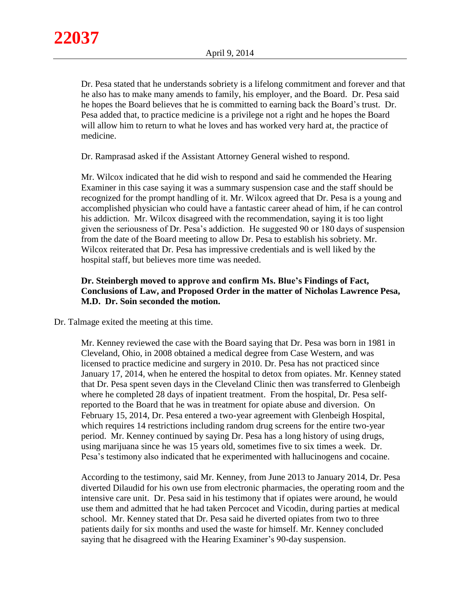Dr. Pesa stated that he understands sobriety is a lifelong commitment and forever and that he also has to make many amends to family, his employer, and the Board. Dr. Pesa said he hopes the Board believes that he is committed to earning back the Board's trust. Dr. Pesa added that, to practice medicine is a privilege not a right and he hopes the Board will allow him to return to what he loves and has worked very hard at, the practice of medicine.

Dr. Ramprasad asked if the Assistant Attorney General wished to respond.

Mr. Wilcox indicated that he did wish to respond and said he commended the Hearing Examiner in this case saying it was a summary suspension case and the staff should be recognized for the prompt handling of it. Mr. Wilcox agreed that Dr. Pesa is a young and accomplished physician who could have a fantastic career ahead of him, if he can control his addiction. Mr. Wilcox disagreed with the recommendation, saying it is too light given the seriousness of Dr. Pesa's addiction. He suggested 90 or 180 days of suspension from the date of the Board meeting to allow Dr. Pesa to establish his sobriety. Mr. Wilcox reiterated that Dr. Pesa has impressive credentials and is well liked by the hospital staff, but believes more time was needed.

# **Dr. Steinbergh moved to approve and confirm Ms. Blue's Findings of Fact, Conclusions of Law, and Proposed Order in the matter of Nicholas Lawrence Pesa, M.D. Dr. Soin seconded the motion.**

Dr. Talmage exited the meeting at this time.

Mr. Kenney reviewed the case with the Board saying that Dr. Pesa was born in 1981 in Cleveland, Ohio, in 2008 obtained a medical degree from Case Western, and was licensed to practice medicine and surgery in 2010. Dr. Pesa has not practiced since January 17, 2014, when he entered the hospital to detox from opiates. Mr. Kenney stated that Dr. Pesa spent seven days in the Cleveland Clinic then was transferred to Glenbeigh where he completed 28 days of inpatient treatment. From the hospital, Dr. Pesa selfreported to the Board that he was in treatment for opiate abuse and diversion. On February 15, 2014, Dr. Pesa entered a two-year agreement with Glenbeigh Hospital, which requires 14 restrictions including random drug screens for the entire two-year period. Mr. Kenney continued by saying Dr. Pesa has a long history of using drugs, using marijuana since he was 15 years old, sometimes five to six times a week. Dr. Pesa's testimony also indicated that he experimented with hallucinogens and cocaine.

According to the testimony, said Mr. Kenney, from June 2013 to January 2014, Dr. Pesa diverted Dilaudid for his own use from electronic pharmacies, the operating room and the intensive care unit. Dr. Pesa said in his testimony that if opiates were around, he would use them and admitted that he had taken Percocet and Vicodin, during parties at medical school. Mr. Kenney stated that Dr. Pesa said he diverted opiates from two to three patients daily for six months and used the waste for himself. Mr. Kenney concluded saying that he disagreed with the Hearing Examiner's 90-day suspension.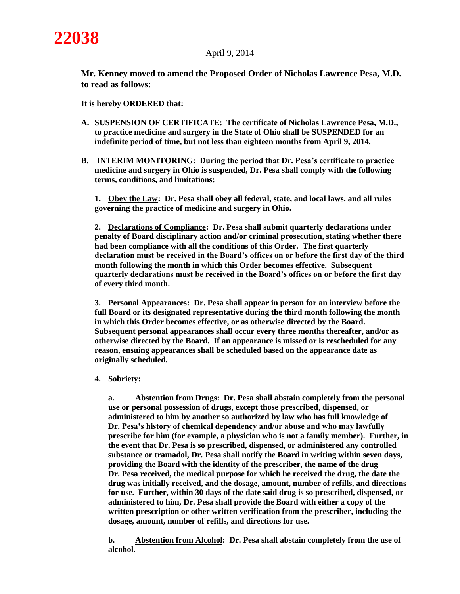**Mr. Kenney moved to amend the Proposed Order of Nicholas Lawrence Pesa, M.D. to read as follows:** 

**It is hereby ORDERED that:**

- **A. SUSPENSION OF CERTIFICATE: The certificate of Nicholas Lawrence Pesa, M.D., to practice medicine and surgery in the State of Ohio shall be SUSPENDED for an indefinite period of time, but not less than eighteen months from April 9, 2014.**
- **B. INTERIM MONITORING: During the period that Dr. Pesa's certificate to practice medicine and surgery in Ohio is suspended, Dr. Pesa shall comply with the following terms, conditions, and limitations:**

**1. Obey the Law: Dr. Pesa shall obey all federal, state, and local laws, and all rules governing the practice of medicine and surgery in Ohio.**

**2. Declarations of Compliance: Dr. Pesa shall submit quarterly declarations under penalty of Board disciplinary action and/or criminal prosecution, stating whether there had been compliance with all the conditions of this Order. The first quarterly declaration must be received in the Board's offices on or before the first day of the third month following the month in which this Order becomes effective. Subsequent quarterly declarations must be received in the Board's offices on or before the first day of every third month.**

**3. Personal Appearances: Dr. Pesa shall appear in person for an interview before the full Board or its designated representative during the third month following the month in which this Order becomes effective, or as otherwise directed by the Board. Subsequent personal appearances shall occur every three months thereafter, and/or as otherwise directed by the Board. If an appearance is missed or is rescheduled for any reason, ensuing appearances shall be scheduled based on the appearance date as originally scheduled.** 

#### **4. Sobriety:**

**a. Abstention from Drugs: Dr. Pesa shall abstain completely from the personal use or personal possession of drugs, except those prescribed, dispensed, or administered to him by another so authorized by law who has full knowledge of Dr. Pesa's history of chemical dependency and/or abuse and who may lawfully prescribe for him (for example, a physician who is not a family member). Further, in the event that Dr. Pesa is so prescribed, dispensed, or administered any controlled substance or tramadol, Dr. Pesa shall notify the Board in writing within seven days, providing the Board with the identity of the prescriber, the name of the drug Dr. Pesa received, the medical purpose for which he received the drug, the date the drug was initially received, and the dosage, amount, number of refills, and directions for use. Further, within 30 days of the date said drug is so prescribed, dispensed, or administered to him, Dr. Pesa shall provide the Board with either a copy of the written prescription or other written verification from the prescriber, including the dosage, amount, number of refills, and directions for use.**

**b. Abstention from Alcohol: Dr. Pesa shall abstain completely from the use of alcohol.**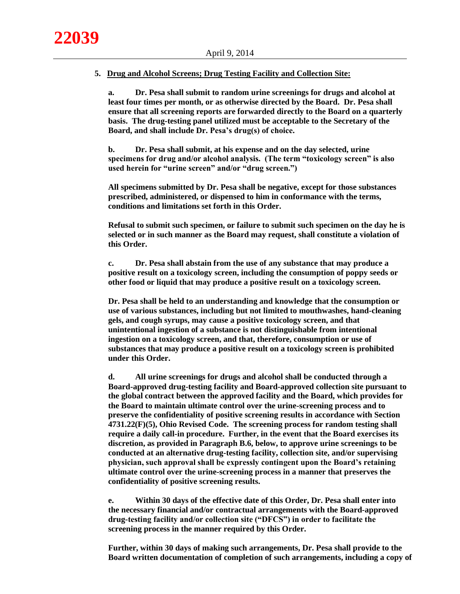#### **5. Drug and Alcohol Screens; Drug Testing Facility and Collection Site:**

**a. Dr. Pesa shall submit to random urine screenings for drugs and alcohol at least four times per month, or as otherwise directed by the Board. Dr. Pesa shall ensure that all screening reports are forwarded directly to the Board on a quarterly basis. The drug-testing panel utilized must be acceptable to the Secretary of the Board, and shall include Dr. Pesa's drug(s) of choice.**

**b. Dr. Pesa shall submit, at his expense and on the day selected, urine specimens for drug and/or alcohol analysis. (The term "toxicology screen" is also used herein for "urine screen" and/or "drug screen.")**

**All specimens submitted by Dr. Pesa shall be negative, except for those substances prescribed, administered, or dispensed to him in conformance with the terms, conditions and limitations set forth in this Order.**

**Refusal to submit such specimen, or failure to submit such specimen on the day he is selected or in such manner as the Board may request, shall constitute a violation of this Order.**

**c. Dr. Pesa shall abstain from the use of any substance that may produce a positive result on a toxicology screen, including the consumption of poppy seeds or other food or liquid that may produce a positive result on a toxicology screen.**

**Dr. Pesa shall be held to an understanding and knowledge that the consumption or use of various substances, including but not limited to mouthwashes, hand-cleaning gels, and cough syrups, may cause a positive toxicology screen, and that unintentional ingestion of a substance is not distinguishable from intentional ingestion on a toxicology screen, and that, therefore, consumption or use of substances that may produce a positive result on a toxicology screen is prohibited under this Order.**

**d. All urine screenings for drugs and alcohol shall be conducted through a Board-approved drug-testing facility and Board-approved collection site pursuant to the global contract between the approved facility and the Board, which provides for the Board to maintain ultimate control over the urine-screening process and to preserve the confidentiality of positive screening results in accordance with Section 4731.22(F)(5), Ohio Revised Code. The screening process for random testing shall require a daily call-in procedure. Further, in the event that the Board exercises its discretion, as provided in Paragraph B.6, below, to approve urine screenings to be conducted at an alternative drug-testing facility, collection site, and/or supervising physician, such approval shall be expressly contingent upon the Board's retaining ultimate control over the urine-screening process in a manner that preserves the confidentiality of positive screening results.**

**e. Within 30 days of the effective date of this Order, Dr. Pesa shall enter into the necessary financial and/or contractual arrangements with the Board-approved drug-testing facility and/or collection site ("DFCS") in order to facilitate the screening process in the manner required by this Order.**

**Further, within 30 days of making such arrangements, Dr. Pesa shall provide to the Board written documentation of completion of such arrangements, including a copy of**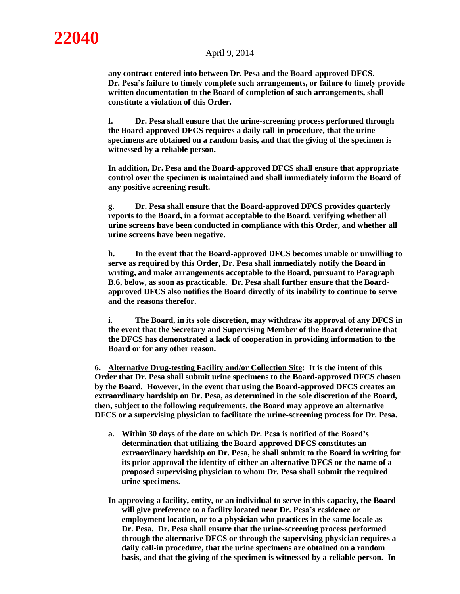**any contract entered into between Dr. Pesa and the Board-approved DFCS. Dr. Pesa's failure to timely complete such arrangements, or failure to timely provide written documentation to the Board of completion of such arrangements, shall constitute a violation of this Order.**

**f. Dr. Pesa shall ensure that the urine-screening process performed through the Board-approved DFCS requires a daily call-in procedure, that the urine specimens are obtained on a random basis, and that the giving of the specimen is witnessed by a reliable person.**

**In addition, Dr. Pesa and the Board-approved DFCS shall ensure that appropriate control over the specimen is maintained and shall immediately inform the Board of any positive screening result.**

**g. Dr. Pesa shall ensure that the Board-approved DFCS provides quarterly reports to the Board, in a format acceptable to the Board, verifying whether all urine screens have been conducted in compliance with this Order, and whether all urine screens have been negative.**

**h. In the event that the Board-approved DFCS becomes unable or unwilling to serve as required by this Order, Dr. Pesa shall immediately notify the Board in writing, and make arrangements acceptable to the Board, pursuant to Paragraph B.6, below, as soon as practicable. Dr. Pesa shall further ensure that the Boardapproved DFCS also notifies the Board directly of its inability to continue to serve and the reasons therefor.**

**i. The Board, in its sole discretion, may withdraw its approval of any DFCS in the event that the Secretary and Supervising Member of the Board determine that the DFCS has demonstrated a lack of cooperation in providing information to the Board or for any other reason.**

**6. Alternative Drug-testing Facility and/or Collection Site: It is the intent of this Order that Dr. Pesa shall submit urine specimens to the Board-approved DFCS chosen by the Board. However, in the event that using the Board-approved DFCS creates an extraordinary hardship on Dr. Pesa, as determined in the sole discretion of the Board, then, subject to the following requirements, the Board may approve an alternative DFCS or a supervising physician to facilitate the urine-screening process for Dr. Pesa.**

- **a. Within 30 days of the date on which Dr. Pesa is notified of the Board's determination that utilizing the Board-approved DFCS constitutes an extraordinary hardship on Dr. Pesa, he shall submit to the Board in writing for its prior approval the identity of either an alternative DFCS or the name of a proposed supervising physician to whom Dr. Pesa shall submit the required urine specimens.**
- **In approving a facility, entity, or an individual to serve in this capacity, the Board will give preference to a facility located near Dr. Pesa's residence or employment location, or to a physician who practices in the same locale as Dr. Pesa. Dr. Pesa shall ensure that the urine-screening process performed through the alternative DFCS or through the supervising physician requires a daily call-in procedure, that the urine specimens are obtained on a random basis, and that the giving of the specimen is witnessed by a reliable person. In**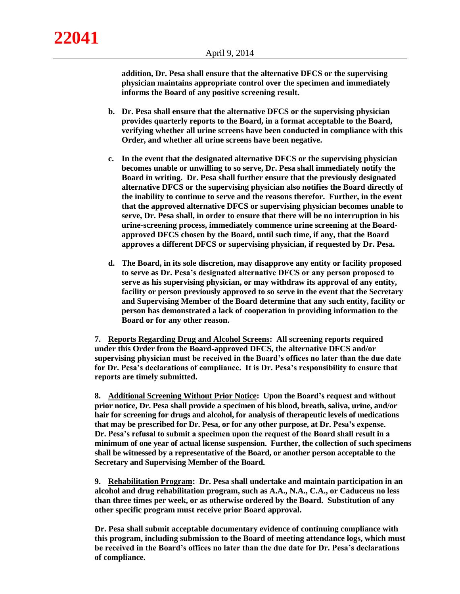**addition, Dr. Pesa shall ensure that the alternative DFCS or the supervising physician maintains appropriate control over the specimen and immediately informs the Board of any positive screening result.**

- **b. Dr. Pesa shall ensure that the alternative DFCS or the supervising physician provides quarterly reports to the Board, in a format acceptable to the Board, verifying whether all urine screens have been conducted in compliance with this Order, and whether all urine screens have been negative.**
- **c. In the event that the designated alternative DFCS or the supervising physician becomes unable or unwilling to so serve, Dr. Pesa shall immediately notify the Board in writing. Dr. Pesa shall further ensure that the previously designated alternative DFCS or the supervising physician also notifies the Board directly of the inability to continue to serve and the reasons therefor. Further, in the event that the approved alternative DFCS or supervising physician becomes unable to serve, Dr. Pesa shall, in order to ensure that there will be no interruption in his urine-screening process, immediately commence urine screening at the Boardapproved DFCS chosen by the Board, until such time, if any, that the Board approves a different DFCS or supervising physician, if requested by Dr. Pesa.**
- **d. The Board, in its sole discretion, may disapprove any entity or facility proposed to serve as Dr. Pesa's designated alternative DFCS or any person proposed to serve as his supervising physician, or may withdraw its approval of any entity, facility or person previously approved to so serve in the event that the Secretary and Supervising Member of the Board determine that any such entity, facility or person has demonstrated a lack of cooperation in providing information to the Board or for any other reason.**

**7. Reports Regarding Drug and Alcohol Screens: All screening reports required under this Order from the Board-approved DFCS, the alternative DFCS and/or supervising physician must be received in the Board's offices no later than the due date for Dr. Pesa's declarations of compliance. It is Dr. Pesa's responsibility to ensure that reports are timely submitted.**

**8. Additional Screening Without Prior Notice: Upon the Board's request and without prior notice, Dr. Pesa shall provide a specimen of his blood, breath, saliva, urine, and/or hair for screening for drugs and alcohol, for analysis of therapeutic levels of medications that may be prescribed for Dr. Pesa, or for any other purpose, at Dr. Pesa's expense. Dr. Pesa's refusal to submit a specimen upon the request of the Board shall result in a minimum of one year of actual license suspension. Further, the collection of such specimens shall be witnessed by a representative of the Board, or another person acceptable to the Secretary and Supervising Member of the Board.**

**9. Rehabilitation Program: Dr. Pesa shall undertake and maintain participation in an alcohol and drug rehabilitation program, such as A.A., N.A., C.A., or Caduceus no less than three times per week, or as otherwise ordered by the Board. Substitution of any other specific program must receive prior Board approval.**

**Dr. Pesa shall submit acceptable documentary evidence of continuing compliance with this program, including submission to the Board of meeting attendance logs, which must be received in the Board's offices no later than the due date for Dr. Pesa's declarations of compliance.**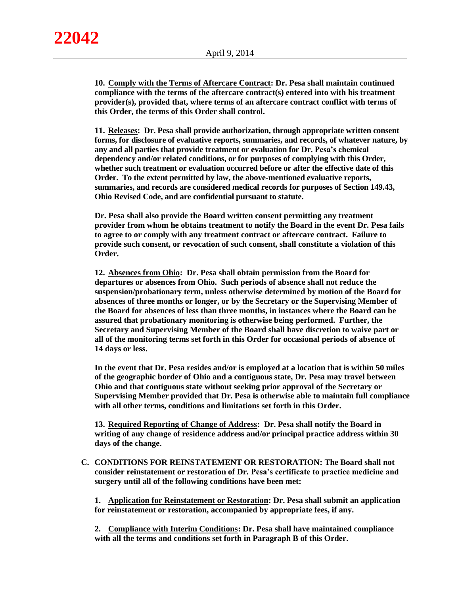**10. Comply with the Terms of Aftercare Contract: Dr. Pesa shall maintain continued compliance with the terms of the aftercare contract(s) entered into with his treatment provider(s), provided that, where terms of an aftercare contract conflict with terms of this Order, the terms of this Order shall control.**

**11. Releases: Dr. Pesa shall provide authorization, through appropriate written consent forms, for disclosure of evaluative reports, summaries, and records, of whatever nature, by any and all parties that provide treatment or evaluation for Dr. Pesa's chemical dependency and/or related conditions, or for purposes of complying with this Order, whether such treatment or evaluation occurred before or after the effective date of this Order. To the extent permitted by law, the above-mentioned evaluative reports, summaries, and records are considered medical records for purposes of Section 149.43, Ohio Revised Code, and are confidential pursuant to statute.** 

**Dr. Pesa shall also provide the Board written consent permitting any treatment provider from whom he obtains treatment to notify the Board in the event Dr. Pesa fails to agree to or comply with any treatment contract or aftercare contract. Failure to provide such consent, or revocation of such consent, shall constitute a violation of this Order.**

**12. Absences from Ohio: Dr. Pesa shall obtain permission from the Board for departures or absences from Ohio. Such periods of absence shall not reduce the suspension/probationary term, unless otherwise determined by motion of the Board for absences of three months or longer, or by the Secretary or the Supervising Member of the Board for absences of less than three months, in instances where the Board can be assured that probationary monitoring is otherwise being performed. Further, the Secretary and Supervising Member of the Board shall have discretion to waive part or all of the monitoring terms set forth in this Order for occasional periods of absence of 14 days or less.**

**In the event that Dr. Pesa resides and/or is employed at a location that is within 50 miles of the geographic border of Ohio and a contiguous state, Dr. Pesa may travel between Ohio and that contiguous state without seeking prior approval of the Secretary or Supervising Member provided that Dr. Pesa is otherwise able to maintain full compliance with all other terms, conditions and limitations set forth in this Order.**

**13. Required Reporting of Change of Address: Dr. Pesa shall notify the Board in writing of any change of residence address and/or principal practice address within 30 days of the change.**

**C. CONDITIONS FOR REINSTATEMENT OR RESTORATION: The Board shall not consider reinstatement or restoration of Dr. Pesa's certificate to practice medicine and surgery until all of the following conditions have been met:**

**1. Application for Reinstatement or Restoration: Dr. Pesa shall submit an application for reinstatement or restoration, accompanied by appropriate fees, if any.** 

**2. Compliance with Interim Conditions: Dr. Pesa shall have maintained compliance with all the terms and conditions set forth in Paragraph B of this Order.**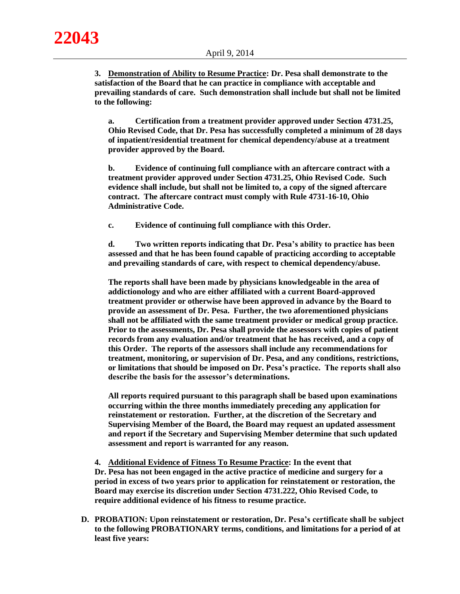**3. Demonstration of Ability to Resume Practice: Dr. Pesa shall demonstrate to the satisfaction of the Board that he can practice in compliance with acceptable and prevailing standards of care. Such demonstration shall include but shall not be limited to the following:**

**a. Certification from a treatment provider approved under Section 4731.25, Ohio Revised Code, that Dr. Pesa has successfully completed a minimum of 28 days of inpatient/residential treatment for chemical dependency/abuse at a treatment provider approved by the Board.**

**b. Evidence of continuing full compliance with an aftercare contract with a treatment provider approved under Section 4731.25, Ohio Revised Code. Such evidence shall include, but shall not be limited to, a copy of the signed aftercare contract. The aftercare contract must comply with Rule 4731-16-10, Ohio Administrative Code.** 

**c. Evidence of continuing full compliance with this Order.**

**d. Two written reports indicating that Dr. Pesa's ability to practice has been assessed and that he has been found capable of practicing according to acceptable and prevailing standards of care, with respect to chemical dependency/abuse.** 

**The reports shall have been made by physicians knowledgeable in the area of addictionology and who are either affiliated with a current Board-approved treatment provider or otherwise have been approved in advance by the Board to provide an assessment of Dr. Pesa. Further, the two aforementioned physicians shall not be affiliated with the same treatment provider or medical group practice. Prior to the assessments, Dr. Pesa shall provide the assessors with copies of patient records from any evaluation and/or treatment that he has received, and a copy of this Order. The reports of the assessors shall include any recommendations for treatment, monitoring, or supervision of Dr. Pesa, and any conditions, restrictions, or limitations that should be imposed on Dr. Pesa's practice. The reports shall also describe the basis for the assessor's determinations.**

**All reports required pursuant to this paragraph shall be based upon examinations occurring within the three months immediately preceding any application for reinstatement or restoration. Further, at the discretion of the Secretary and Supervising Member of the Board, the Board may request an updated assessment and report if the Secretary and Supervising Member determine that such updated assessment and report is warranted for any reason.**

**4. Additional Evidence of Fitness To Resume Practice: In the event that Dr. Pesa has not been engaged in the active practice of medicine and surgery for a period in excess of two years prior to application for reinstatement or restoration, the Board may exercise its discretion under Section 4731.222, Ohio Revised Code, to require additional evidence of his fitness to resume practice.**

**D. PROBATION: Upon reinstatement or restoration, Dr. Pesa's certificate shall be subject to the following PROBATIONARY terms, conditions, and limitations for a period of at least five years:**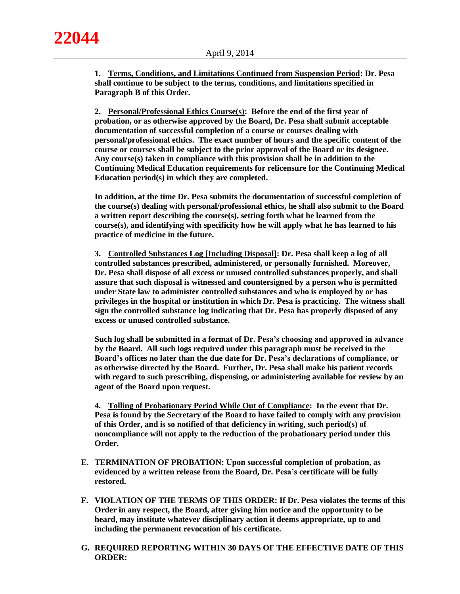**22044**

**1. Terms, Conditions, and Limitations Continued from Suspension Period: Dr. Pesa shall continue to be subject to the terms, conditions, and limitations specified in Paragraph B of this Order.**

**2. Personal/Professional Ethics Course(s): Before the end of the first year of probation, or as otherwise approved by the Board, Dr. Pesa shall submit acceptable documentation of successful completion of a course or courses dealing with personal/professional ethics. The exact number of hours and the specific content of the course or courses shall be subject to the prior approval of the Board or its designee. Any course(s) taken in compliance with this provision shall be in addition to the Continuing Medical Education requirements for relicensure for the Continuing Medical Education period(s) in which they are completed.** 

**In addition, at the time Dr. Pesa submits the documentation of successful completion of the course(s) dealing with personal/professional ethics, he shall also submit to the Board a written report describing the course(s), setting forth what he learned from the course(s), and identifying with specificity how he will apply what he has learned to his practice of medicine in the future.**

**3. Controlled Substances Log [Including Disposal]: Dr. Pesa shall keep a log of all controlled substances prescribed, administered, or personally furnished. Moreover, Dr. Pesa shall dispose of all excess or unused controlled substances properly, and shall assure that such disposal is witnessed and countersigned by a person who is permitted under State law to administer controlled substances and who is employed by or has privileges in the hospital or institution in which Dr. Pesa is practicing. The witness shall sign the controlled substance log indicating that Dr. Pesa has properly disposed of any excess or unused controlled substance.** 

**Such log shall be submitted in a format of Dr. Pesa's choosing and approved in advance by the Board. All such logs required under this paragraph must be received in the Board's offices no later than the due date for Dr. Pesa's declarations of compliance, or as otherwise directed by the Board. Further, Dr. Pesa shall make his patient records with regard to such prescribing, dispensing, or administering available for review by an agent of the Board upon request.** 

**4. Tolling of Probationary Period While Out of Compliance: In the event that Dr. Pesa is found by the Secretary of the Board to have failed to comply with any provision of this Order, and is so notified of that deficiency in writing, such period(s) of noncompliance will not apply to the reduction of the probationary period under this Order.**

- **E. TERMINATION OF PROBATION: Upon successful completion of probation, as evidenced by a written release from the Board, Dr. Pesa's certificate will be fully restored.**
- **F. VIOLATION OF THE TERMS OF THIS ORDER: If Dr. Pesa violates the terms of this Order in any respect, the Board, after giving him notice and the opportunity to be heard, may institute whatever disciplinary action it deems appropriate, up to and including the permanent revocation of his certificate.**
- **G. REQUIRED REPORTING WITHIN 30 DAYS OF THE EFFECTIVE DATE OF THIS ORDER:**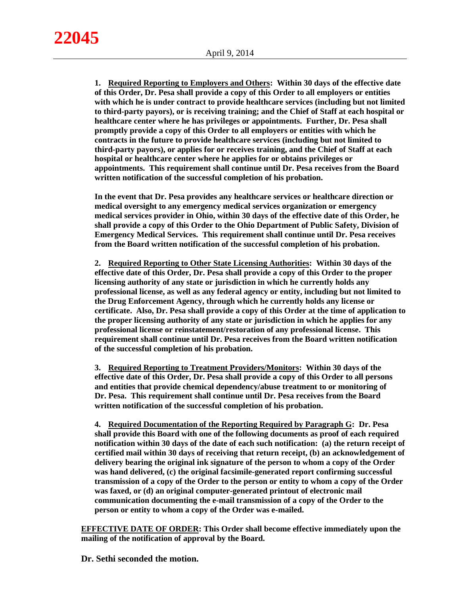**1. Required Reporting to Employers and Others: Within 30 days of the effective date of this Order, Dr. Pesa shall provide a copy of this Order to all employers or entities with which he is under contract to provide healthcare services (including but not limited to third-party payors), or is receiving training; and the Chief of Staff at each hospital or healthcare center where he has privileges or appointments. Further, Dr. Pesa shall promptly provide a copy of this Order to all employers or entities with which he contracts in the future to provide healthcare services (including but not limited to third-party payors), or applies for or receives training, and the Chief of Staff at each hospital or healthcare center where he applies for or obtains privileges or appointments. This requirement shall continue until Dr. Pesa receives from the Board written notification of the successful completion of his probation.**

**In the event that Dr. Pesa provides any healthcare services or healthcare direction or medical oversight to any emergency medical services organization or emergency medical services provider in Ohio, within 30 days of the effective date of this Order, he shall provide a copy of this Order to the Ohio Department of Public Safety, Division of Emergency Medical Services. This requirement shall continue until Dr. Pesa receives from the Board written notification of the successful completion of his probation.**

**2. Required Reporting to Other State Licensing Authorities: Within 30 days of the effective date of this Order, Dr. Pesa shall provide a copy of this Order to the proper licensing authority of any state or jurisdiction in which he currently holds any professional license, as well as any federal agency or entity, including but not limited to the Drug Enforcement Agency, through which he currently holds any license or certificate. Also, Dr. Pesa shall provide a copy of this Order at the time of application to the proper licensing authority of any state or jurisdiction in which he applies for any professional license or reinstatement/restoration of any professional license. This requirement shall continue until Dr. Pesa receives from the Board written notification of the successful completion of his probation.**

**3. Required Reporting to Treatment Providers/Monitors: Within 30 days of the effective date of this Order, Dr. Pesa shall provide a copy of this Order to all persons and entities that provide chemical dependency/abuse treatment to or monitoring of Dr. Pesa. This requirement shall continue until Dr. Pesa receives from the Board written notification of the successful completion of his probation.**

**4. Required Documentation of the Reporting Required by Paragraph G: Dr. Pesa shall provide this Board with one of the following documents as proof of each required notification within 30 days of the date of each such notification: (a) the return receipt of certified mail within 30 days of receiving that return receipt, (b) an acknowledgement of delivery bearing the original ink signature of the person to whom a copy of the Order was hand delivered, (c) the original facsimile-generated report confirming successful transmission of a copy of the Order to the person or entity to whom a copy of the Order was faxed, or (d) an original computer-generated printout of electronic mail communication documenting the e-mail transmission of a copy of the Order to the person or entity to whom a copy of the Order was e-mailed.**

**EFFECTIVE DATE OF ORDER: This Order shall become effective immediately upon the mailing of the notification of approval by the Board.**

**Dr. Sethi seconded the motion.**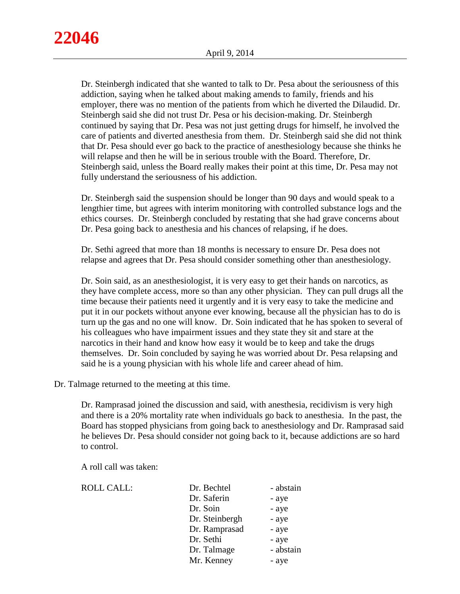Dr. Steinbergh indicated that she wanted to talk to Dr. Pesa about the seriousness of this addiction, saying when he talked about making amends to family, friends and his employer, there was no mention of the patients from which he diverted the Dilaudid. Dr. Steinbergh said she did not trust Dr. Pesa or his decision-making. Dr. Steinbergh continued by saying that Dr. Pesa was not just getting drugs for himself, he involved the care of patients and diverted anesthesia from them. Dr. Steinbergh said she did not think that Dr. Pesa should ever go back to the practice of anesthesiology because she thinks he will relapse and then he will be in serious trouble with the Board. Therefore, Dr. Steinbergh said, unless the Board really makes their point at this time, Dr. Pesa may not fully understand the seriousness of his addiction.

Dr. Steinbergh said the suspension should be longer than 90 days and would speak to a lengthier time, but agrees with interim monitoring with controlled substance logs and the ethics courses. Dr. Steinbergh concluded by restating that she had grave concerns about Dr. Pesa going back to anesthesia and his chances of relapsing, if he does.

Dr. Sethi agreed that more than 18 months is necessary to ensure Dr. Pesa does not relapse and agrees that Dr. Pesa should consider something other than anesthesiology.

Dr. Soin said, as an anesthesiologist, it is very easy to get their hands on narcotics, as they have complete access, more so than any other physician. They can pull drugs all the time because their patients need it urgently and it is very easy to take the medicine and put it in our pockets without anyone ever knowing, because all the physician has to do is turn up the gas and no one will know. Dr. Soin indicated that he has spoken to several of his colleagues who have impairment issues and they state they sit and stare at the narcotics in their hand and know how easy it would be to keep and take the drugs themselves. Dr. Soin concluded by saying he was worried about Dr. Pesa relapsing and said he is a young physician with his whole life and career ahead of him.

Dr. Talmage returned to the meeting at this time.

Dr. Ramprasad joined the discussion and said, with anesthesia, recidivism is very high and there is a 20% mortality rate when individuals go back to anesthesia. In the past, the Board has stopped physicians from going back to anesthesiology and Dr. Ramprasad said he believes Dr. Pesa should consider not going back to it, because addictions are so hard to control.

A roll call was taken:

| <b>ROLL CALL:</b> | Dr. Bechtel    | - abstain |
|-------------------|----------------|-----------|
|                   | Dr. Saferin    | - aye     |
|                   | Dr. Soin       | - aye     |
|                   | Dr. Steinbergh | - aye     |
|                   | Dr. Ramprasad  | - aye     |
|                   | Dr. Sethi      | - aye     |
|                   | Dr. Talmage    | - abstain |
|                   | Mr. Kenney     | - aye     |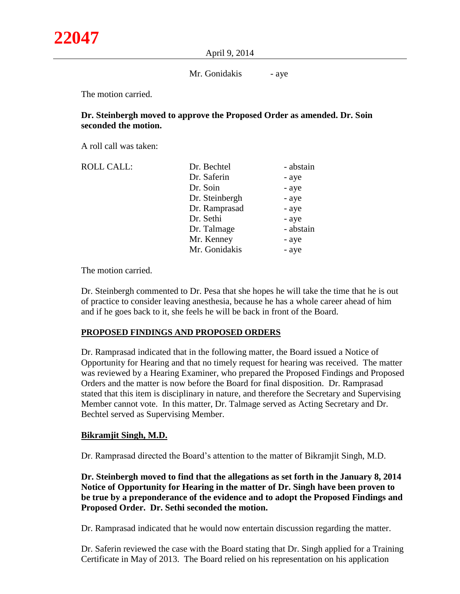#### April 9, 2014

### Mr. Gonidakis - aye

The motion carried.

# **Dr. Steinbergh moved to approve the Proposed Order as amended. Dr. Soin seconded the motion.**

A roll call was taken:

| Dr. Bechtel    | - abstain |
|----------------|-----------|
| Dr. Saferin    | - aye     |
| Dr. Soin       | - aye     |
| Dr. Steinbergh | - aye     |
| Dr. Ramprasad  | - aye     |
| Dr. Sethi      | - aye     |
| Dr. Talmage    | - abstain |
| Mr. Kenney     | - aye     |
| Mr. Gonidakis  | - aye     |
|                |           |

The motion carried.

Dr. Steinbergh commented to Dr. Pesa that she hopes he will take the time that he is out of practice to consider leaving anesthesia, because he has a whole career ahead of him and if he goes back to it, she feels he will be back in front of the Board.

# **PROPOSED FINDINGS AND PROPOSED ORDERS**

Dr. Ramprasad indicated that in the following matter, the Board issued a Notice of Opportunity for Hearing and that no timely request for hearing was received. The matter was reviewed by a Hearing Examiner, who prepared the Proposed Findings and Proposed Orders and the matter is now before the Board for final disposition. Dr. Ramprasad stated that this item is disciplinary in nature, and therefore the Secretary and Supervising Member cannot vote. In this matter, Dr. Talmage served as Acting Secretary and Dr. Bechtel served as Supervising Member.

# **Bikramjit Singh, M.D.**

Dr. Ramprasad directed the Board's attention to the matter of Bikramjit Singh, M.D.

**Dr. Steinbergh moved to find that the allegations as set forth in the January 8, 2014 Notice of Opportunity for Hearing in the matter of Dr. Singh have been proven to be true by a preponderance of the evidence and to adopt the Proposed Findings and Proposed Order. Dr. Sethi seconded the motion.**

Dr. Ramprasad indicated that he would now entertain discussion regarding the matter.

Dr. Saferin reviewed the case with the Board stating that Dr. Singh applied for a Training Certificate in May of 2013. The Board relied on his representation on his application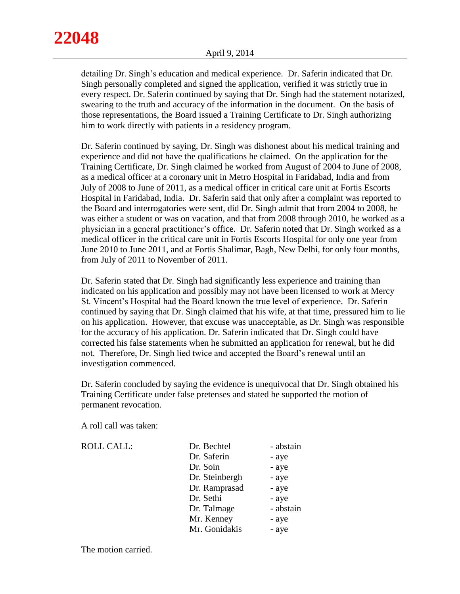detailing Dr. Singh's education and medical experience. Dr. Saferin indicated that Dr. Singh personally completed and signed the application, verified it was strictly true in every respect. Dr. Saferin continued by saying that Dr. Singh had the statement notarized, swearing to the truth and accuracy of the information in the document. On the basis of those representations, the Board issued a Training Certificate to Dr. Singh authorizing him to work directly with patients in a residency program.

Dr. Saferin continued by saying, Dr. Singh was dishonest about his medical training and experience and did not have the qualifications he claimed. On the application for the Training Certificate, Dr. Singh claimed he worked from August of 2004 to June of 2008, as a medical officer at a coronary unit in Metro Hospital in Faridabad, India and from July of 2008 to June of 2011, as a medical officer in critical care unit at Fortis Escorts Hospital in Faridabad, India. Dr. Saferin said that only after a complaint was reported to the Board and interrogatories were sent, did Dr. Singh admit that from 2004 to 2008, he was either a student or was on vacation, and that from 2008 through 2010, he worked as a physician in a general practitioner's office. Dr. Saferin noted that Dr. Singh worked as a medical officer in the critical care unit in Fortis Escorts Hospital for only one year from June 2010 to June 2011, and at Fortis Shalimar, Bagh, New Delhi, for only four months, from July of 2011 to November of 2011.

Dr. Saferin stated that Dr. Singh had significantly less experience and training than indicated on his application and possibly may not have been licensed to work at Mercy St. Vincent's Hospital had the Board known the true level of experience. Dr. Saferin continued by saying that Dr. Singh claimed that his wife, at that time, pressured him to lie on his application. However, that excuse was unacceptable, as Dr. Singh was responsible for the accuracy of his application. Dr. Saferin indicated that Dr. Singh could have corrected his false statements when he submitted an application for renewal, but he did not. Therefore, Dr. Singh lied twice and accepted the Board's renewal until an investigation commenced.

Dr. Saferin concluded by saying the evidence is unequivocal that Dr. Singh obtained his Training Certificate under false pretenses and stated he supported the motion of permanent revocation.

A roll call was taken:

| <b>ROLL CALL:</b> | Dr. Bechtel    | - abstain |
|-------------------|----------------|-----------|
|                   | Dr. Saferin    | - aye     |
|                   | Dr. Soin       | - aye     |
|                   | Dr. Steinbergh | - aye     |
|                   | Dr. Ramprasad  | - aye     |
|                   | Dr. Sethi      | - aye     |
|                   | Dr. Talmage    | - abstain |
|                   | Mr. Kenney     | - aye     |
|                   | Mr. Gonidakis  | - aye     |
|                   |                |           |

The motion carried.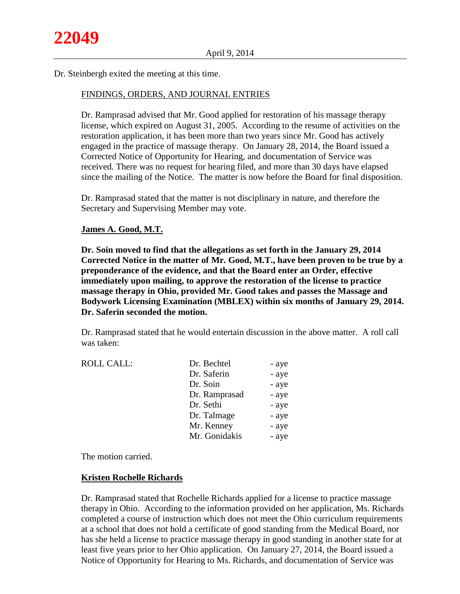Dr. Steinbergh exited the meeting at this time.

#### FINDINGS, ORDERS, AND JOURNAL ENTRIES

Dr. Ramprasad advised that Mr. Good applied for restoration of his massage therapy license, which expired on August 31, 2005. According to the resume of activities on the restoration application, it has been more than two years since Mr. Good has actively engaged in the practice of massage therapy. On January 28, 2014, the Board issued a Corrected Notice of Opportunity for Hearing, and documentation of Service was received. There was no request for hearing filed, and more than 30 days have elapsed since the mailing of the Notice. The matter is now before the Board for final disposition.

Dr. Ramprasad stated that the matter is not disciplinary in nature, and therefore the Secretary and Supervising Member may vote.

#### **James A. Good, M.T.**

**Dr. Soin moved to find that the allegations as set forth in the January 29, 2014 Corrected Notice in the matter of Mr. Good, M.T., have been proven to be true by a preponderance of the evidence, and that the Board enter an Order, effective immediately upon mailing, to approve the restoration of the license to practice massage therapy in Ohio, provided Mr. Good takes and passes the Massage and Bodywork Licensing Examination (MBLEX) within six months of January 29, 2014. Dr. Saferin seconded the motion.**

Dr. Ramprasad stated that he would entertain discussion in the above matter. A roll call was taken:

| <b>ROLL CALL:</b> | Dr. Bechtel   | - aye |
|-------------------|---------------|-------|
|                   | Dr. Saferin   | - aye |
|                   | Dr. Soin      | - aye |
|                   | Dr. Ramprasad | - aye |
|                   | Dr. Sethi     | - aye |
|                   | Dr. Talmage   | - aye |
|                   | Mr. Kenney    | - aye |
|                   | Mr. Gonidakis | - aye |

The motion carried.

#### **Kristen Rochelle Richards**

Dr. Ramprasad stated that Rochelle Richards applied for a license to practice massage therapy in Ohio. According to the information provided on her application, Ms. Richards completed a course of instruction which does not meet the Ohio curriculum requirements at a school that does not hold a certificate of good standing from the Medical Board, nor has she held a license to practice massage therapy in good standing in another state for at least five years prior to her Ohio application*.* On January 27, 2014, the Board issued a Notice of Opportunity for Hearing to Ms. Richards, and documentation of Service was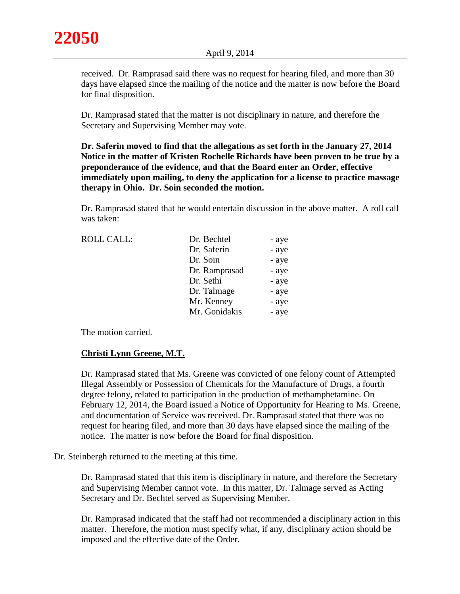received. Dr. Ramprasad said there was no request for hearing filed, and more than 30 days have elapsed since the mailing of the notice and the matter is now before the Board for final disposition.

Dr. Ramprasad stated that the matter is not disciplinary in nature, and therefore the Secretary and Supervising Member may vote.

**Dr. Saferin moved to find that the allegations as set forth in the January 27, 2014 Notice in the matter of Kristen Rochelle Richards have been proven to be true by a preponderance of the evidence, and that the Board enter an Order, effective immediately upon mailing, to deny the application for a license to practice massage therapy in Ohio. Dr. Soin seconded the motion.**

Dr. Ramprasad stated that he would entertain discussion in the above matter. A roll call was taken:

| <b>ROLL CALL:</b> | Dr. Bechtel   | - aye |
|-------------------|---------------|-------|
|                   | Dr. Saferin   | - aye |
|                   | Dr. Soin      | - aye |
|                   | Dr. Ramprasad | - aye |
|                   | Dr. Sethi     | - aye |
|                   | Dr. Talmage   | - aye |
|                   | Mr. Kenney    | - aye |
|                   | Mr. Gonidakis | - aye |
|                   |               |       |

The motion carried.

# **Christi Lynn Greene, M.T.**

Dr. Ramprasad stated that Ms. Greene was convicted of one felony count of Attempted Illegal Assembly or Possession of Chemicals for the Manufacture of Drugs, a fourth degree felony, related to participation in the production of methamphetamine. On February 12, 2014, the Board issued a Notice of Opportunity for Hearing to Ms. Greene, and documentation of Service was received. Dr. Ramprasad stated that there was no request for hearing filed, and more than 30 days have elapsed since the mailing of the notice. The matter is now before the Board for final disposition.

Dr. Steinbergh returned to the meeting at this time.

Dr. Ramprasad stated that this item is disciplinary in nature, and therefore the Secretary and Supervising Member cannot vote. In this matter, Dr. Talmage served as Acting Secretary and Dr. Bechtel served as Supervising Member.

Dr. Ramprasad indicated that the staff had not recommended a disciplinary action in this matter. Therefore, the motion must specify what, if any, disciplinary action should be imposed and the effective date of the Order.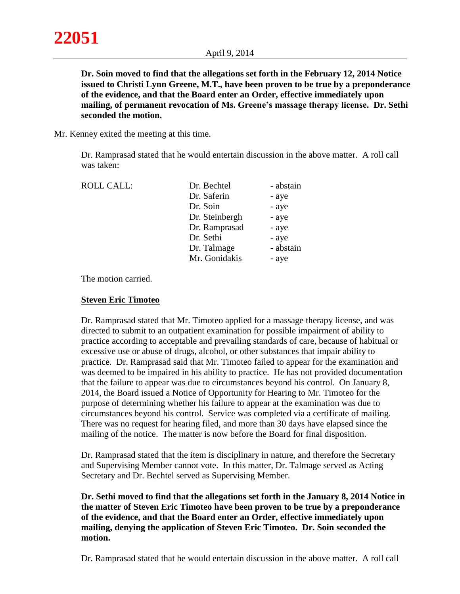**Dr. Soin moved to find that the allegations set forth in the February 12, 2014 Notice issued to Christi Lynn Greene, M.T., have been proven to be true by a preponderance of the evidence, and that the Board enter an Order, effective immediately upon mailing, of permanent revocation of Ms. Greene's massage therapy license. Dr. Sethi seconded the motion.**

Mr. Kenney exited the meeting at this time.

Dr. Ramprasad stated that he would entertain discussion in the above matter. A roll call was taken:

| ROLL CALL: | Dr. Bechtel    | - abstain |
|------------|----------------|-----------|
|            | Dr. Saferin    | - aye     |
|            | Dr. Soin       | - aye     |
|            | Dr. Steinbergh | - aye     |
|            | Dr. Ramprasad  | - aye     |
|            | Dr. Sethi      | - aye     |
|            | Dr. Talmage    | - abstain |
|            | Mr. Gonidakis  | - aye     |
|            |                |           |

The motion carried.

# **Steven Eric Timoteo**

Dr. Ramprasad stated that Mr. Timoteo applied for a massage therapy license, and was directed to submit to an outpatient examination for possible impairment of ability to practice according to acceptable and prevailing standards of care, because of habitual or excessive use or abuse of drugs, alcohol, or other substances that impair ability to practice. Dr. Ramprasad said that Mr. Timoteo failed to appear for the examination and was deemed to be impaired in his ability to practice. He has not provided documentation that the failure to appear was due to circumstances beyond his control. On January 8, 2014, the Board issued a Notice of Opportunity for Hearing to Mr. Timoteo for the purpose of determining whether his failure to appear at the examination was due to circumstances beyond his control. Service was completed via a certificate of mailing. There was no request for hearing filed, and more than 30 days have elapsed since the mailing of the notice. The matter is now before the Board for final disposition.

Dr. Ramprasad stated that the item is disciplinary in nature, and therefore the Secretary and Supervising Member cannot vote. In this matter, Dr. Talmage served as Acting Secretary and Dr. Bechtel served as Supervising Member.

**Dr. Sethi moved to find that the allegations set forth in the January 8, 2014 Notice in the matter of Steven Eric Timoteo have been proven to be true by a preponderance of the evidence, and that the Board enter an Order, effective immediately upon mailing, denying the application of Steven Eric Timoteo. Dr. Soin seconded the motion.**

Dr. Ramprasad stated that he would entertain discussion in the above matter. A roll call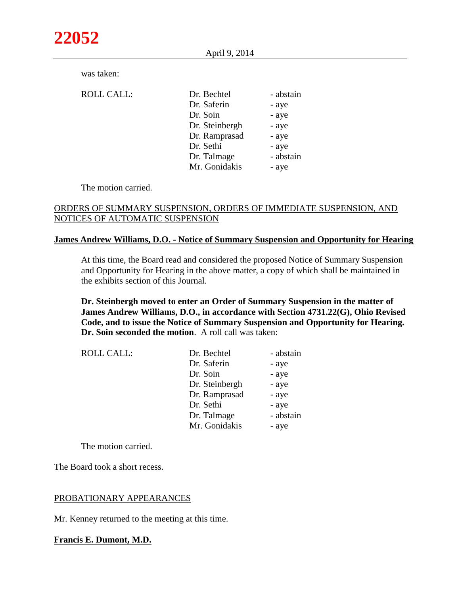April 9, 2014

|  | was taken: |
|--|------------|
|--|------------|

| <b>ROLL CALL:</b> | Dr. Bechtel    | - abstain |
|-------------------|----------------|-----------|
|                   | Dr. Saferin    | - aye     |
|                   | Dr. Soin       | - aye     |
|                   | Dr. Steinbergh | - aye     |
|                   | Dr. Ramprasad  | - aye     |
|                   | Dr. Sethi      | - aye     |
|                   | Dr. Talmage    | - abstain |
|                   | Mr. Gonidakis  | - aye     |
|                   |                |           |

The motion carried.

# ORDERS OF SUMMARY SUSPENSION, ORDERS OF IMMEDIATE SUSPENSION, AND NOTICES OF AUTOMATIC SUSPENSION

# **James Andrew Williams, D.O. - Notice of Summary Suspension and Opportunity for Hearing**

At this time, the Board read and considered the proposed Notice of Summary Suspension and Opportunity for Hearing in the above matter, a copy of which shall be maintained in the exhibits section of this Journal.

# **Dr. Steinbergh moved to enter an Order of Summary Suspension in the matter of James Andrew Williams, D.O., in accordance with Section 4731.22(G), Ohio Revised Code, and to issue the Notice of Summary Suspension and Opportunity for Hearing. Dr. Soin seconded the motion**. A roll call was taken:

| ROLL CALL: | Dr. Bechtel    | - abstain |
|------------|----------------|-----------|
|            | Dr. Saferin    | - aye     |
|            | Dr. Soin       | - aye     |
|            | Dr. Steinbergh | - aye     |
|            | Dr. Ramprasad  | - aye     |
|            | Dr. Sethi      | - aye     |
|            | Dr. Talmage    | - abstain |
|            | Mr. Gonidakis  | - aye     |

The motion carried.

The Board took a short recess.

# PROBATIONARY APPEARANCES

Mr. Kenney returned to the meeting at this time.

# **Francis E. Dumont, M.D.**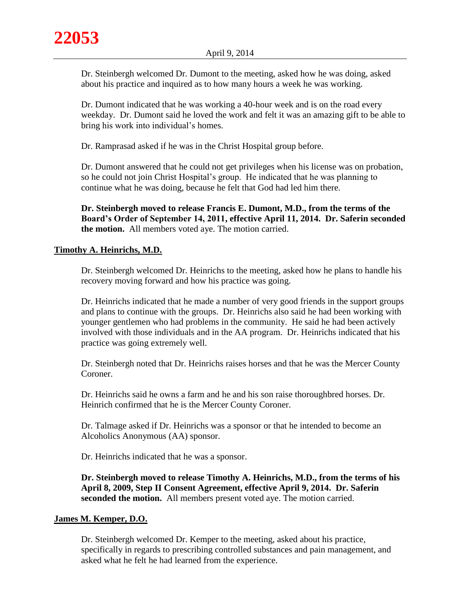Dr. Steinbergh welcomed Dr. Dumont to the meeting, asked how he was doing, asked about his practice and inquired as to how many hours a week he was working.

Dr. Dumont indicated that he was working a 40-hour week and is on the road every weekday. Dr. Dumont said he loved the work and felt it was an amazing gift to be able to bring his work into individual's homes.

Dr. Ramprasad asked if he was in the Christ Hospital group before.

Dr. Dumont answered that he could not get privileges when his license was on probation, so he could not join Christ Hospital's group. He indicated that he was planning to continue what he was doing, because he felt that God had led him there.

**Dr. Steinbergh moved to release Francis E. Dumont, M.D., from the terms of the Board's Order of September 14, 2011, effective April 11, 2014. Dr. Saferin seconded the motion.** All members voted aye. The motion carried.

# **Timothy A. Heinrichs, M.D.**

Dr. Steinbergh welcomed Dr. Heinrichs to the meeting, asked how he plans to handle his recovery moving forward and how his practice was going.

Dr. Heinrichs indicated that he made a number of very good friends in the support groups and plans to continue with the groups. Dr. Heinrichs also said he had been working with younger gentlemen who had problems in the community. He said he had been actively involved with those individuals and in the AA program. Dr. Heinrichs indicated that his practice was going extremely well.

Dr. Steinbergh noted that Dr. Heinrichs raises horses and that he was the Mercer County Coroner.

Dr. Heinrichs said he owns a farm and he and his son raise thoroughbred horses. Dr. Heinrich confirmed that he is the Mercer County Coroner.

Dr. Talmage asked if Dr. Heinrichs was a sponsor or that he intended to become an Alcoholics Anonymous (AA) sponsor.

Dr. Heinrichs indicated that he was a sponsor.

**Dr. Steinbergh moved to release Timothy A. Heinrichs, M.D., from the terms of his April 8, 2009, Step II Consent Agreement, effective April 9, 2014. Dr. Saferin seconded the motion.** All members present voted aye. The motion carried.

# **James M. Kemper, D.O.**

Dr. Steinbergh welcomed Dr. Kemper to the meeting, asked about his practice, specifically in regards to prescribing controlled substances and pain management, and asked what he felt he had learned from the experience.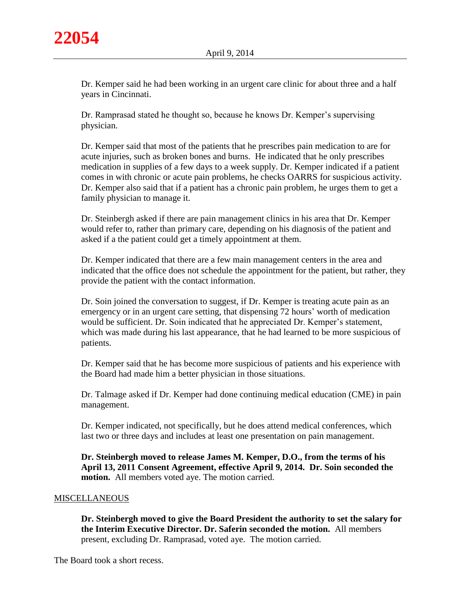Dr. Kemper said he had been working in an urgent care clinic for about three and a half years in Cincinnati.

Dr. Ramprasad stated he thought so, because he knows Dr. Kemper's supervising physician.

Dr. Kemper said that most of the patients that he prescribes pain medication to are for acute injuries, such as broken bones and burns. He indicated that he only prescribes medication in supplies of a few days to a week supply. Dr. Kemper indicated if a patient comes in with chronic or acute pain problems, he checks OARRS for suspicious activity. Dr. Kemper also said that if a patient has a chronic pain problem, he urges them to get a family physician to manage it.

Dr. Steinbergh asked if there are pain management clinics in his area that Dr. Kemper would refer to, rather than primary care, depending on his diagnosis of the patient and asked if a the patient could get a timely appointment at them.

Dr. Kemper indicated that there are a few main management centers in the area and indicated that the office does not schedule the appointment for the patient, but rather, they provide the patient with the contact information.

Dr. Soin joined the conversation to suggest, if Dr. Kemper is treating acute pain as an emergency or in an urgent care setting, that dispensing 72 hours' worth of medication would be sufficient. Dr. Soin indicated that he appreciated Dr. Kemper's statement, which was made during his last appearance, that he had learned to be more suspicious of patients.

Dr. Kemper said that he has become more suspicious of patients and his experience with the Board had made him a better physician in those situations.

Dr. Talmage asked if Dr. Kemper had done continuing medical education (CME) in pain management.

Dr. Kemper indicated, not specifically, but he does attend medical conferences, which last two or three days and includes at least one presentation on pain management.

**Dr. Steinbergh moved to release James M. Kemper, D.O., from the terms of his April 13, 2011 Consent Agreement, effective April 9, 2014. Dr. Soin seconded the motion.** All members voted aye. The motion carried.

# MISCELLANEOUS

**Dr. Steinbergh moved to give the Board President the authority to set the salary for the Interim Executive Director. Dr. Saferin seconded the motion.** All members present, excluding Dr. Ramprasad, voted aye. The motion carried.

The Board took a short recess.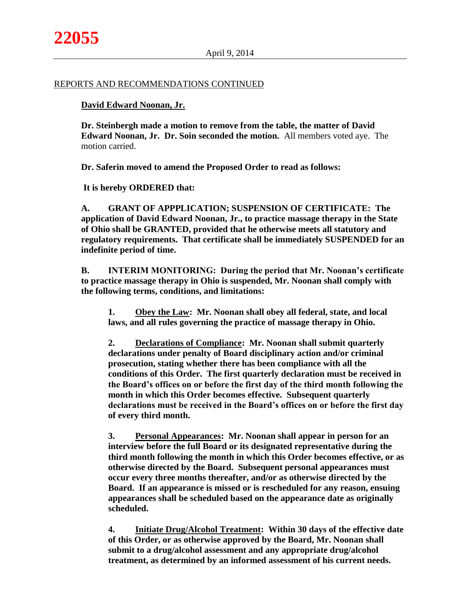#### REPORTS AND RECOMMENDATIONS CONTINUED

### **David Edward Noonan, Jr.**

**Dr. Steinbergh made a motion to remove from the table, the matter of David Edward Noonan, Jr. Dr. Soin seconded the motion.** All members voted aye. The motion carried.

**Dr. Saferin moved to amend the Proposed Order to read as follows:**

**It is hereby ORDERED that:**

**A. GRANT OF APPPLICATION; SUSPENSION OF CERTIFICATE: The application of David Edward Noonan, Jr., to practice massage therapy in the State of Ohio shall be GRANTED, provided that he otherwise meets all statutory and regulatory requirements. That certificate shall be immediately SUSPENDED for an indefinite period of time.**

**B. INTERIM MONITORING: During the period that Mr. Noonan's certificate to practice massage therapy in Ohio is suspended, Mr. Noonan shall comply with the following terms, conditions, and limitations:**

**1. Obey the Law: Mr. Noonan shall obey all federal, state, and local laws, and all rules governing the practice of massage therapy in Ohio.**

**2. Declarations of Compliance: Mr. Noonan shall submit quarterly declarations under penalty of Board disciplinary action and/or criminal prosecution, stating whether there has been compliance with all the conditions of this Order. The first quarterly declaration must be received in the Board's offices on or before the first day of the third month following the month in which this Order becomes effective. Subsequent quarterly declarations must be received in the Board's offices on or before the first day of every third month.**

**3. Personal Appearances: Mr. Noonan shall appear in person for an interview before the full Board or its designated representative during the third month following the month in which this Order becomes effective, or as otherwise directed by the Board. Subsequent personal appearances must occur every three months thereafter, and/or as otherwise directed by the Board. If an appearance is missed or is rescheduled for any reason, ensuing appearances shall be scheduled based on the appearance date as originally scheduled.**

**4. Initiate Drug/Alcohol Treatment: Within 30 days of the effective date of this Order, or as otherwise approved by the Board, Mr. Noonan shall submit to a drug/alcohol assessment and any appropriate drug/alcohol treatment, as determined by an informed assessment of his current needs.**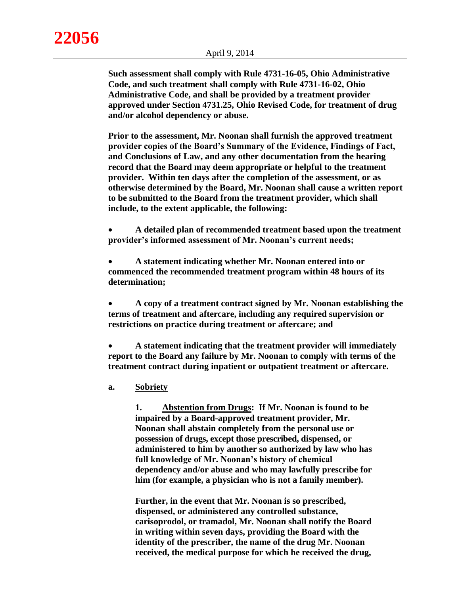**Such assessment shall comply with Rule 4731-16-05, Ohio Administrative Code, and such treatment shall comply with Rule 4731-16-02, Ohio Administrative Code, and shall be provided by a treatment provider approved under Section 4731.25, Ohio Revised Code, for treatment of drug and/or alcohol dependency or abuse.**

**Prior to the assessment, Mr. Noonan shall furnish the approved treatment provider copies of the Board's Summary of the Evidence, Findings of Fact, and Conclusions of Law, and any other documentation from the hearing record that the Board may deem appropriate or helpful to the treatment provider. Within ten days after the completion of the assessment, or as otherwise determined by the Board, Mr. Noonan shall cause a written report to be submitted to the Board from the treatment provider, which shall include, to the extent applicable, the following:**

 **A detailed plan of recommended treatment based upon the treatment provider's informed assessment of Mr. Noonan's current needs;**

 **A statement indicating whether Mr. Noonan entered into or commenced the recommended treatment program within 48 hours of its determination;**

 **A copy of a treatment contract signed by Mr. Noonan establishing the terms of treatment and aftercare, including any required supervision or restrictions on practice during treatment or aftercare; and** 

 **A statement indicating that the treatment provider will immediately report to the Board any failure by Mr. Noonan to comply with terms of the treatment contract during inpatient or outpatient treatment or aftercare.**

**a. Sobriety**

**1. Abstention from Drugs: If Mr. Noonan is found to be impaired by a Board-approved treatment provider, Mr. Noonan shall abstain completely from the personal use or possession of drugs, except those prescribed, dispensed, or administered to him by another so authorized by law who has full knowledge of Mr. Noonan's history of chemical dependency and/or abuse and who may lawfully prescribe for him (for example, a physician who is not a family member).** 

**Further, in the event that Mr. Noonan is so prescribed, dispensed, or administered any controlled substance, carisoprodol, or tramadol, Mr. Noonan shall notify the Board in writing within seven days, providing the Board with the identity of the prescriber, the name of the drug Mr. Noonan received, the medical purpose for which he received the drug,**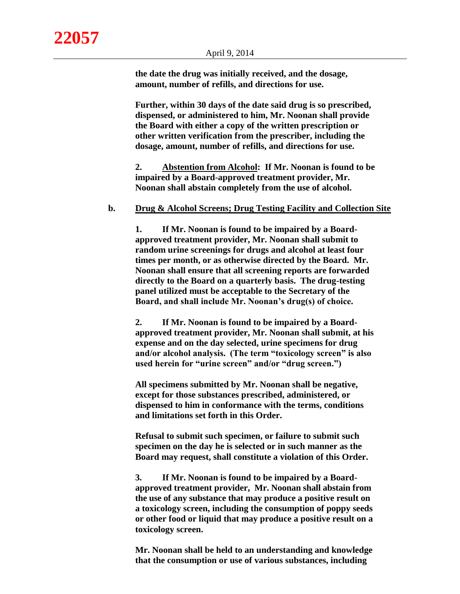**the date the drug was initially received, and the dosage, amount, number of refills, and directions for use.** 

**Further, within 30 days of the date said drug is so prescribed, dispensed, or administered to him, Mr. Noonan shall provide the Board with either a copy of the written prescription or other written verification from the prescriber, including the dosage, amount, number of refills, and directions for use.**

**2. Abstention from Alcohol: If Mr. Noonan is found to be impaired by a Board-approved treatment provider, Mr. Noonan shall abstain completely from the use of alcohol.**

#### **b. Drug & Alcohol Screens; Drug Testing Facility and Collection Site**

**1. If Mr. Noonan is found to be impaired by a Boardapproved treatment provider, Mr. Noonan shall submit to random urine screenings for drugs and alcohol at least four times per month, or as otherwise directed by the Board. Mr. Noonan shall ensure that all screening reports are forwarded directly to the Board on a quarterly basis. The drug-testing panel utilized must be acceptable to the Secretary of the Board, and shall include Mr. Noonan's drug(s) of choice.**

**2. If Mr. Noonan is found to be impaired by a Boardapproved treatment provider, Mr. Noonan shall submit, at his expense and on the day selected, urine specimens for drug and/or alcohol analysis. (The term "toxicology screen" is also used herein for "urine screen" and/or "drug screen.")**

**All specimens submitted by Mr. Noonan shall be negative, except for those substances prescribed, administered, or dispensed to him in conformance with the terms, conditions and limitations set forth in this Order.**

**Refusal to submit such specimen, or failure to submit such specimen on the day he is selected or in such manner as the Board may request, shall constitute a violation of this Order.**

**3. If Mr. Noonan is found to be impaired by a Boardapproved treatment provider, Mr. Noonan shall abstain from the use of any substance that may produce a positive result on a toxicology screen, including the consumption of poppy seeds or other food or liquid that may produce a positive result on a toxicology screen.**

**Mr. Noonan shall be held to an understanding and knowledge that the consumption or use of various substances, including**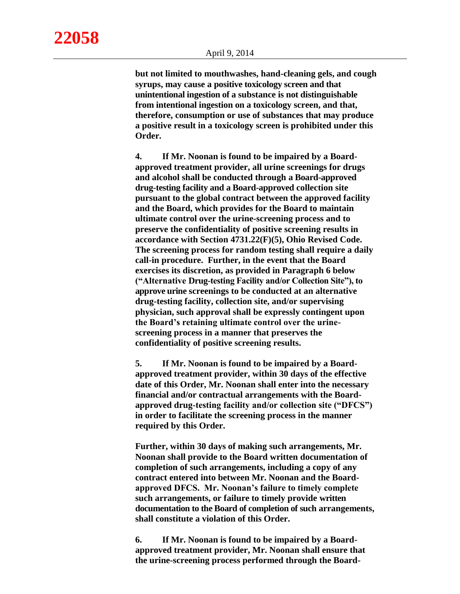**but not limited to mouthwashes, hand-cleaning gels, and cough syrups, may cause a positive toxicology screen and that unintentional ingestion of a substance is not distinguishable from intentional ingestion on a toxicology screen, and that, therefore, consumption or use of substances that may produce a positive result in a toxicology screen is prohibited under this Order.**

**4. If Mr. Noonan is found to be impaired by a Boardapproved treatment provider, all urine screenings for drugs and alcohol shall be conducted through a Board-approved drug-testing facility and a Board-approved collection site pursuant to the global contract between the approved facility and the Board, which provides for the Board to maintain ultimate control over the urine-screening process and to preserve the confidentiality of positive screening results in accordance with Section 4731.22(F)(5), Ohio Revised Code. The screening process for random testing shall require a daily call-in procedure. Further, in the event that the Board exercises its discretion, as provided in Paragraph 6 below ("Alternative Drug-testing Facility and/or Collection Site"), to approve urine screenings to be conducted at an alternative drug-testing facility, collection site, and/or supervising physician, such approval shall be expressly contingent upon the Board's retaining ultimate control over the urinescreening process in a manner that preserves the confidentiality of positive screening results.**

**5. If Mr. Noonan is found to be impaired by a Boardapproved treatment provider, within 30 days of the effective date of this Order, Mr. Noonan shall enter into the necessary financial and/or contractual arrangements with the Boardapproved drug-testing facility and/or collection site ("DFCS") in order to facilitate the screening process in the manner required by this Order.**

**Further, within 30 days of making such arrangements, Mr. Noonan shall provide to the Board written documentation of completion of such arrangements, including a copy of any contract entered into between Mr. Noonan and the Boardapproved DFCS. Mr. Noonan's failure to timely complete such arrangements, or failure to timely provide written documentation to the Board of completion of such arrangements, shall constitute a violation of this Order.**

**6. If Mr. Noonan is found to be impaired by a Boardapproved treatment provider, Mr. Noonan shall ensure that the urine-screening process performed through the Board-**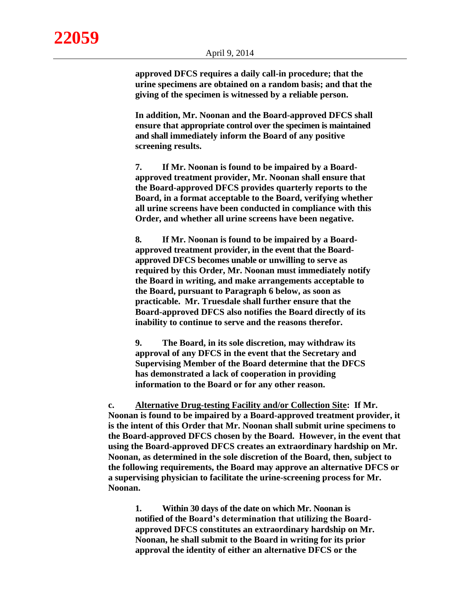**approved DFCS requires a daily call-in procedure; that the urine specimens are obtained on a random basis; and that the giving of the specimen is witnessed by a reliable person.**

**In addition, Mr. Noonan and the Board-approved DFCS shall ensure that appropriate control over the specimen is maintained and shall immediately inform the Board of any positive screening results.**

**7. If Mr. Noonan is found to be impaired by a Boardapproved treatment provider, Mr. Noonan shall ensure that the Board-approved DFCS provides quarterly reports to the Board, in a format acceptable to the Board, verifying whether all urine screens have been conducted in compliance with this Order, and whether all urine screens have been negative.**

**8. If Mr. Noonan is found to be impaired by a Boardapproved treatment provider, in the event that the Boardapproved DFCS becomes unable or unwilling to serve as required by this Order, Mr. Noonan must immediately notify the Board in writing, and make arrangements acceptable to the Board, pursuant to Paragraph 6 below, as soon as practicable. Mr. Truesdale shall further ensure that the Board-approved DFCS also notifies the Board directly of its inability to continue to serve and the reasons therefor.**

**9. The Board, in its sole discretion, may withdraw its approval of any DFCS in the event that the Secretary and Supervising Member of the Board determine that the DFCS has demonstrated a lack of cooperation in providing information to the Board or for any other reason.**

**c. Alternative Drug-testing Facility and/or Collection Site: If Mr. Noonan is found to be impaired by a Board-approved treatment provider, it is the intent of this Order that Mr. Noonan shall submit urine specimens to the Board-approved DFCS chosen by the Board. However, in the event that using the Board-approved DFCS creates an extraordinary hardship on Mr. Noonan, as determined in the sole discretion of the Board, then, subject to the following requirements, the Board may approve an alternative DFCS or a supervising physician to facilitate the urine-screening process for Mr. Noonan.**

**1. Within 30 days of the date on which Mr. Noonan is notified of the Board's determination that utilizing the Boardapproved DFCS constitutes an extraordinary hardship on Mr. Noonan, he shall submit to the Board in writing for its prior approval the identity of either an alternative DFCS or the**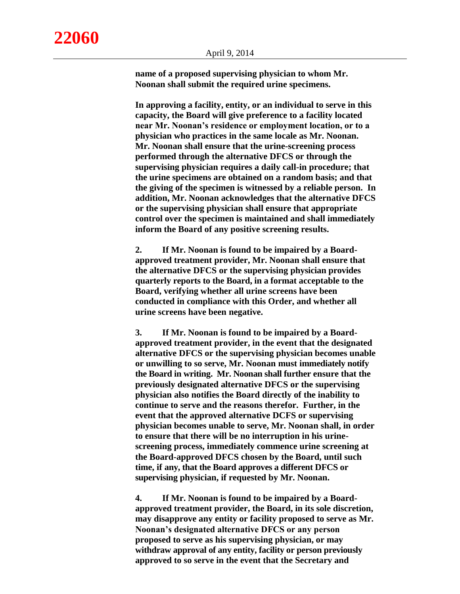**name of a proposed supervising physician to whom Mr. Noonan shall submit the required urine specimens.**

**In approving a facility, entity, or an individual to serve in this capacity, the Board will give preference to a facility located near Mr. Noonan's residence or employment location, or to a physician who practices in the same locale as Mr. Noonan. Mr. Noonan shall ensure that the urine-screening process performed through the alternative DFCS or through the supervising physician requires a daily call-in procedure; that the urine specimens are obtained on a random basis; and that the giving of the specimen is witnessed by a reliable person. In addition, Mr. Noonan acknowledges that the alternative DFCS or the supervising physician shall ensure that appropriate control over the specimen is maintained and shall immediately inform the Board of any positive screening results.**

**2. If Mr. Noonan is found to be impaired by a Boardapproved treatment provider, Mr. Noonan shall ensure that the alternative DFCS or the supervising physician provides quarterly reports to the Board, in a format acceptable to the Board, verifying whether all urine screens have been conducted in compliance with this Order, and whether all urine screens have been negative.**

**3. If Mr. Noonan is found to be impaired by a Boardapproved treatment provider, in the event that the designated alternative DFCS or the supervising physician becomes unable or unwilling to so serve, Mr. Noonan must immediately notify the Board in writing. Mr. Noonan shall further ensure that the previously designated alternative DFCS or the supervising physician also notifies the Board directly of the inability to continue to serve and the reasons therefor. Further, in the event that the approved alternative DCFS or supervising physician becomes unable to serve, Mr. Noonan shall, in order to ensure that there will be no interruption in his urinescreening process, immediately commence urine screening at the Board-approved DFCS chosen by the Board, until such time, if any, that the Board approves a different DFCS or supervising physician, if requested by Mr. Noonan.**

**4. If Mr. Noonan is found to be impaired by a Boardapproved treatment provider, the Board, in its sole discretion, may disapprove any entity or facility proposed to serve as Mr. Noonan's designated alternative DFCS or any person proposed to serve as his supervising physician, or may withdraw approval of any entity, facility or person previously approved to so serve in the event that the Secretary and**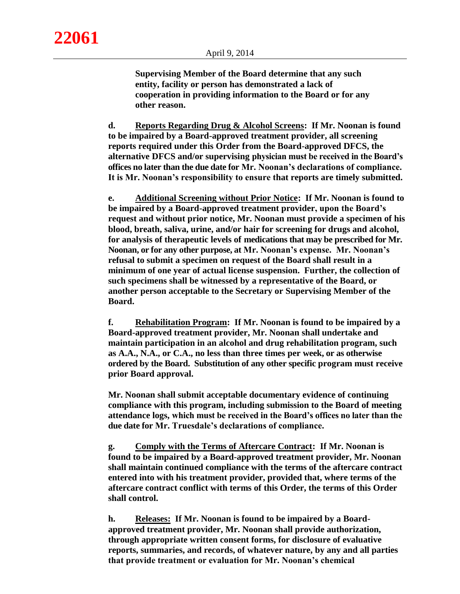**Supervising Member of the Board determine that any such entity, facility or person has demonstrated a lack of cooperation in providing information to the Board or for any other reason.**

**d. Reports Regarding Drug & Alcohol Screens: If Mr. Noonan is found to be impaired by a Board-approved treatment provider, all screening reports required under this Order from the Board-approved DFCS, the alternative DFCS and/or supervising physician must be received in the Board's offices no later than the due date for Mr. Noonan's declarations of compliance. It is Mr. Noonan's responsibility to ensure that reports are timely submitted.**

**e. Additional Screening without Prior Notice: If Mr. Noonan is found to be impaired by a Board-approved treatment provider, upon the Board's request and without prior notice, Mr. Noonan must provide a specimen of his blood, breath, saliva, urine, and/or hair for screening for drugs and alcohol, for analysis of therapeutic levels of medications that may be prescribed for Mr. Noonan, or for any other purpose, at Mr. Noonan's expense. Mr. Noonan's refusal to submit a specimen on request of the Board shall result in a minimum of one year of actual license suspension. Further, the collection of such specimens shall be witnessed by a representative of the Board, or another person acceptable to the Secretary or Supervising Member of the Board.**

**f. Rehabilitation Program: If Mr. Noonan is found to be impaired by a Board-approved treatment provider, Mr. Noonan shall undertake and maintain participation in an alcohol and drug rehabilitation program, such as A.A., N.A., or C.A., no less than three times per week, or as otherwise ordered by the Board. Substitution of any other specific program must receive prior Board approval.**

**Mr. Noonan shall submit acceptable documentary evidence of continuing compliance with this program, including submission to the Board of meeting attendance logs, which must be received in the Board's offices no later than the due date for Mr. Truesdale's declarations of compliance.**

**g. Comply with the Terms of Aftercare Contract: If Mr. Noonan is found to be impaired by a Board-approved treatment provider, Mr. Noonan shall maintain continued compliance with the terms of the aftercare contract entered into with his treatment provider, provided that, where terms of the aftercare contract conflict with terms of this Order, the terms of this Order shall control.**

**h. Releases: If Mr. Noonan is found to be impaired by a Boardapproved treatment provider, Mr. Noonan shall provide authorization, through appropriate written consent forms, for disclosure of evaluative reports, summaries, and records, of whatever nature, by any and all parties that provide treatment or evaluation for Mr. Noonan's chemical**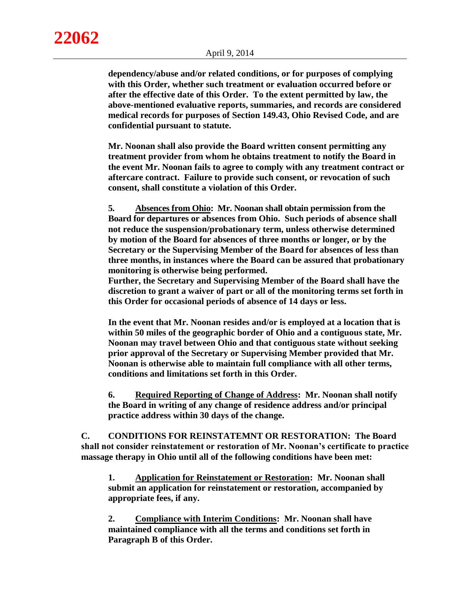**dependency/abuse and/or related conditions, or for purposes of complying with this Order, whether such treatment or evaluation occurred before or after the effective date of this Order. To the extent permitted by law, the above-mentioned evaluative reports, summaries, and records are considered medical records for purposes of Section 149.43, Ohio Revised Code, and are confidential pursuant to statute.** 

**Mr. Noonan shall also provide the Board written consent permitting any treatment provider from whom he obtains treatment to notify the Board in the event Mr. Noonan fails to agree to comply with any treatment contract or aftercare contract. Failure to provide such consent, or revocation of such consent, shall constitute a violation of this Order.**

**5. Absences from Ohio: Mr. Noonan shall obtain permission from the Board for departures or absences from Ohio. Such periods of absence shall not reduce the suspension/probationary term, unless otherwise determined by motion of the Board for absences of three months or longer, or by the Secretary or the Supervising Member of the Board for absences of less than three months, in instances where the Board can be assured that probationary monitoring is otherwise being performed.**

**Further, the Secretary and Supervising Member of the Board shall have the discretion to grant a waiver of part or all of the monitoring terms set forth in this Order for occasional periods of absence of 14 days or less.** 

**In the event that Mr. Noonan resides and/or is employed at a location that is within 50 miles of the geographic border of Ohio and a contiguous state, Mr. Noonan may travel between Ohio and that contiguous state without seeking prior approval of the Secretary or Supervising Member provided that Mr. Noonan is otherwise able to maintain full compliance with all other terms, conditions and limitations set forth in this Order.**

**6. Required Reporting of Change of Address: Mr. Noonan shall notify the Board in writing of any change of residence address and/or principal practice address within 30 days of the change.**

**C. CONDITIONS FOR REINSTATEMNT OR RESTORATION: The Board shall not consider reinstatement or restoration of Mr. Noonan's certificate to practice massage therapy in Ohio until all of the following conditions have been met:**

**1. Application for Reinstatement or Restoration: Mr. Noonan shall submit an application for reinstatement or restoration, accompanied by appropriate fees, if any.**

**2. Compliance with Interim Conditions: Mr. Noonan shall have maintained compliance with all the terms and conditions set forth in Paragraph B of this Order.**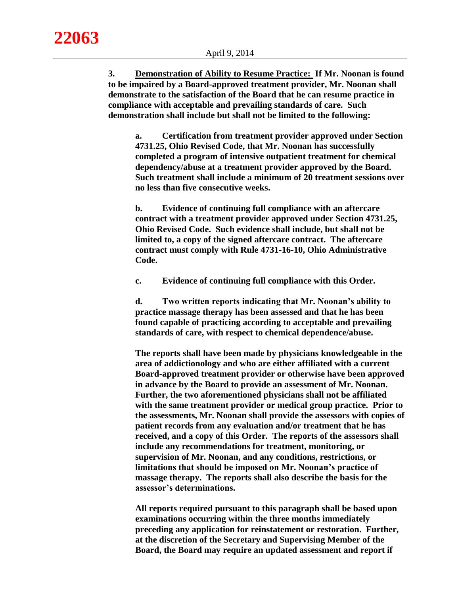**22063**

**3. Demonstration of Ability to Resume Practice: If Mr. Noonan is found to be impaired by a Board-approved treatment provider, Mr. Noonan shall demonstrate to the satisfaction of the Board that he can resume practice in compliance with acceptable and prevailing standards of care. Such demonstration shall include but shall not be limited to the following:**

**a. Certification from treatment provider approved under Section 4731.25, Ohio Revised Code, that Mr. Noonan has successfully completed a program of intensive outpatient treatment for chemical dependency/abuse at a treatment provider approved by the Board. Such treatment shall include a minimum of 20 treatment sessions over no less than five consecutive weeks.**

**b. Evidence of continuing full compliance with an aftercare contract with a treatment provider approved under Section 4731.25, Ohio Revised Code. Such evidence shall include, but shall not be limited to, a copy of the signed aftercare contract. The aftercare contract must comply with Rule 4731-16-10, Ohio Administrative Code.**

**c. Evidence of continuing full compliance with this Order.**

**d. Two written reports indicating that Mr. Noonan's ability to practice massage therapy has been assessed and that he has been found capable of practicing according to acceptable and prevailing standards of care, with respect to chemical dependence/abuse.**

**The reports shall have been made by physicians knowledgeable in the area of addictionology and who are either affiliated with a current Board-approved treatment provider or otherwise have been approved in advance by the Board to provide an assessment of Mr. Noonan. Further, the two aforementioned physicians shall not be affiliated with the same treatment provider or medical group practice. Prior to the assessments, Mr. Noonan shall provide the assessors with copies of patient records from any evaluation and/or treatment that he has received, and a copy of this Order. The reports of the assessors shall include any recommendations for treatment, monitoring, or supervision of Mr. Noonan, and any conditions, restrictions, or limitations that should be imposed on Mr. Noonan's practice of massage therapy. The reports shall also describe the basis for the assessor's determinations.** 

**All reports required pursuant to this paragraph shall be based upon examinations occurring within the three months immediately preceding any application for reinstatement or restoration. Further, at the discretion of the Secretary and Supervising Member of the Board, the Board may require an updated assessment and report if**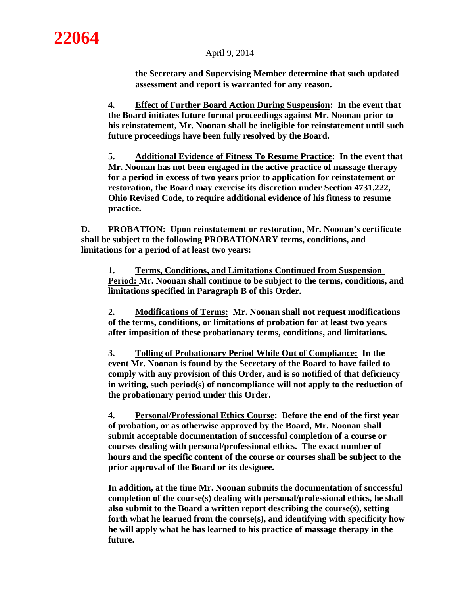**the Secretary and Supervising Member determine that such updated assessment and report is warranted for any reason.**

**4. Effect of Further Board Action During Suspension: In the event that the Board initiates future formal proceedings against Mr. Noonan prior to his reinstatement, Mr. Noonan shall be ineligible for reinstatement until such future proceedings have been fully resolved by the Board.**

**5. Additional Evidence of Fitness To Resume Practice: In the event that Mr. Noonan has not been engaged in the active practice of massage therapy for a period in excess of two years prior to application for reinstatement or restoration, the Board may exercise its discretion under Section 4731.222, Ohio Revised Code, to require additional evidence of his fitness to resume practice.**

**D. PROBATION: Upon reinstatement or restoration, Mr. Noonan's certificate shall be subject to the following PROBATIONARY terms, conditions, and limitations for a period of at least two years:**

**1. Terms, Conditions, and Limitations Continued from Suspension Period: Mr. Noonan shall continue to be subject to the terms, conditions, and limitations specified in Paragraph B of this Order.**

**2. Modifications of Terms: Mr. Noonan shall not request modifications of the terms, conditions, or limitations of probation for at least two years after imposition of these probationary terms, conditions, and limitations.** 

**3. Tolling of Probationary Period While Out of Compliance: In the event Mr. Noonan is found by the Secretary of the Board to have failed to comply with any provision of this Order, and is so notified of that deficiency in writing, such period(s) of noncompliance will not apply to the reduction of the probationary period under this Order.** 

**4. Personal/Professional Ethics Course: Before the end of the first year of probation, or as otherwise approved by the Board, Mr. Noonan shall submit acceptable documentation of successful completion of a course or courses dealing with personal/professional ethics. The exact number of hours and the specific content of the course or courses shall be subject to the prior approval of the Board or its designee.** 

**In addition, at the time Mr. Noonan submits the documentation of successful completion of the course(s) dealing with personal/professional ethics, he shall also submit to the Board a written report describing the course(s), setting forth what he learned from the course(s), and identifying with specificity how he will apply what he has learned to his practice of massage therapy in the future.**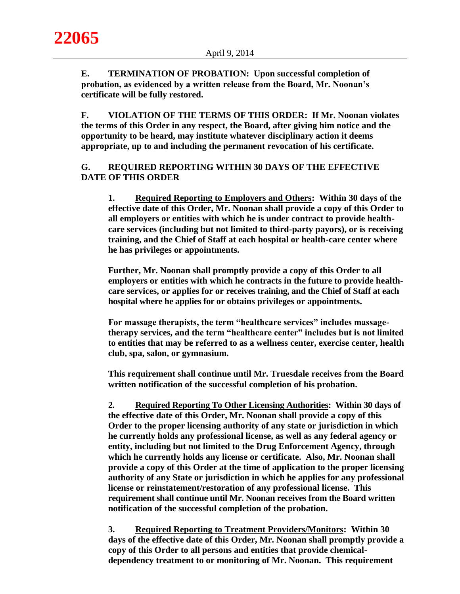**E. TERMINATION OF PROBATION: Upon successful completion of probation, as evidenced by a written release from the Board, Mr. Noonan's certificate will be fully restored.**

**F. VIOLATION OF THE TERMS OF THIS ORDER: If Mr. Noonan violates the terms of this Order in any respect, the Board, after giving him notice and the opportunity to be heard, may institute whatever disciplinary action it deems appropriate, up to and including the permanent revocation of his certificate.**

# **G. REQUIRED REPORTING WITHIN 30 DAYS OF THE EFFECTIVE DATE OF THIS ORDER**

**1. Required Reporting to Employers and Others: Within 30 days of the effective date of this Order, Mr. Noonan shall provide a copy of this Order to all employers or entities with which he is under contract to provide healthcare services (including but not limited to third-party payors), or is receiving training, and the Chief of Staff at each hospital or health-care center where he has privileges or appointments.**

**Further, Mr. Noonan shall promptly provide a copy of this Order to all employers or entities with which he contracts in the future to provide healthcare services, or applies for or receives training, and the Chief of Staff at each hospital where he applies for or obtains privileges or appointments.** 

**For massage therapists, the term "healthcare services" includes massagetherapy services, and the term "healthcare center" includes but is not limited to entities that may be referred to as a wellness center, exercise center, health club, spa, salon, or gymnasium.**

**This requirement shall continue until Mr. Truesdale receives from the Board written notification of the successful completion of his probation.** 

**2. Required Reporting To Other Licensing Authorities: Within 30 days of the effective date of this Order, Mr. Noonan shall provide a copy of this Order to the proper licensing authority of any state or jurisdiction in which he currently holds any professional license, as well as any federal agency or entity, including but not limited to the Drug Enforcement Agency, through which he currently holds any license or certificate. Also, Mr. Noonan shall provide a copy of this Order at the time of application to the proper licensing authority of any State or jurisdiction in which he applies for any professional license or reinstatement/restoration of any professional license. This requirement shall continue until Mr. Noonan receives from the Board written notification of the successful completion of the probation.**

**3. Required Reporting to Treatment Providers/Monitors: Within 30 days of the effective date of this Order, Mr. Noonan shall promptly provide a copy of this Order to all persons and entities that provide chemicaldependency treatment to or monitoring of Mr. Noonan. This requirement**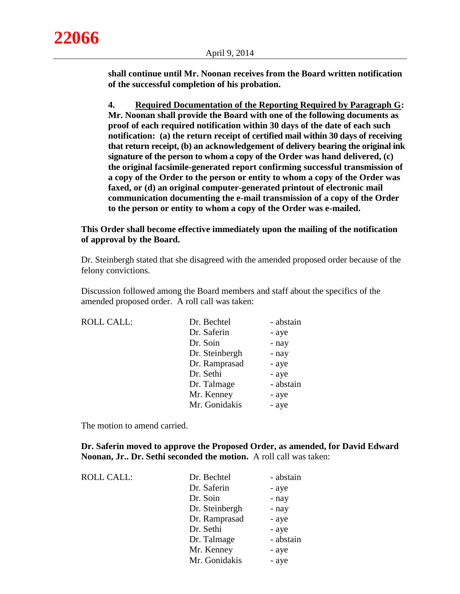**shall continue until Mr. Noonan receives from the Board written notification of the successful completion of his probation.**

**4. Required Documentation of the Reporting Required by Paragraph G: Mr. Noonan shall provide the Board with one of the following documents as proof of each required notification within 30 days of the date of each such notification: (a) the return receipt of certified mail within 30 days of receiving that return receipt, (b) an acknowledgement of delivery bearing the original ink signature of the person to whom a copy of the Order was hand delivered, (c) the original facsimile-generated report confirming successful transmission of a copy of the Order to the person or entity to whom a copy of the Order was faxed, or (d) an original computer-generated printout of electronic mail communication documenting the e-mail transmission of a copy of the Order to the person or entity to whom a copy of the Order was e-mailed.**

# **This Order shall become effective immediately upon the mailing of the notification of approval by the Board.**

Dr. Steinbergh stated that she disagreed with the amended proposed order because of the felony convictions.

Discussion followed among the Board members and staff about the specifics of the amended proposed order. A roll call was taken:

| <b>ROLL CALL:</b> | Dr. Bechtel    | - abstain |
|-------------------|----------------|-----------|
|                   | Dr. Saferin    | - aye     |
|                   | Dr. Soin       | - nay     |
|                   | Dr. Steinbergh | - nay     |
|                   | Dr. Ramprasad  | - aye     |
|                   | Dr. Sethi      | - aye     |
|                   | Dr. Talmage    | - abstain |
|                   | Mr. Kenney     | - aye     |
|                   | Mr. Gonidakis  | - aye     |

The motion to amend carried.

**Dr. Saferin moved to approve the Proposed Order, as amended, for David Edward Noonan, Jr.. Dr. Sethi seconded the motion.** A roll call was taken:

| <b>ROLL CALL:</b> | Dr. Bechtel    | - abstain |
|-------------------|----------------|-----------|
|                   | Dr. Saferin    | - aye     |
|                   | Dr. Soin       | - nay     |
|                   | Dr. Steinbergh | - nay     |
|                   | Dr. Ramprasad  | - aye     |
|                   | Dr. Sethi      | - aye     |
|                   | Dr. Talmage    | - abstain |
|                   | Mr. Kenney     | - aye     |
|                   | Mr. Gonidakis  | - aye     |
|                   |                |           |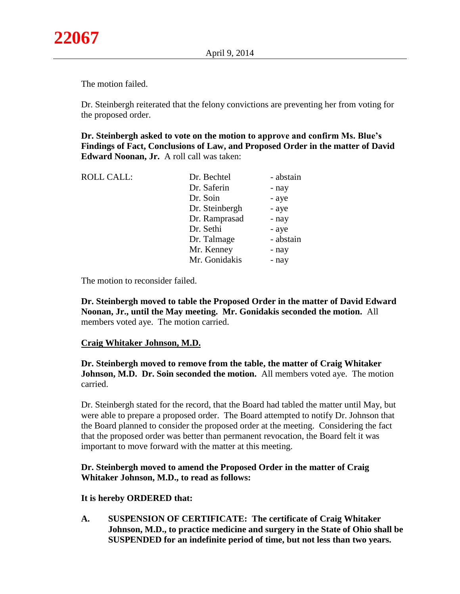The motion failed.

Dr. Steinbergh reiterated that the felony convictions are preventing her from voting for the proposed order.

**Dr. Steinbergh asked to vote on the motion to approve and confirm Ms. Blue's Findings of Fact, Conclusions of Law, and Proposed Order in the matter of David Edward Noonan, Jr.** A roll call was taken:

| <b>ROLL CALL:</b> | Dr. Bechtel    | - abstain |
|-------------------|----------------|-----------|
|                   | Dr. Saferin    | - nay     |
|                   | Dr. Soin       | - aye     |
|                   | Dr. Steinbergh | - aye     |
|                   | Dr. Ramprasad  | - nay     |
|                   | Dr. Sethi      | - aye     |
|                   | Dr. Talmage    | - abstain |
|                   | Mr. Kenney     | - nay     |
|                   | Mr. Gonidakis  | - nay     |
|                   |                |           |

The motion to reconsider failed.

**Dr. Steinbergh moved to table the Proposed Order in the matter of David Edward Noonan, Jr., until the May meeting. Mr. Gonidakis seconded the motion.** All members voted aye. The motion carried.

# **Craig Whitaker Johnson, M.D.**

**Dr. Steinbergh moved to remove from the table, the matter of Craig Whitaker Johnson, M.D. Dr. Soin seconded the motion.** All members voted aye. The motion carried.

Dr. Steinbergh stated for the record, that the Board had tabled the matter until May, but were able to prepare a proposed order. The Board attempted to notify Dr. Johnson that the Board planned to consider the proposed order at the meeting. Considering the fact that the proposed order was better than permanent revocation, the Board felt it was important to move forward with the matter at this meeting.

# **Dr. Steinbergh moved to amend the Proposed Order in the matter of Craig Whitaker Johnson, M.D., to read as follows:**

#### **It is hereby ORDERED that:**

**A. SUSPENSION OF CERTIFICATE: The certificate of Craig Whitaker Johnson, M.D., to practice medicine and surgery in the State of Ohio shall be SUSPENDED for an indefinite period of time, but not less than two years.**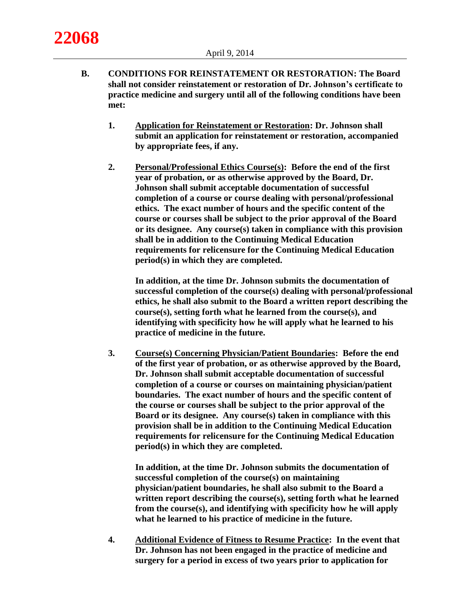**22068**

- **B. CONDITIONS FOR REINSTATEMENT OR RESTORATION: The Board shall not consider reinstatement or restoration of Dr. Johnson's certificate to practice medicine and surgery until all of the following conditions have been met:**
	- **1. Application for Reinstatement or Restoration: Dr. Johnson shall submit an application for reinstatement or restoration, accompanied by appropriate fees, if any.**
	- **2. Personal/Professional Ethics Course(s): Before the end of the first year of probation, or as otherwise approved by the Board, Dr. Johnson shall submit acceptable documentation of successful completion of a course or course dealing with personal/professional ethics. The exact number of hours and the specific content of the course or courses shall be subject to the prior approval of the Board or its designee. Any course(s) taken in compliance with this provision shall be in addition to the Continuing Medical Education requirements for relicensure for the Continuing Medical Education period(s) in which they are completed.**

**In addition, at the time Dr. Johnson submits the documentation of successful completion of the course(s) dealing with personal/professional ethics, he shall also submit to the Board a written report describing the course(s), setting forth what he learned from the course(s), and identifying with specificity how he will apply what he learned to his practice of medicine in the future.**

**3. Course(s) Concerning Physician/Patient Boundaries: Before the end of the first year of probation, or as otherwise approved by the Board, Dr. Johnson shall submit acceptable documentation of successful completion of a course or courses on maintaining physician/patient boundaries. The exact number of hours and the specific content of the course or courses shall be subject to the prior approval of the Board or its designee. Any course(s) taken in compliance with this provision shall be in addition to the Continuing Medical Education requirements for relicensure for the Continuing Medical Education period(s) in which they are completed.**

**In addition, at the time Dr. Johnson submits the documentation of successful completion of the course(s) on maintaining physician/patient boundaries, he shall also submit to the Board a written report describing the course(s), setting forth what he learned from the course(s), and identifying with specificity how he will apply what he learned to his practice of medicine in the future.**

**4. Additional Evidence of Fitness to Resume Practice: In the event that Dr. Johnson has not been engaged in the practice of medicine and surgery for a period in excess of two years prior to application for**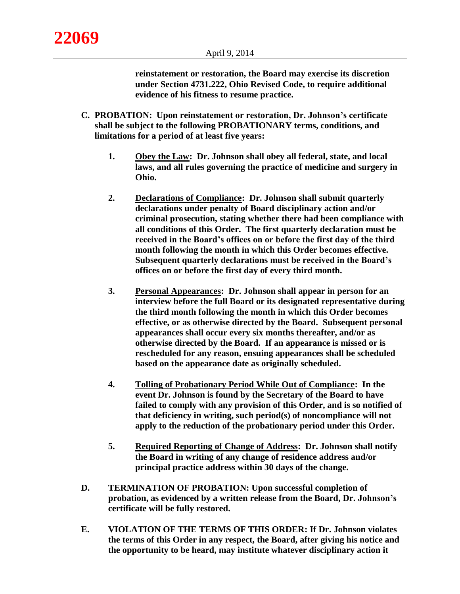**reinstatement or restoration, the Board may exercise its discretion under Section 4731.222, Ohio Revised Code, to require additional evidence of his fitness to resume practice.**

- **C. PROBATION: Upon reinstatement or restoration, Dr. Johnson's certificate shall be subject to the following PROBATIONARY terms, conditions, and limitations for a period of at least five years:**
	- **1. Obey the Law: Dr. Johnson shall obey all federal, state, and local laws, and all rules governing the practice of medicine and surgery in Ohio.**
	- **2. Declarations of Compliance: Dr. Johnson shall submit quarterly declarations under penalty of Board disciplinary action and/or criminal prosecution, stating whether there had been compliance with all conditions of this Order. The first quarterly declaration must be received in the Board's offices on or before the first day of the third month following the month in which this Order becomes effective. Subsequent quarterly declarations must be received in the Board's offices on or before the first day of every third month.**
	- **3. Personal Appearances: Dr. Johnson shall appear in person for an interview before the full Board or its designated representative during the third month following the month in which this Order becomes effective, or as otherwise directed by the Board. Subsequent personal appearances shall occur every six months thereafter, and/or as otherwise directed by the Board. If an appearance is missed or is rescheduled for any reason, ensuing appearances shall be scheduled based on the appearance date as originally scheduled.**
	- **4. Tolling of Probationary Period While Out of Compliance: In the event Dr. Johnson is found by the Secretary of the Board to have failed to comply with any provision of this Order, and is so notified of that deficiency in writing, such period(s) of noncompliance will not apply to the reduction of the probationary period under this Order.**
	- **5. Required Reporting of Change of Address: Dr. Johnson shall notify the Board in writing of any change of residence address and/or principal practice address within 30 days of the change.**
- **D. TERMINATION OF PROBATION: Upon successful completion of probation, as evidenced by a written release from the Board, Dr. Johnson's certificate will be fully restored.**
- **E. VIOLATION OF THE TERMS OF THIS ORDER: If Dr. Johnson violates the terms of this Order in any respect, the Board, after giving his notice and the opportunity to be heard, may institute whatever disciplinary action it**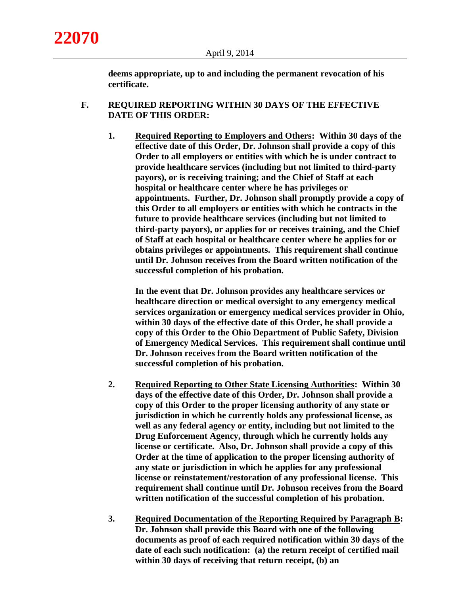**deems appropriate, up to and including the permanent revocation of his certificate.**

## **F. REQUIRED REPORTING WITHIN 30 DAYS OF THE EFFECTIVE DATE OF THIS ORDER:**

**1. Required Reporting to Employers and Others: Within 30 days of the effective date of this Order, Dr. Johnson shall provide a copy of this Order to all employers or entities with which he is under contract to provide healthcare services (including but not limited to third-party payors), or is receiving training; and the Chief of Staff at each hospital or healthcare center where he has privileges or appointments. Further, Dr. Johnson shall promptly provide a copy of this Order to all employers or entities with which he contracts in the future to provide healthcare services (including but not limited to third-party payors), or applies for or receives training, and the Chief of Staff at each hospital or healthcare center where he applies for or obtains privileges or appointments. This requirement shall continue until Dr. Johnson receives from the Board written notification of the successful completion of his probation.**

**In the event that Dr. Johnson provides any healthcare services or healthcare direction or medical oversight to any emergency medical services organization or emergency medical services provider in Ohio, within 30 days of the effective date of this Order, he shall provide a copy of this Order to the Ohio Department of Public Safety, Division of Emergency Medical Services. This requirement shall continue until Dr. Johnson receives from the Board written notification of the successful completion of his probation.**

- **2. Required Reporting to Other State Licensing Authorities: Within 30 days of the effective date of this Order, Dr. Johnson shall provide a copy of this Order to the proper licensing authority of any state or jurisdiction in which he currently holds any professional license, as well as any federal agency or entity, including but not limited to the Drug Enforcement Agency, through which he currently holds any license or certificate. Also, Dr. Johnson shall provide a copy of this Order at the time of application to the proper licensing authority of any state or jurisdiction in which he applies for any professional license or reinstatement/restoration of any professional license. This requirement shall continue until Dr. Johnson receives from the Board written notification of the successful completion of his probation.**
- **3. Required Documentation of the Reporting Required by Paragraph B: Dr. Johnson shall provide this Board with one of the following documents as proof of each required notification within 30 days of the date of each such notification: (a) the return receipt of certified mail within 30 days of receiving that return receipt, (b) an**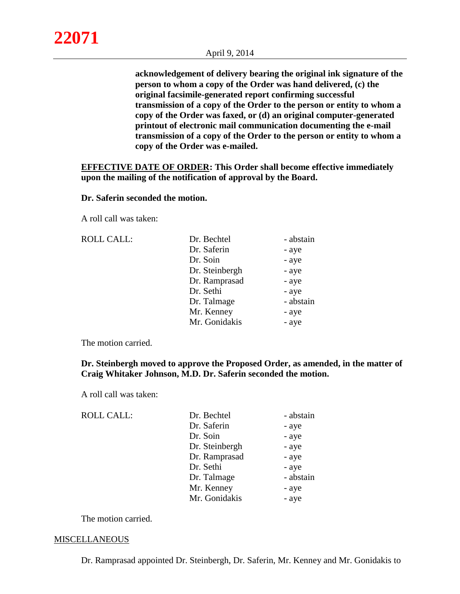**acknowledgement of delivery bearing the original ink signature of the person to whom a copy of the Order was hand delivered, (c) the original facsimile-generated report confirming successful transmission of a copy of the Order to the person or entity to whom a copy of the Order was faxed, or (d) an original computer-generated printout of electronic mail communication documenting the e-mail transmission of a copy of the Order to the person or entity to whom a copy of the Order was e-mailed.**

**EFFECTIVE DATE OF ORDER: This Order shall become effective immediately upon the mailing of the notification of approval by the Board.**

## **Dr. Saferin seconded the motion.**

A roll call was taken:

| <b>ROLL CALL:</b> | Dr. Bechtel    | - abstain |
|-------------------|----------------|-----------|
|                   | Dr. Saferin    | - aye     |
|                   | Dr. Soin       | - aye     |
|                   | Dr. Steinbergh | - aye     |
|                   | Dr. Ramprasad  | - aye     |
|                   | Dr. Sethi      | - aye     |
|                   | Dr. Talmage    | - abstain |
|                   | Mr. Kenney     | - aye     |
|                   | Mr. Gonidakis  | - aye     |
|                   |                |           |

The motion carried.

## **Dr. Steinbergh moved to approve the Proposed Order, as amended, in the matter of Craig Whitaker Johnson, M.D. Dr. Saferin seconded the motion.**

A roll call was taken:

| <b>ROLL CALL:</b> | Dr. Bechtel    | - abstain |
|-------------------|----------------|-----------|
|                   | Dr. Saferin    | - aye     |
|                   | Dr. Soin       | - aye     |
|                   | Dr. Steinbergh | - aye     |
|                   | Dr. Ramprasad  | - aye     |
|                   | Dr. Sethi      | - aye     |
|                   | Dr. Talmage    | - abstain |
|                   | Mr. Kenney     | - aye     |
|                   | Mr. Gonidakis  | - aye     |

The motion carried.

## **MISCELLANEOUS**

Dr. Ramprasad appointed Dr. Steinbergh, Dr. Saferin, Mr. Kenney and Mr. Gonidakis to